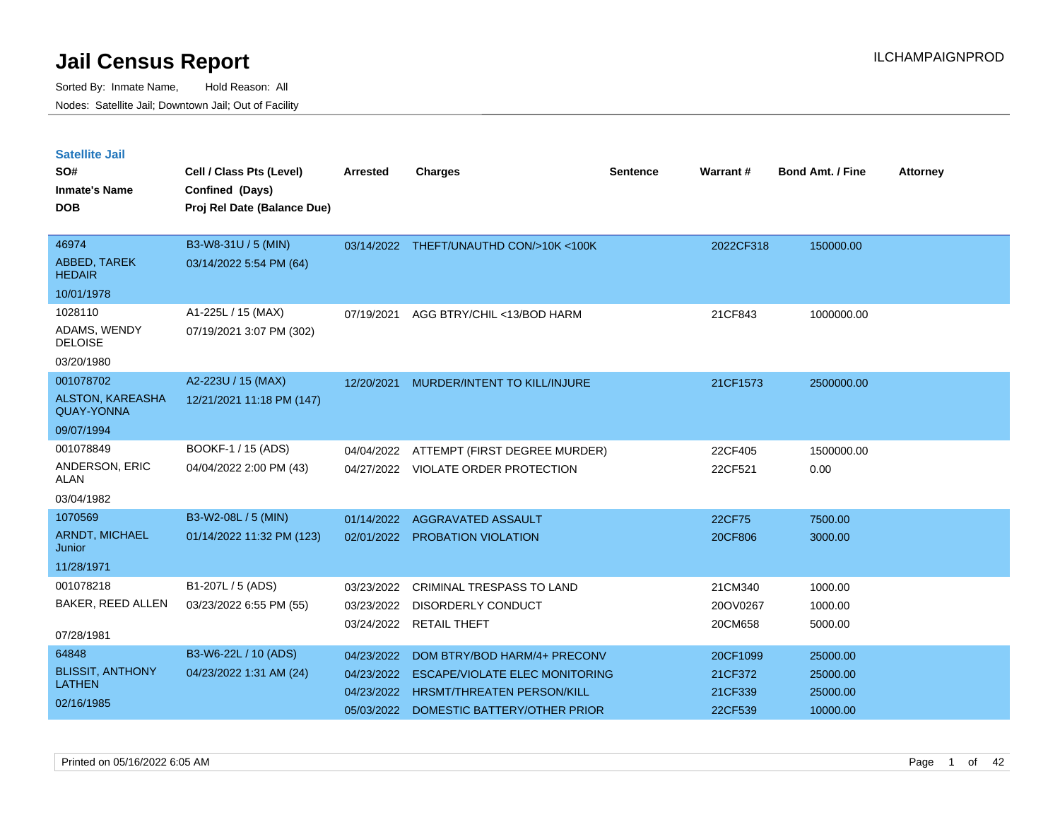Sorted By: Inmate Name, Hold Reason: All Nodes: Satellite Jail; Downtown Jail; Out of Facility

| <b>Satellite Jail</b><br>SO#<br><b>Inmate's Name</b><br><b>DOB</b> | Cell / Class Pts (Level)<br>Confined (Days)<br>Proj Rel Date (Balance Due) | <b>Arrested</b> | <b>Charges</b>                         | <b>Sentence</b> | Warrant#  | <b>Bond Amt. / Fine</b> | <b>Attorney</b> |
|--------------------------------------------------------------------|----------------------------------------------------------------------------|-----------------|----------------------------------------|-----------------|-----------|-------------------------|-----------------|
| 46974                                                              | B3-W8-31U / 5 (MIN)                                                        |                 | 03/14/2022 THEFT/UNAUTHD CON/>10K<100K |                 | 2022CF318 | 150000.00               |                 |
| ABBED, TAREK<br><b>HEDAIR</b>                                      | 03/14/2022 5:54 PM (64)                                                    |                 |                                        |                 |           |                         |                 |
| 10/01/1978                                                         |                                                                            |                 |                                        |                 |           |                         |                 |
| 1028110<br>ADAMS, WENDY<br><b>DELOISE</b>                          | A1-225L / 15 (MAX)<br>07/19/2021 3:07 PM (302)                             | 07/19/2021      | AGG BTRY/CHIL <13/BOD HARM             |                 | 21CF843   | 1000000.00              |                 |
| 03/20/1980                                                         |                                                                            |                 |                                        |                 |           |                         |                 |
| 001078702                                                          | A2-223U / 15 (MAX)                                                         | 12/20/2021      | MURDER/INTENT TO KILL/INJURE           |                 | 21CF1573  | 2500000.00              |                 |
| ALSTON, KAREASHA<br><b>QUAY-YONNA</b>                              | 12/21/2021 11:18 PM (147)                                                  |                 |                                        |                 |           |                         |                 |
| 09/07/1994                                                         |                                                                            |                 |                                        |                 |           |                         |                 |
| 001078849                                                          | BOOKF-1 / 15 (ADS)                                                         | 04/04/2022      | ATTEMPT (FIRST DEGREE MURDER)          |                 | 22CF405   | 1500000.00              |                 |
| ANDERSON, ERIC<br>ALAN                                             | 04/04/2022 2:00 PM (43)                                                    | 04/27/2022      | VIOLATE ORDER PROTECTION               |                 | 22CF521   | 0.00                    |                 |
| 03/04/1982                                                         |                                                                            |                 |                                        |                 |           |                         |                 |
| 1070569                                                            | B3-W2-08L / 5 (MIN)                                                        | 01/14/2022      | <b>AGGRAVATED ASSAULT</b>              |                 | 22CF75    | 7500.00                 |                 |
| <b>ARNDT, MICHAEL</b><br>Junior                                    | 01/14/2022 11:32 PM (123)                                                  | 02/01/2022      | PROBATION VIOLATION                    |                 | 20CF806   | 3000.00                 |                 |
| 11/28/1971                                                         |                                                                            |                 |                                        |                 |           |                         |                 |
| 001078218                                                          | B1-207L / 5 (ADS)                                                          | 03/23/2022      | <b>CRIMINAL TRESPASS TO LAND</b>       |                 | 21CM340   | 1000.00                 |                 |
| BAKER, REED ALLEN                                                  | 03/23/2022 6:55 PM (55)                                                    | 03/23/2022      | DISORDERLY CONDUCT                     |                 | 20OV0267  | 1000.00                 |                 |
| 07/28/1981                                                         |                                                                            | 03/24/2022      | <b>RETAIL THEFT</b>                    |                 | 20CM658   | 5000.00                 |                 |
| 64848                                                              | B3-W6-22L / 10 (ADS)                                                       | 04/23/2022      | DOM BTRY/BOD HARM/4+ PRECONV           |                 | 20CF1099  | 25000.00                |                 |
| <b>BLISSIT, ANTHONY</b>                                            | 04/23/2022 1:31 AM (24)                                                    | 04/23/2022      | <b>ESCAPE/VIOLATE ELEC MONITORING</b>  |                 | 21CF372   | 25000.00                |                 |
| <b>LATHEN</b>                                                      |                                                                            | 04/23/2022      | <b>HRSMT/THREATEN PERSON/KILL</b>      |                 | 21CF339   | 25000.00                |                 |

05/03/2022 DOMESTIC BATTERY/OTHER PRIOR 22CF539 10000.00

02/16/1985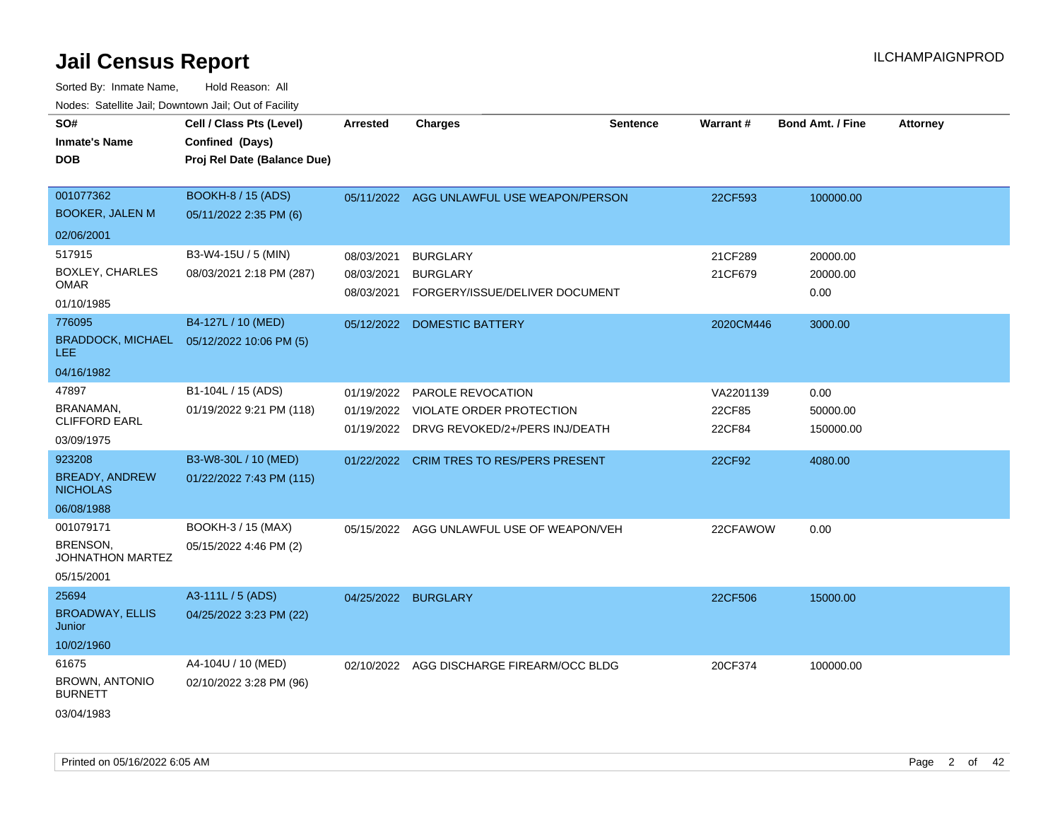| SO#<br><b>Inmate's Name</b><br><b>DOB</b>                        | Cell / Class Pts (Level)<br>Confined (Days)<br>Proj Rel Date (Balance Due) | <b>Arrested</b>                        | <b>Charges</b>                                                                                               | <b>Sentence</b> | <b>Warrant#</b>               | <b>Bond Amt. / Fine</b>       | <b>Attorney</b> |
|------------------------------------------------------------------|----------------------------------------------------------------------------|----------------------------------------|--------------------------------------------------------------------------------------------------------------|-----------------|-------------------------------|-------------------------------|-----------------|
| 001077362<br><b>BOOKER, JALEN M</b>                              | <b>BOOKH-8 / 15 (ADS)</b><br>05/11/2022 2:35 PM (6)                        |                                        | 05/11/2022 AGG UNLAWFUL USE WEAPON/PERSON                                                                    |                 | 22CF593                       | 100000.00                     |                 |
| 02/06/2001                                                       |                                                                            |                                        |                                                                                                              |                 |                               |                               |                 |
| 517915<br><b>BOXLEY, CHARLES</b><br><b>OMAR</b><br>01/10/1985    | B3-W4-15U / 5 (MIN)<br>08/03/2021 2:18 PM (287)                            | 08/03/2021<br>08/03/2021<br>08/03/2021 | <b>BURGLARY</b><br><b>BURGLARY</b><br>FORGERY/ISSUE/DELIVER DOCUMENT                                         |                 | 21CF289<br>21CF679            | 20000.00<br>20000.00<br>0.00  |                 |
| 776095<br><b>BRADDOCK, MICHAEL</b><br><b>LEE</b>                 | B4-127L / 10 (MED)<br>05/12/2022 10:06 PM (5)                              |                                        | 05/12/2022 DOMESTIC BATTERY                                                                                  |                 | 2020CM446                     | 3000.00                       |                 |
| 04/16/1982                                                       |                                                                            |                                        |                                                                                                              |                 |                               |                               |                 |
| 47897<br>BRANAMAN,<br><b>CLIFFORD EARL</b><br>03/09/1975         | B1-104L / 15 (ADS)<br>01/19/2022 9:21 PM (118)                             | 01/19/2022                             | <b>PAROLE REVOCATION</b><br>01/19/2022 VIOLATE ORDER PROTECTION<br>01/19/2022 DRVG REVOKED/2+/PERS INJ/DEATH |                 | VA2201139<br>22CF85<br>22CF84 | 0.00<br>50000.00<br>150000.00 |                 |
| 923208<br><b>BREADY, ANDREW</b><br><b>NICHOLAS</b><br>06/08/1988 | B3-W8-30L / 10 (MED)<br>01/22/2022 7:43 PM (115)                           |                                        | 01/22/2022 CRIM TRES TO RES/PERS PRESENT                                                                     |                 | 22CF92                        | 4080.00                       |                 |
| 001079171<br>BRENSON,<br><b>JOHNATHON MARTEZ</b><br>05/15/2001   | BOOKH-3 / 15 (MAX)<br>05/15/2022 4:46 PM (2)                               |                                        | 05/15/2022 AGG UNLAWFUL USE OF WEAPON/VEH                                                                    |                 | 22CFAWOW                      | 0.00                          |                 |
| 25694<br><b>BROADWAY, ELLIS</b><br><b>Junior</b><br>10/02/1960   | A3-111L / 5 (ADS)<br>04/25/2022 3:23 PM (22)                               | 04/25/2022 BURGLARY                    |                                                                                                              |                 | 22CF506                       | 15000.00                      |                 |
| 61675<br><b>BROWN, ANTONIO</b><br><b>BURNETT</b><br>03/04/1983   | A4-104U / 10 (MED)<br>02/10/2022 3:28 PM (96)                              |                                        | 02/10/2022 AGG DISCHARGE FIREARM/OCC BLDG                                                                    |                 | 20CF374                       | 100000.00                     |                 |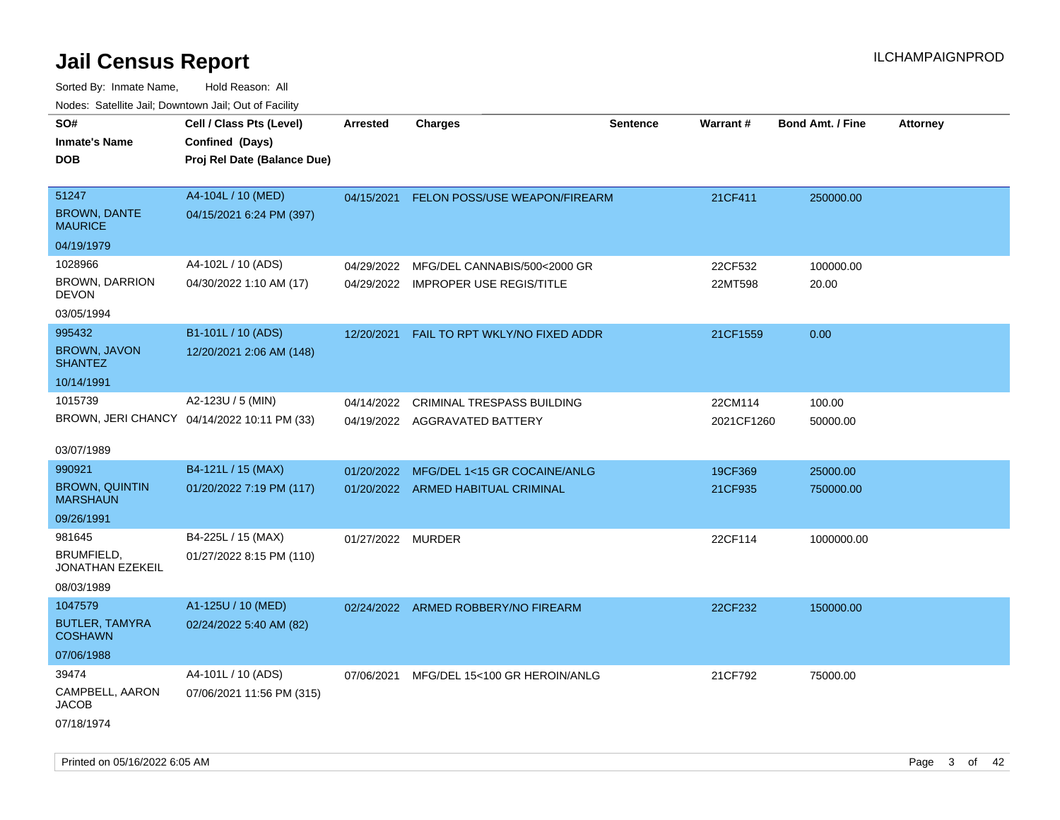| rouco. Calcinic Jan, Downtown Jan, Out of Facility |                                             |                   |                                          |                 |                 |                         |                 |
|----------------------------------------------------|---------------------------------------------|-------------------|------------------------------------------|-----------------|-----------------|-------------------------|-----------------|
| SO#                                                | Cell / Class Pts (Level)                    | <b>Arrested</b>   | <b>Charges</b>                           | <b>Sentence</b> | <b>Warrant#</b> | <b>Bond Amt. / Fine</b> | <b>Attorney</b> |
| <b>Inmate's Name</b>                               | Confined (Days)                             |                   |                                          |                 |                 |                         |                 |
| DOB                                                | Proj Rel Date (Balance Due)                 |                   |                                          |                 |                 |                         |                 |
|                                                    |                                             |                   |                                          |                 |                 |                         |                 |
| 51247                                              | A4-104L / 10 (MED)                          |                   | 04/15/2021 FELON POSS/USE WEAPON/FIREARM |                 | 21CF411         | 250000.00               |                 |
| <b>BROWN, DANTE</b><br><b>MAURICE</b>              | 04/15/2021 6:24 PM (397)                    |                   |                                          |                 |                 |                         |                 |
| 04/19/1979                                         |                                             |                   |                                          |                 |                 |                         |                 |
| 1028966                                            | A4-102L / 10 (ADS)                          | 04/29/2022        | MFG/DEL CANNABIS/500<2000 GR             |                 | 22CF532         | 100000.00               |                 |
| BROWN, DARRION<br>DEVON                            | 04/30/2022 1:10 AM (17)                     |                   | 04/29/2022 IMPROPER USE REGIS/TITLE      |                 | 22MT598         | 20.00                   |                 |
| 03/05/1994                                         |                                             |                   |                                          |                 |                 |                         |                 |
| 995432                                             | B1-101L / 10 (ADS)                          | 12/20/2021        | FAIL TO RPT WKLY/NO FIXED ADDR           |                 | 21CF1559        | 0.00                    |                 |
| <b>BROWN, JAVON</b><br><b>SHANTEZ</b>              | 12/20/2021 2:06 AM (148)                    |                   |                                          |                 |                 |                         |                 |
| 10/14/1991                                         |                                             |                   |                                          |                 |                 |                         |                 |
| 1015739                                            | A2-123U / 5 (MIN)                           | 04/14/2022        | <b>CRIMINAL TRESPASS BUILDING</b>        |                 | 22CM114         | 100.00                  |                 |
|                                                    | BROWN, JERI CHANCY 04/14/2022 10:11 PM (33) |                   | 04/19/2022 AGGRAVATED BATTERY            |                 | 2021CF1260      | 50000.00                |                 |
| 03/07/1989                                         |                                             |                   |                                          |                 |                 |                         |                 |
| 990921                                             | B4-121L / 15 (MAX)                          |                   | 01/20/2022 MFG/DEL 1<15 GR COCAINE/ANLG  |                 | 19CF369         | 25000.00                |                 |
| <b>BROWN, QUINTIN</b><br>MARSHAUN                  | 01/20/2022 7:19 PM (117)                    |                   | 01/20/2022 ARMED HABITUAL CRIMINAL       |                 | 21CF935         | 750000.00               |                 |
| 09/26/1991                                         |                                             |                   |                                          |                 |                 |                         |                 |
| 981645                                             | B4-225L / 15 (MAX)                          | 01/27/2022 MURDER |                                          |                 | 22CF114         | 1000000.00              |                 |
| BRUMFIELD,<br>JONATHAN EZEKEIL                     | 01/27/2022 8:15 PM (110)                    |                   |                                          |                 |                 |                         |                 |
| 08/03/1989                                         |                                             |                   |                                          |                 |                 |                         |                 |
| 1047579                                            | A1-125U / 10 (MED)                          |                   | 02/24/2022 ARMED ROBBERY/NO FIREARM      |                 | 22CF232         | 150000.00               |                 |
| <b>BUTLER, TAMYRA</b><br>COSHAWN                   | 02/24/2022 5:40 AM (82)                     |                   |                                          |                 |                 |                         |                 |
| 07/06/1988                                         |                                             |                   |                                          |                 |                 |                         |                 |
| 39474                                              | A4-101L / 10 (ADS)                          | 07/06/2021        | MFG/DEL 15<100 GR HEROIN/ANLG            |                 | 21CF792         | 75000.00                |                 |
| CAMPBELL, AARON<br>JACOB                           | 07/06/2021 11:56 PM (315)                   |                   |                                          |                 |                 |                         |                 |
| 07/18/1974                                         |                                             |                   |                                          |                 |                 |                         |                 |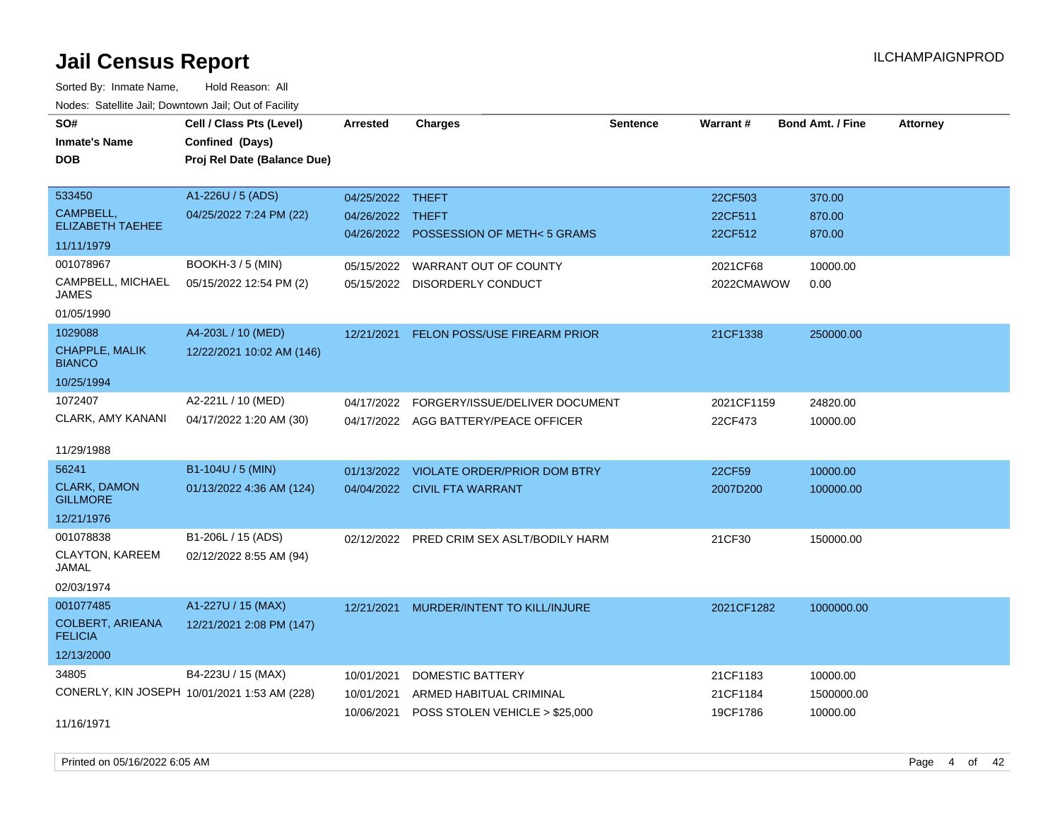Sorted By: Inmate Name, Hold Reason: All Nodes: Satellite Jail; Downtown Jail; Out of Facility

| voues. Saleline Jail, Downtown Jail, Out of Facility |                                              |                  |                                        |                 |            |                         |                 |
|------------------------------------------------------|----------------------------------------------|------------------|----------------------------------------|-----------------|------------|-------------------------|-----------------|
| SO#                                                  | Cell / Class Pts (Level)                     | Arrested         | <b>Charges</b>                         | <b>Sentence</b> | Warrant#   | <b>Bond Amt. / Fine</b> | <b>Attorney</b> |
| <b>Inmate's Name</b>                                 | Confined (Days)                              |                  |                                        |                 |            |                         |                 |
| DOB                                                  | Proj Rel Date (Balance Due)                  |                  |                                        |                 |            |                         |                 |
|                                                      |                                              |                  |                                        |                 |            |                         |                 |
| 533450                                               | A1-226U / 5 (ADS)                            | 04/25/2022 THEFT |                                        |                 | 22CF503    | 370.00                  |                 |
| CAMPBELL,                                            | 04/25/2022 7:24 PM (22)                      | 04/26/2022 THEFT |                                        |                 | 22CF511    | 870.00                  |                 |
| <b>ELIZABETH TAEHEE</b>                              |                                              |                  | 04/26/2022 POSSESSION OF METH< 5 GRAMS |                 | 22CF512    | 870.00                  |                 |
| 11/11/1979                                           |                                              |                  |                                        |                 |            |                         |                 |
| 001078967                                            | <b>BOOKH-3 / 5 (MIN)</b>                     | 05/15/2022       | WARRANT OUT OF COUNTY                  |                 | 2021CF68   | 10000.00                |                 |
| CAMPBELL, MICHAEL<br>JAMES                           | 05/15/2022 12:54 PM (2)                      | 05/15/2022       | <b>DISORDERLY CONDUCT</b>              |                 | 2022CMAWOW | 0.00                    |                 |
| 01/05/1990                                           |                                              |                  |                                        |                 |            |                         |                 |
| 1029088                                              | A4-203L / 10 (MED)                           | 12/21/2021       | FELON POSS/USE FIREARM PRIOR           |                 | 21CF1338   | 250000.00               |                 |
| CHAPPLE, MALIK<br><b>BIANCO</b>                      | 12/22/2021 10:02 AM (146)                    |                  |                                        |                 |            |                         |                 |
| 10/25/1994                                           |                                              |                  |                                        |                 |            |                         |                 |
| 1072407                                              | A2-221L / 10 (MED)                           | 04/17/2022       | FORGERY/ISSUE/DELIVER DOCUMENT         |                 | 2021CF1159 | 24820.00                |                 |
| <b>CLARK, AMY KANANI</b>                             | 04/17/2022 1:20 AM (30)                      |                  | 04/17/2022 AGG BATTERY/PEACE OFFICER   |                 | 22CF473    | 10000.00                |                 |
|                                                      |                                              |                  |                                        |                 |            |                         |                 |
| 11/29/1988                                           |                                              |                  |                                        |                 |            |                         |                 |
| 56241                                                | B1-104U / 5 (MIN)                            | 01/13/2022       | VIOLATE ORDER/PRIOR DOM BTRY           |                 | 22CF59     | 10000.00                |                 |
| <b>CLARK, DAMON</b><br><b>GILLMORE</b>               | 01/13/2022 4:36 AM (124)                     |                  | 04/04/2022 CIVIL FTA WARRANT           |                 | 2007D200   | 100000.00               |                 |
| 12/21/1976                                           |                                              |                  |                                        |                 |            |                         |                 |
| 001078838                                            | B1-206L / 15 (ADS)                           | 02/12/2022       | PRED CRIM SEX ASLT/BODILY HARM         |                 | 21CF30     | 150000.00               |                 |
| <b>CLAYTON, KAREEM</b><br>JAMAL                      | 02/12/2022 8:55 AM (94)                      |                  |                                        |                 |            |                         |                 |
| 02/03/1974                                           |                                              |                  |                                        |                 |            |                         |                 |
| 001077485                                            | A1-227U / 15 (MAX)                           | 12/21/2021       | MURDER/INTENT TO KILL/INJURE           |                 | 2021CF1282 | 1000000.00              |                 |
| <b>COLBERT, ARIEANA</b><br><b>FELICIA</b>            | 12/21/2021 2:08 PM (147)                     |                  |                                        |                 |            |                         |                 |
| 12/13/2000                                           |                                              |                  |                                        |                 |            |                         |                 |
| 34805                                                | B4-223U / 15 (MAX)                           | 10/01/2021       | DOMESTIC BATTERY                       |                 | 21CF1183   | 10000.00                |                 |
|                                                      | CONERLY, KIN JOSEPH 10/01/2021 1:53 AM (228) | 10/01/2021       | ARMED HABITUAL CRIMINAL                |                 | 21CF1184   | 1500000.00              |                 |
|                                                      |                                              | 10/06/2021       | POSS STOLEN VEHICLE > \$25,000         |                 | 19CF1786   | 10000.00                |                 |
| 11/16/1971                                           |                                              |                  |                                        |                 |            |                         |                 |

Printed on 05/16/2022 6:05 AM **Page 4 of 42** Page 4 of 42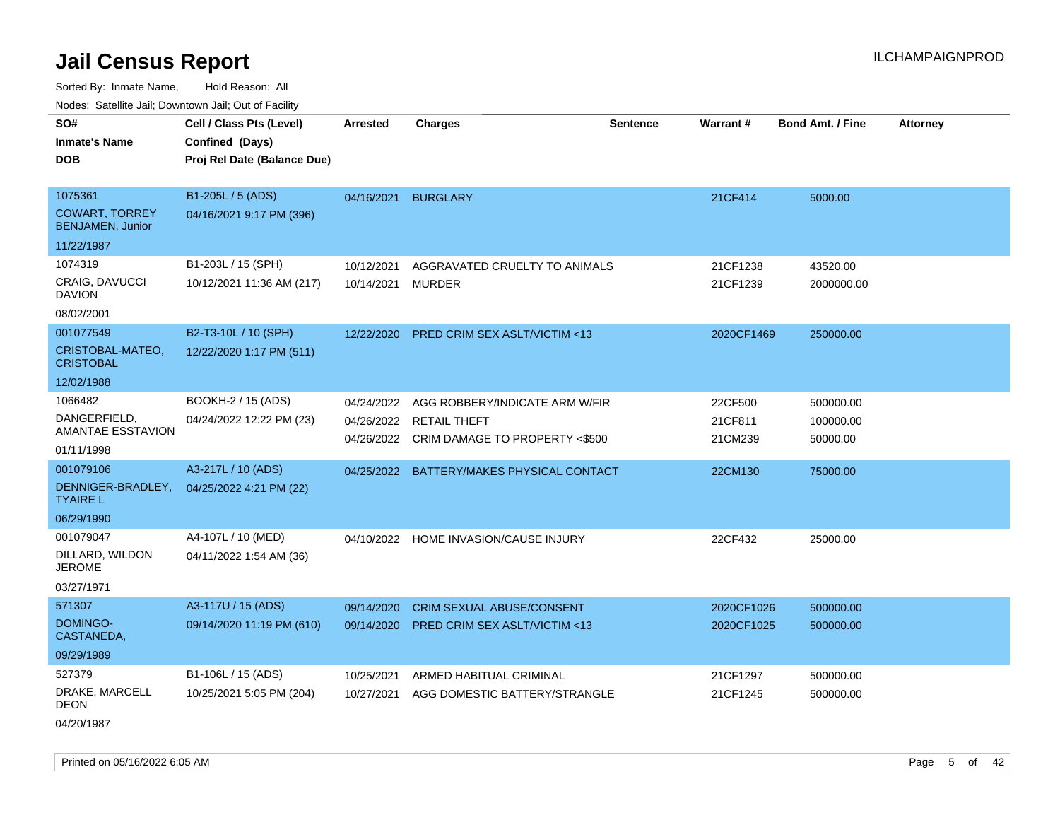Sorted By: Inmate Name, Hold Reason: All

|  |  |  | Nodes: Satellite Jail; Downtown Jail; Out of Facility |  |
|--|--|--|-------------------------------------------------------|--|
|--|--|--|-------------------------------------------------------|--|

| SO#                                       | Cell / Class Pts (Level)    | <b>Arrested</b> | <b>Charges</b>                                            | <b>Sentence</b> | Warrant#           | <b>Bond Amt. / Fine</b> | <b>Attorney</b> |
|-------------------------------------------|-----------------------------|-----------------|-----------------------------------------------------------|-----------------|--------------------|-------------------------|-----------------|
| <b>Inmate's Name</b>                      | Confined (Days)             |                 |                                                           |                 |                    |                         |                 |
| <b>DOB</b>                                | Proj Rel Date (Balance Due) |                 |                                                           |                 |                    |                         |                 |
|                                           |                             |                 |                                                           |                 |                    |                         |                 |
| 1075361                                   | B1-205L / 5 (ADS)           | 04/16/2021      | <b>BURGLARY</b>                                           |                 | 21CF414            | 5000.00                 |                 |
| <b>COWART, TORREY</b><br>BENJAMEN, Junior | 04/16/2021 9:17 PM (396)    |                 |                                                           |                 |                    |                         |                 |
| 11/22/1987                                |                             |                 |                                                           |                 |                    |                         |                 |
| 1074319                                   | B1-203L / 15 (SPH)          | 10/12/2021      | AGGRAVATED CRUELTY TO ANIMALS                             |                 | 21CF1238           | 43520.00                |                 |
| <b>CRAIG, DAVUCCI</b><br><b>DAVION</b>    | 10/12/2021 11:36 AM (217)   | 10/14/2021      | <b>MURDER</b>                                             |                 | 21CF1239           | 2000000.00              |                 |
| 08/02/2001                                |                             |                 |                                                           |                 |                    |                         |                 |
| 001077549                                 | B2-T3-10L / 10 (SPH)        | 12/22/2020      | PRED CRIM SEX ASLT/VICTIM <13                             |                 | 2020CF1469         | 250000.00               |                 |
| CRISTOBAL-MATEO,<br><b>CRISTOBAL</b>      | 12/22/2020 1:17 PM (511)    |                 |                                                           |                 |                    |                         |                 |
| 12/02/1988                                |                             |                 |                                                           |                 |                    |                         |                 |
| 1066482                                   | BOOKH-2 / 15 (ADS)          | 04/24/2022      | AGG ROBBERY/INDICATE ARM W/FIR                            |                 | 22CF500            | 500000.00               |                 |
| DANGERFIELD,<br>AMANTAE ESSTAVION         | 04/24/2022 12:22 PM (23)    | 04/26/2022      | 04/26/2022 RETAIL THEFT<br>CRIM DAMAGE TO PROPERTY <\$500 |                 | 21CF811<br>21CM239 | 100000.00<br>50000.00   |                 |
| 01/11/1998                                |                             |                 |                                                           |                 |                    |                         |                 |
| 001079106                                 | A3-217L / 10 (ADS)          | 04/25/2022      | BATTERY/MAKES PHYSICAL CONTACT                            |                 | 22CM130            | 75000.00                |                 |
| DENNIGER-BRADLEY,<br><b>TYAIRE L</b>      | 04/25/2022 4:21 PM (22)     |                 |                                                           |                 |                    |                         |                 |
| 06/29/1990                                |                             |                 |                                                           |                 |                    |                         |                 |
| 001079047                                 | A4-107L / 10 (MED)          | 04/10/2022      | HOME INVASION/CAUSE INJURY                                |                 | 22CF432            | 25000.00                |                 |
| DILLARD, WILDON<br><b>JEROME</b>          | 04/11/2022 1:54 AM (36)     |                 |                                                           |                 |                    |                         |                 |
| 03/27/1971                                |                             |                 |                                                           |                 |                    |                         |                 |
| 571307                                    | A3-117U / 15 (ADS)          | 09/14/2020      | <b>CRIM SEXUAL ABUSE/CONSENT</b>                          |                 | 2020CF1026         | 500000.00               |                 |
| <b>DOMINGO-</b><br>CASTANEDA,             | 09/14/2020 11:19 PM (610)   | 09/14/2020      | <b>PRED CRIM SEX ASLT/VICTIM &lt;13</b>                   |                 | 2020CF1025         | 500000.00               |                 |
| 09/29/1989                                |                             |                 |                                                           |                 |                    |                         |                 |
| 527379                                    | B1-106L / 15 (ADS)          | 10/25/2021      | ARMED HABITUAL CRIMINAL                                   |                 | 21CF1297           | 500000.00               |                 |
| DRAKE, MARCELL<br><b>DEON</b>             | 10/25/2021 5:05 PM (204)    | 10/27/2021      | AGG DOMESTIC BATTERY/STRANGLE                             |                 | 21CF1245           | 500000.00               |                 |

04/20/1987

Printed on 05/16/2022 6:05 AM Page 5 of 42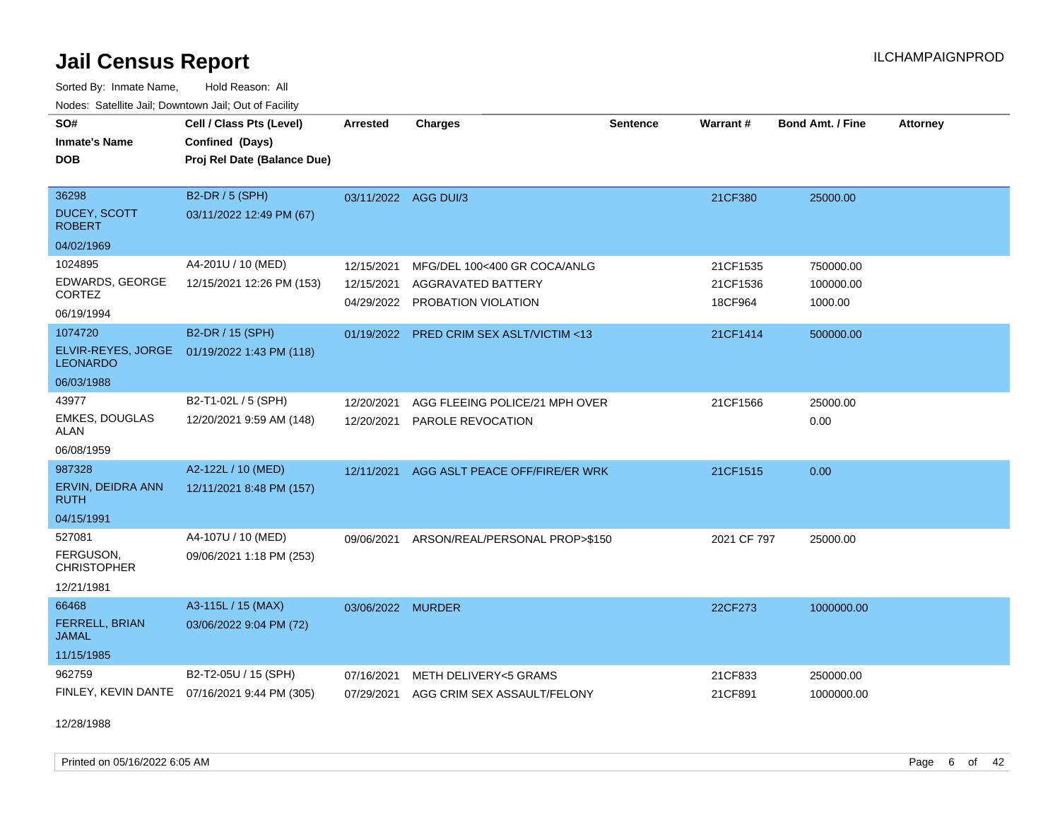Sorted By: Inmate Name, Hold Reason: All Nodes: Satellite Jail; Downtown Jail; Out of Facility

| Noues. Sateme Jan, Downtown Jan, Out or Facility |                                              |                      |                                         |                 |             |                         |                 |
|--------------------------------------------------|----------------------------------------------|----------------------|-----------------------------------------|-----------------|-------------|-------------------------|-----------------|
| SO#                                              | Cell / Class Pts (Level)                     | <b>Arrested</b>      | <b>Charges</b>                          | <b>Sentence</b> | Warrant#    | <b>Bond Amt. / Fine</b> | <b>Attorney</b> |
| <b>Inmate's Name</b>                             | Confined (Days)                              |                      |                                         |                 |             |                         |                 |
| <b>DOB</b>                                       | Proj Rel Date (Balance Due)                  |                      |                                         |                 |             |                         |                 |
|                                                  |                                              |                      |                                         |                 |             |                         |                 |
| 36298                                            | B2-DR / 5 (SPH)                              | 03/11/2022 AGG DUI/3 |                                         |                 | 21CF380     | 25000.00                |                 |
| <b>DUCEY, SCOTT</b><br><b>ROBERT</b>             | 03/11/2022 12:49 PM (67)                     |                      |                                         |                 |             |                         |                 |
| 04/02/1969                                       |                                              |                      |                                         |                 |             |                         |                 |
| 1024895                                          | A4-201U / 10 (MED)                           | 12/15/2021           | MFG/DEL 100<400 GR COCA/ANLG            |                 | 21CF1535    | 750000.00               |                 |
| EDWARDS, GEORGE                                  | 12/15/2021 12:26 PM (153)                    | 12/15/2021           | <b>AGGRAVATED BATTERY</b>               |                 | 21CF1536    | 100000.00               |                 |
| CORTEZ                                           |                                              |                      | 04/29/2022 PROBATION VIOLATION          |                 | 18CF964     | 1000.00                 |                 |
| 06/19/1994                                       |                                              |                      |                                         |                 |             |                         |                 |
| 1074720                                          | B2-DR / 15 (SPH)                             | 01/19/2022           | <b>PRED CRIM SEX ASLT/VICTIM &lt;13</b> |                 | 21CF1414    | 500000.00               |                 |
| ELVIR-REYES, JORGE<br><b>LEONARDO</b>            | 01/19/2022 1:43 PM (118)                     |                      |                                         |                 |             |                         |                 |
| 06/03/1988                                       |                                              |                      |                                         |                 |             |                         |                 |
| 43977                                            | B2-T1-02L / 5 (SPH)                          | 12/20/2021           | AGG FLEEING POLICE/21 MPH OVER          |                 | 21CF1566    | 25000.00                |                 |
| <b>EMKES, DOUGLAS</b><br><b>ALAN</b>             | 12/20/2021 9:59 AM (148)                     | 12/20/2021           | PAROLE REVOCATION                       |                 |             | 0.00                    |                 |
| 06/08/1959                                       |                                              |                      |                                         |                 |             |                         |                 |
| 987328                                           | A2-122L / 10 (MED)                           | 12/11/2021           | AGG ASLT PEACE OFF/FIRE/ER WRK          |                 | 21CF1515    | 0.00                    |                 |
| ERVIN, DEIDRA ANN<br>RUTH                        | 12/11/2021 8:48 PM (157)                     |                      |                                         |                 |             |                         |                 |
| 04/15/1991                                       |                                              |                      |                                         |                 |             |                         |                 |
| 527081                                           | A4-107U / 10 (MED)                           | 09/06/2021           | ARSON/REAL/PERSONAL PROP>\$150          |                 | 2021 CF 797 | 25000.00                |                 |
| FERGUSON,<br><b>CHRISTOPHER</b>                  | 09/06/2021 1:18 PM (253)                     |                      |                                         |                 |             |                         |                 |
| 12/21/1981                                       |                                              |                      |                                         |                 |             |                         |                 |
| 66468                                            | A3-115L / 15 (MAX)                           | 03/06/2022 MURDER    |                                         |                 | 22CF273     | 1000000.00              |                 |
| <b>FERRELL, BRIAN</b><br><b>JAMAL</b>            | 03/06/2022 9:04 PM (72)                      |                      |                                         |                 |             |                         |                 |
| 11/15/1985                                       |                                              |                      |                                         |                 |             |                         |                 |
| 962759                                           | B2-T2-05U / 15 (SPH)                         | 07/16/2021           | METH DELIVERY<5 GRAMS                   |                 | 21CF833     | 250000.00               |                 |
|                                                  | FINLEY, KEVIN DANTE 07/16/2021 9:44 PM (305) | 07/29/2021           | AGG CRIM SEX ASSAULT/FELONY             |                 | 21CF891     | 1000000.00              |                 |

12/28/1988

Printed on 05/16/2022 6:05 AM Page 6 of 42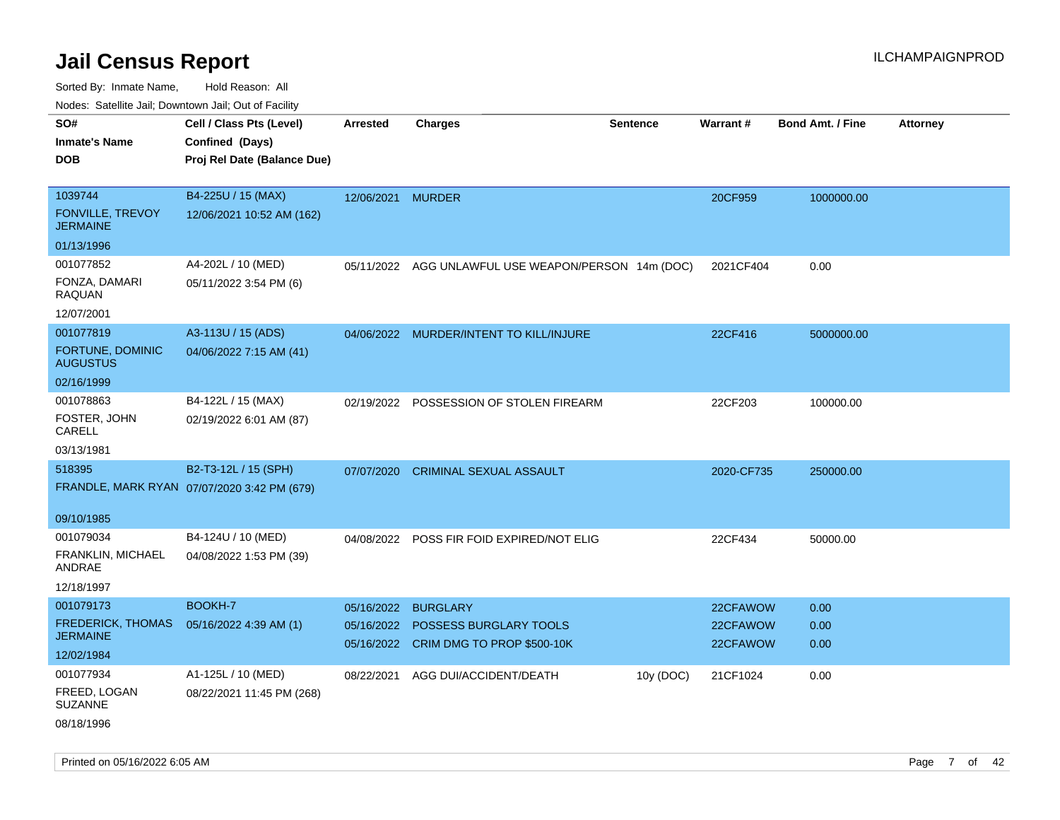| SO#<br><b>Inmate's Name</b><br><b>DOB</b>              | Cell / Class Pts (Level)<br>Confined (Days)<br>Proj Rel Date (Balance Due) | <b>Arrested</b> | <b>Charges</b>                                                  | <b>Sentence</b> | Warrant#             | <b>Bond Amt. / Fine</b> | <b>Attorney</b> |
|--------------------------------------------------------|----------------------------------------------------------------------------|-----------------|-----------------------------------------------------------------|-----------------|----------------------|-------------------------|-----------------|
| 1039744<br>FONVILLE, TREVOY<br><b>JERMAINE</b>         | B4-225U / 15 (MAX)<br>12/06/2021 10:52 AM (162)                            | 12/06/2021      | <b>MURDER</b>                                                   |                 | 20CF959              | 1000000.00              |                 |
| 01/13/1996                                             |                                                                            |                 |                                                                 |                 |                      |                         |                 |
| 001077852<br>FONZA, DAMARI<br>RAQUAN<br>12/07/2001     | A4-202L / 10 (MED)<br>05/11/2022 3:54 PM (6)                               | 05/11/2022      | AGG UNLAWFUL USE WEAPON/PERSON 14m (DOC)                        |                 | 2021CF404            | 0.00                    |                 |
| 001077819                                              | A3-113U / 15 (ADS)                                                         |                 |                                                                 |                 |                      |                         |                 |
| FORTUNE, DOMINIC<br><b>AUGUSTUS</b>                    | 04/06/2022 7:15 AM (41)                                                    |                 | 04/06/2022 MURDER/INTENT TO KILL/INJURE                         |                 | 22CF416              | 5000000.00              |                 |
| 02/16/1999                                             |                                                                            |                 |                                                                 |                 |                      |                         |                 |
| 001078863<br>FOSTER, JOHN<br>CARELL                    | B4-122L / 15 (MAX)<br>02/19/2022 6:01 AM (87)                              |                 | 02/19/2022 POSSESSION OF STOLEN FIREARM                         |                 | 22CF203              | 100000.00               |                 |
| 03/13/1981                                             |                                                                            |                 |                                                                 |                 |                      |                         |                 |
| 518395                                                 | B2-T3-12L / 15 (SPH)<br>FRANDLE, MARK RYAN 07/07/2020 3:42 PM (679)        | 07/07/2020      | <b>CRIMINAL SEXUAL ASSAULT</b>                                  |                 | 2020-CF735           | 250000.00               |                 |
| 09/10/1985                                             |                                                                            |                 |                                                                 |                 |                      |                         |                 |
| 001079034<br>FRANKLIN, MICHAEL<br>ANDRAE<br>12/18/1997 | B4-124U / 10 (MED)<br>04/08/2022 1:53 PM (39)                              |                 | 04/08/2022 POSS FIR FOID EXPIRED/NOT ELIG                       |                 | 22CF434              | 50000.00                |                 |
| 001079173                                              | BOOKH-7                                                                    | 05/16/2022      | <b>BURGLARY</b>                                                 |                 | 22CFAWOW             | 0.00                    |                 |
| <b>FREDERICK, THOMAS</b><br><b>JERMAINE</b>            | 05/16/2022 4:39 AM (1)                                                     | 05/16/2022      | POSSESS BURGLARY TOOLS<br>05/16/2022 CRIM DMG TO PROP \$500-10K |                 | 22CFAWOW<br>22CFAWOW | 0.00<br>0.00            |                 |
| 12/02/1984                                             |                                                                            |                 |                                                                 |                 |                      |                         |                 |
| 001077934                                              | A1-125L / 10 (MED)                                                         | 08/22/2021      | AGG DUI/ACCIDENT/DEATH                                          | 10y (DOC)       | 21CF1024             | 0.00                    |                 |
| FREED, LOGAN<br><b>SUZANNE</b>                         | 08/22/2021 11:45 PM (268)                                                  |                 |                                                                 |                 |                      |                         |                 |
| 08/18/1996                                             |                                                                            |                 |                                                                 |                 |                      |                         |                 |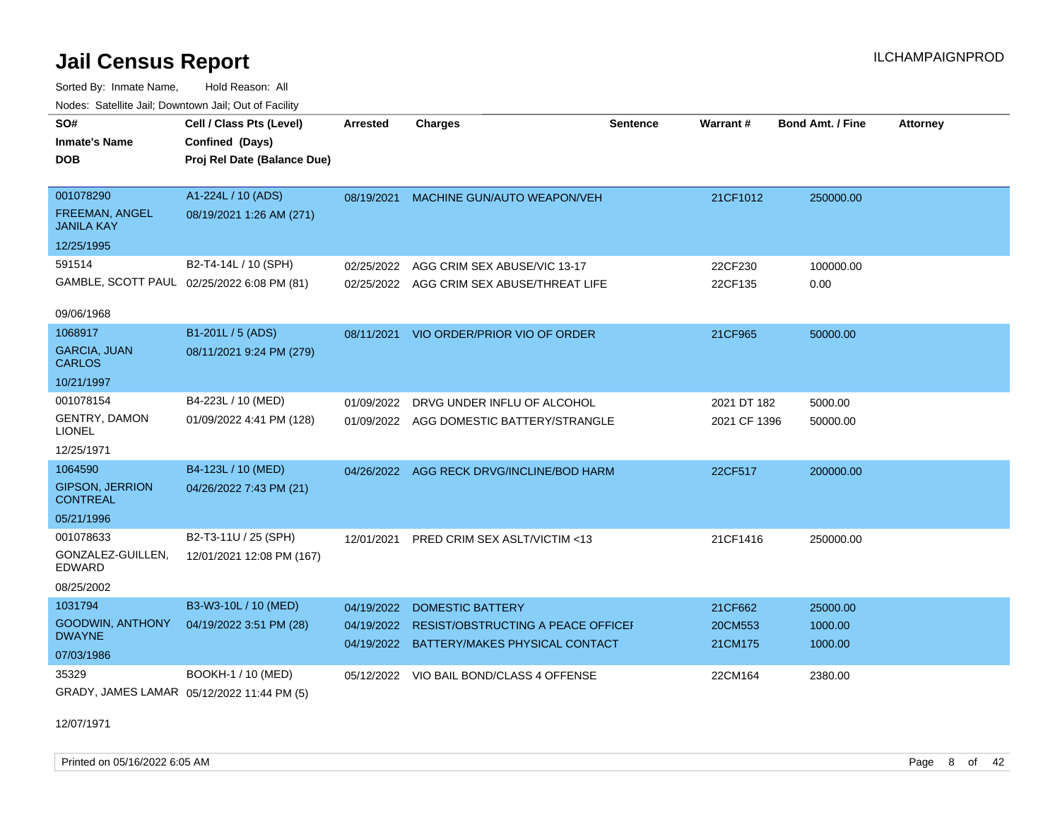Sorted By: Inmate Name, Hold Reason: All Nodes: Satellite Jail; Downtown Jail; Out of Facility

| SO#                                        | Cell / Class Pts (Level)    | <b>Arrested</b> | <b>Charges</b>                            | <b>Sentence</b> | <b>Warrant#</b> | <b>Bond Amt. / Fine</b> | <b>Attorney</b> |
|--------------------------------------------|-----------------------------|-----------------|-------------------------------------------|-----------------|-----------------|-------------------------|-----------------|
| <b>Inmate's Name</b>                       | Confined (Days)             |                 |                                           |                 |                 |                         |                 |
| <b>DOB</b>                                 | Proj Rel Date (Balance Due) |                 |                                           |                 |                 |                         |                 |
|                                            |                             |                 |                                           |                 |                 |                         |                 |
| 001078290                                  | A1-224L / 10 (ADS)          | 08/19/2021      | MACHINE GUN/AUTO WEAPON/VEH               |                 | 21CF1012        | 250000.00               |                 |
| <b>FREEMAN, ANGEL</b><br><b>JANILA KAY</b> | 08/19/2021 1:26 AM (271)    |                 |                                           |                 |                 |                         |                 |
| 12/25/1995                                 |                             |                 |                                           |                 |                 |                         |                 |
| 591514                                     | B2-T4-14L / 10 (SPH)        | 02/25/2022      | AGG CRIM SEX ABUSE/VIC 13-17              |                 | 22CF230         | 100000.00               |                 |
| GAMBLE, SCOTT PAUL 02/25/2022 6:08 PM (81) |                             |                 | 02/25/2022 AGG CRIM SEX ABUSE/THREAT LIFE |                 | 22CF135         | 0.00                    |                 |
|                                            |                             |                 |                                           |                 |                 |                         |                 |
| 09/06/1968                                 |                             |                 |                                           |                 |                 |                         |                 |
| 1068917                                    | B1-201L / 5 (ADS)           | 08/11/2021      | VIO ORDER/PRIOR VIO OF ORDER              |                 | 21CF965         | 50000.00                |                 |
| <b>GARCIA, JUAN</b><br><b>CARLOS</b>       | 08/11/2021 9:24 PM (279)    |                 |                                           |                 |                 |                         |                 |
| 10/21/1997                                 |                             |                 |                                           |                 |                 |                         |                 |
| 001078154                                  | B4-223L / 10 (MED)          | 01/09/2022      | DRVG UNDER INFLU OF ALCOHOL               |                 | 2021 DT 182     | 5000.00                 |                 |
| GENTRY, DAMON<br><b>LIONEL</b>             | 01/09/2022 4:41 PM (128)    |                 | 01/09/2022 AGG DOMESTIC BATTERY/STRANGLE  |                 | 2021 CF 1396    | 50000.00                |                 |
| 12/25/1971                                 |                             |                 |                                           |                 |                 |                         |                 |
| 1064590                                    | B4-123L / 10 (MED)          |                 | 04/26/2022 AGG RECK DRVG/INCLINE/BOD HARM |                 | 22CF517         | 200000.00               |                 |
| <b>GIPSON, JERRION</b><br><b>CONTREAL</b>  | 04/26/2022 7:43 PM (21)     |                 |                                           |                 |                 |                         |                 |
| 05/21/1996                                 |                             |                 |                                           |                 |                 |                         |                 |
| 001078633                                  | B2-T3-11U / 25 (SPH)        | 12/01/2021      | PRED CRIM SEX ASLT/VICTIM <13             |                 | 21CF1416        | 250000.00               |                 |
| GONZALEZ-GUILLEN,<br><b>EDWARD</b>         | 12/01/2021 12:08 PM (167)   |                 |                                           |                 |                 |                         |                 |
| 08/25/2002                                 |                             |                 |                                           |                 |                 |                         |                 |
| 1031794                                    | B3-W3-10L / 10 (MED)        | 04/19/2022      | <b>DOMESTIC BATTERY</b>                   |                 | 21CF662         | 25000.00                |                 |
| <b>GOODWIN, ANTHONY</b>                    | 04/19/2022 3:51 PM (28)     | 04/19/2022      | <b>RESIST/OBSTRUCTING A PEACE OFFICEF</b> |                 | 20CM553         | 1000.00                 |                 |
| <b>DWAYNE</b>                              |                             |                 | 04/19/2022 BATTERY/MAKES PHYSICAL CONTACT |                 | 21CM175         | 1000.00                 |                 |
| 07/03/1986                                 |                             |                 |                                           |                 |                 |                         |                 |
| 35329                                      | BOOKH-1 / 10 (MED)          |                 | 05/12/2022 VIO BAIL BOND/CLASS 4 OFFENSE  |                 | 22CM164         | 2380.00                 |                 |
| GRADY, JAMES LAMAR 05/12/2022 11:44 PM (5) |                             |                 |                                           |                 |                 |                         |                 |

12/07/1971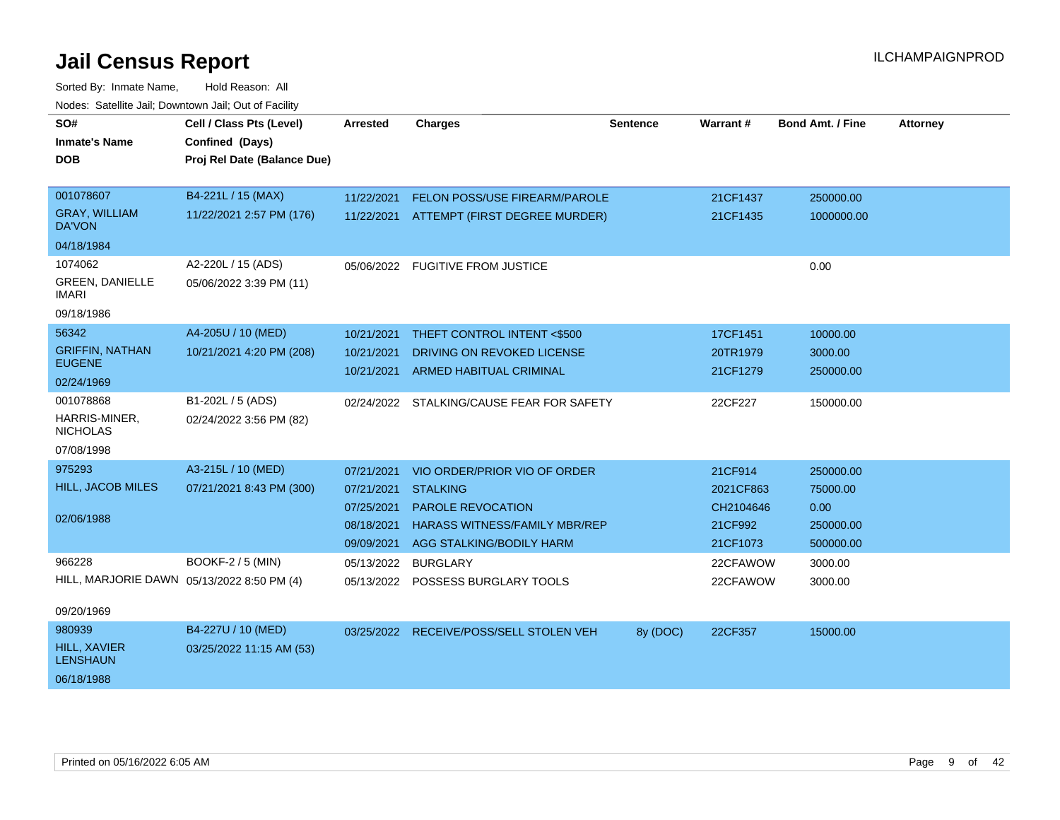| SO#                                        | Cell / Class Pts (Level)    | <b>Arrested</b>     | <b>Charges</b>                            | <b>Sentence</b> | <b>Warrant#</b> | <b>Bond Amt. / Fine</b> | <b>Attorney</b> |
|--------------------------------------------|-----------------------------|---------------------|-------------------------------------------|-----------------|-----------------|-------------------------|-----------------|
| <b>Inmate's Name</b>                       | Confined (Days)             |                     |                                           |                 |                 |                         |                 |
| <b>DOB</b>                                 | Proj Rel Date (Balance Due) |                     |                                           |                 |                 |                         |                 |
|                                            |                             |                     |                                           |                 |                 |                         |                 |
| 001078607                                  | B4-221L / 15 (MAX)          | 11/22/2021          | FELON POSS/USE FIREARM/PAROLE             |                 | 21CF1437        | 250000.00               |                 |
| <b>GRAY, WILLIAM</b><br>DA'VON             | 11/22/2021 2:57 PM (176)    |                     | 11/22/2021 ATTEMPT (FIRST DEGREE MURDER)  |                 | 21CF1435        | 1000000.00              |                 |
| 04/18/1984                                 |                             |                     |                                           |                 |                 |                         |                 |
| 1074062                                    | A2-220L / 15 (ADS)          |                     | 05/06/2022 FUGITIVE FROM JUSTICE          |                 |                 | 0.00                    |                 |
| <b>GREEN, DANIELLE</b><br>IMARI            | 05/06/2022 3:39 PM (11)     |                     |                                           |                 |                 |                         |                 |
| 09/18/1986                                 |                             |                     |                                           |                 |                 |                         |                 |
| 56342                                      | A4-205U / 10 (MED)          | 10/21/2021          | THEFT CONTROL INTENT <\$500               |                 | 17CF1451        | 10000.00                |                 |
| <b>GRIFFIN, NATHAN</b>                     | 10/21/2021 4:20 PM (208)    | 10/21/2021          | DRIVING ON REVOKED LICENSE                |                 | 20TR1979        | 3000.00                 |                 |
| <b>EUGENE</b>                              |                             |                     | 10/21/2021 ARMED HABITUAL CRIMINAL        |                 | 21CF1279        | 250000.00               |                 |
| 02/24/1969                                 |                             |                     |                                           |                 |                 |                         |                 |
| 001078868                                  | B1-202L / 5 (ADS)           |                     | 02/24/2022 STALKING/CAUSE FEAR FOR SAFETY |                 | 22CF227         | 150000.00               |                 |
| HARRIS-MINER,<br><b>NICHOLAS</b>           | 02/24/2022 3:56 PM (82)     |                     |                                           |                 |                 |                         |                 |
| 07/08/1998                                 |                             |                     |                                           |                 |                 |                         |                 |
| 975293                                     | A3-215L / 10 (MED)          | 07/21/2021          | VIO ORDER/PRIOR VIO OF ORDER              |                 | 21CF914         | 250000.00               |                 |
| HILL, JACOB MILES                          | 07/21/2021 8:43 PM (300)    | 07/21/2021          | <b>STALKING</b>                           |                 | 2021CF863       | 75000.00                |                 |
|                                            |                             | 07/25/2021          | <b>PAROLE REVOCATION</b>                  |                 | CH2104646       | 0.00                    |                 |
| 02/06/1988                                 |                             | 08/18/2021          | <b>HARASS WITNESS/FAMILY MBR/REP</b>      |                 | 21CF992         | 250000.00               |                 |
|                                            |                             | 09/09/2021          | AGG STALKING/BODILY HARM                  |                 | 21CF1073        | 500000.00               |                 |
| 966228                                     | <b>BOOKF-2 / 5 (MIN)</b>    | 05/13/2022 BURGLARY |                                           |                 | 22CFAWOW        | 3000.00                 |                 |
| HILL, MARJORIE DAWN 05/13/2022 8:50 PM (4) |                             |                     | 05/13/2022 POSSESS BURGLARY TOOLS         |                 | 22CFAWOW        | 3000.00                 |                 |
|                                            |                             |                     |                                           |                 |                 |                         |                 |
| 09/20/1969                                 |                             |                     |                                           |                 |                 |                         |                 |
| 980939                                     | B4-227U / 10 (MED)          |                     | 03/25/2022 RECEIVE/POSS/SELL STOLEN VEH   | 8y (DOC)        | 22CF357         | 15000.00                |                 |
| <b>HILL, XAVIER</b><br><b>LENSHAUN</b>     | 03/25/2022 11:15 AM (53)    |                     |                                           |                 |                 |                         |                 |
| 06/18/1988                                 |                             |                     |                                           |                 |                 |                         |                 |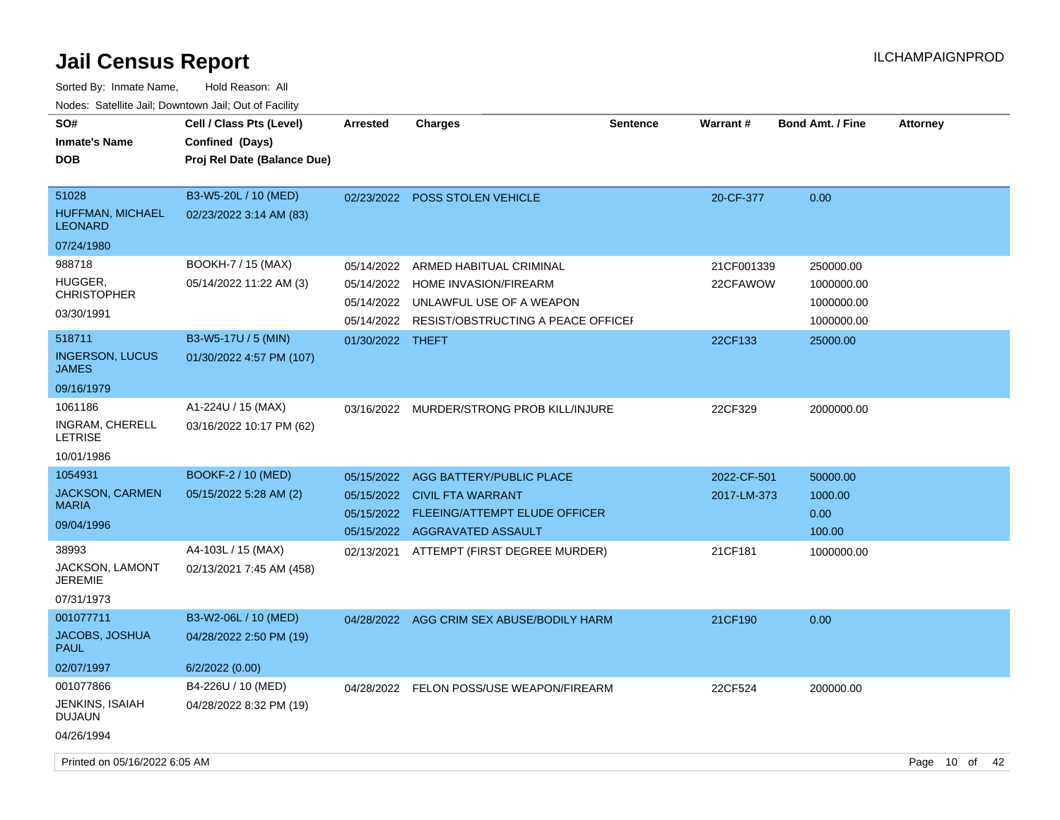| SO#<br><b>Inmate's Name</b><br><b>DOB</b>          | Cell / Class Pts (Level)<br>Confined (Days)<br>Proj Rel Date (Balance Due) | <b>Arrested</b>  | <b>Charges</b>                               | <b>Sentence</b> | Warrant#    | <b>Bond Amt. / Fine</b> | <b>Attorney</b> |  |
|----------------------------------------------------|----------------------------------------------------------------------------|------------------|----------------------------------------------|-----------------|-------------|-------------------------|-----------------|--|
| 51028<br><b>HUFFMAN, MICHAEL</b><br><b>LEONARD</b> | B3-W5-20L / 10 (MED)<br>02/23/2022 3:14 AM (83)                            |                  | 02/23/2022 POSS STOLEN VEHICLE               |                 | 20-CF-377   | 0.00                    |                 |  |
| 07/24/1980                                         |                                                                            |                  |                                              |                 |             |                         |                 |  |
| 988718                                             | BOOKH-7 / 15 (MAX)                                                         | 05/14/2022       | ARMED HABITUAL CRIMINAL                      |                 | 21CF001339  | 250000.00               |                 |  |
| HUGGER,<br><b>CHRISTOPHER</b>                      | 05/14/2022 11:22 AM (3)                                                    |                  | 05/14/2022 HOME INVASION/FIREARM             |                 | 22CFAWOW    | 1000000.00              |                 |  |
| 03/30/1991                                         |                                                                            |                  | 05/14/2022 UNLAWFUL USE OF A WEAPON          |                 |             | 1000000.00              |                 |  |
|                                                    |                                                                            |                  | 05/14/2022 RESIST/OBSTRUCTING A PEACE OFFICE |                 |             | 1000000.00              |                 |  |
| 518711                                             | B3-W5-17U / 5 (MIN)                                                        | 01/30/2022 THEFT |                                              |                 | 22CF133     | 25000.00                |                 |  |
| <b>INGERSON, LUCUS</b><br><b>JAMES</b>             | 01/30/2022 4:57 PM (107)                                                   |                  |                                              |                 |             |                         |                 |  |
| 09/16/1979                                         |                                                                            |                  |                                              |                 |             |                         |                 |  |
| 1061186                                            | A1-224U / 15 (MAX)                                                         |                  | 03/16/2022 MURDER/STRONG PROB KILL/INJURE    |                 | 22CF329     | 2000000.00              |                 |  |
| INGRAM, CHERELL<br><b>LETRISE</b>                  | 03/16/2022 10:17 PM (62)                                                   |                  |                                              |                 |             |                         |                 |  |
| 10/01/1986                                         |                                                                            |                  |                                              |                 |             |                         |                 |  |
| 1054931                                            | BOOKF-2 / 10 (MED)                                                         |                  | 05/15/2022 AGG BATTERY/PUBLIC PLACE          |                 | 2022-CF-501 | 50000.00                |                 |  |
| <b>JACKSON, CARMEN</b>                             | 05/15/2022 5:28 AM (2)                                                     |                  | 05/15/2022 CIVIL FTA WARRANT                 |                 | 2017-LM-373 | 1000.00                 |                 |  |
| <b>MARIA</b>                                       |                                                                            |                  | 05/15/2022 FLEEING/ATTEMPT ELUDE OFFICER     |                 |             | 0.00                    |                 |  |
| 09/04/1996                                         |                                                                            |                  | 05/15/2022 AGGRAVATED ASSAULT                |                 |             | 100.00                  |                 |  |
| 38993                                              | A4-103L / 15 (MAX)                                                         |                  | 02/13/2021 ATTEMPT (FIRST DEGREE MURDER)     |                 | 21CF181     | 1000000.00              |                 |  |
| JACKSON, LAMONT<br><b>JEREMIE</b>                  | 02/13/2021 7:45 AM (458)                                                   |                  |                                              |                 |             |                         |                 |  |
| 07/31/1973                                         |                                                                            |                  |                                              |                 |             |                         |                 |  |
| 001077711                                          | B3-W2-06L / 10 (MED)                                                       |                  | 04/28/2022 AGG CRIM SEX ABUSE/BODILY HARM    |                 | 21CF190     | 0.00                    |                 |  |
| JACOBS, JOSHUA<br><b>PAUL</b>                      | 04/28/2022 2:50 PM (19)                                                    |                  |                                              |                 |             |                         |                 |  |
| 02/07/1997                                         | 6/2/2022 (0.00)                                                            |                  |                                              |                 |             |                         |                 |  |
| 001077866                                          | B4-226U / 10 (MED)                                                         |                  | 04/28/2022 FELON POSS/USE WEAPON/FIREARM     |                 | 22CF524     | 200000.00               |                 |  |
| JENKINS, ISAIAH<br><b>DUJAUN</b>                   | 04/28/2022 8:32 PM (19)                                                    |                  |                                              |                 |             |                         |                 |  |
| 04/26/1994                                         |                                                                            |                  |                                              |                 |             |                         |                 |  |
| Printed on 05/16/2022 6:05 AM                      |                                                                            |                  |                                              |                 |             |                         | Page 10 of 42   |  |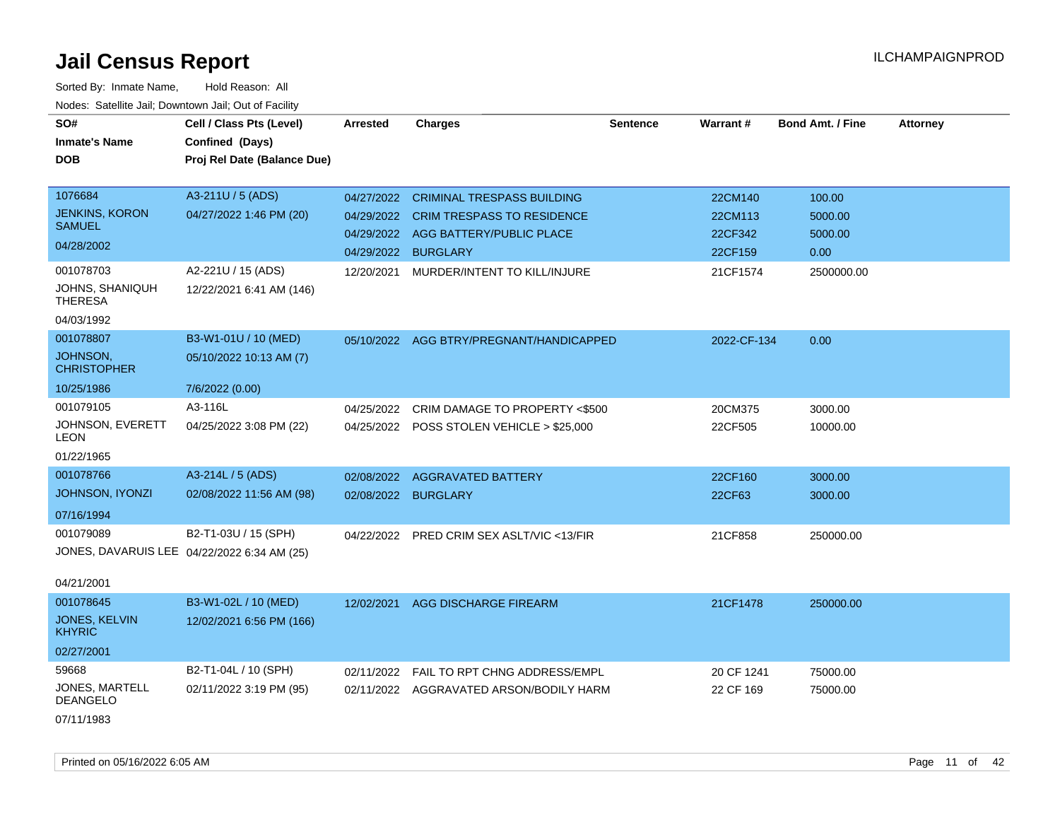| SO#<br><b>Inmate's Name</b>                                  | Cell / Class Pts (Level)<br>Confined (Days)      | <b>Arrested</b>          | <b>Charges</b>                              | <b>Sentence</b> | Warrant#           | <b>Bond Amt. / Fine</b> | <b>Attorney</b> |
|--------------------------------------------------------------|--------------------------------------------------|--------------------------|---------------------------------------------|-----------------|--------------------|-------------------------|-----------------|
| <b>DOB</b>                                                   | Proj Rel Date (Balance Due)                      |                          |                                             |                 |                    |                         |                 |
| 1076684                                                      | A3-211U / 5 (ADS)                                | 04/27/2022               | <b>CRIMINAL TRESPASS BUILDING</b>           |                 | 22CM140            | 100.00                  |                 |
| <b>JENKINS, KORON</b><br><b>SAMUEL</b>                       | 04/27/2022 1:46 PM (20)                          | 04/29/2022               | <b>CRIM TRESPASS TO RESIDENCE</b>           |                 | 22CM113            | 5000.00                 |                 |
| 04/28/2002                                                   |                                                  | 04/29/2022<br>04/29/2022 | AGG BATTERY/PUBLIC PLACE<br><b>BURGLARY</b> |                 | 22CF342<br>22CF159 | 5000.00<br>0.00         |                 |
| 001078703<br>JOHNS, SHANIQUH<br><b>THERESA</b><br>04/03/1992 | A2-221U / 15 (ADS)<br>12/22/2021 6:41 AM (146)   | 12/20/2021               | MURDER/INTENT TO KILL/INJURE                |                 | 21CF1574           | 2500000.00              |                 |
| 001078807                                                    | B3-W1-01U / 10 (MED)                             |                          | 05/10/2022 AGG BTRY/PREGNANT/HANDICAPPED    |                 | 2022-CF-134        | 0.00                    |                 |
| <b>JOHNSON,</b><br><b>CHRISTOPHER</b>                        | 05/10/2022 10:13 AM (7)                          |                          |                                             |                 |                    |                         |                 |
| 10/25/1986                                                   | 7/6/2022 (0.00)                                  |                          |                                             |                 |                    |                         |                 |
| 001079105                                                    | A3-116L                                          | 04/25/2022               | CRIM DAMAGE TO PROPERTY <\$500              |                 | 20CM375            | 3000.00                 |                 |
| JOHNSON, EVERETT<br>LEON                                     | 04/25/2022 3:08 PM (22)                          |                          | 04/25/2022 POSS STOLEN VEHICLE > \$25,000   |                 | 22CF505            | 10000.00                |                 |
| 01/22/1965                                                   |                                                  |                          |                                             |                 |                    |                         |                 |
| 001078766                                                    | A3-214L / 5 (ADS)                                | 02/08/2022               | <b>AGGRAVATED BATTERY</b>                   |                 | 22CF160            | 3000.00                 |                 |
| JOHNSON, IYONZI                                              | 02/08/2022 11:56 AM (98)                         | 02/08/2022 BURGLARY      |                                             |                 | 22CF63             | 3000.00                 |                 |
| 07/16/1994                                                   |                                                  |                          |                                             |                 |                    |                         |                 |
| 001079089                                                    | B2-T1-03U / 15 (SPH)                             | 04/22/2022               | PRED CRIM SEX ASLT/VIC <13/FIR              |                 | 21CF858            | 250000.00               |                 |
| JONES, DAVARUIS LEE 04/22/2022 6:34 AM (25)                  |                                                  |                          |                                             |                 |                    |                         |                 |
| 04/21/2001                                                   |                                                  |                          |                                             |                 |                    |                         |                 |
| 001078645<br>JONES, KELVIN                                   | B3-W1-02L / 10 (MED)<br>12/02/2021 6:56 PM (166) | 12/02/2021               | AGG DISCHARGE FIREARM                       |                 | 21CF1478           | 250000.00               |                 |
| <b>KHYRIC</b>                                                |                                                  |                          |                                             |                 |                    |                         |                 |
| 02/27/2001                                                   |                                                  |                          |                                             |                 |                    |                         |                 |
| 59668                                                        | B2-T1-04L / 10 (SPH)                             | 02/11/2022               | FAIL TO RPT CHNG ADDRESS/EMPL               |                 | 20 CF 1241         | 75000.00                |                 |
| JONES, MARTELL<br>DEANGELO                                   | 02/11/2022 3:19 PM (95)                          |                          | 02/11/2022 AGGRAVATED ARSON/BODILY HARM     |                 | 22 CF 169          | 75000.00                |                 |
| 07/11/1983                                                   |                                                  |                          |                                             |                 |                    |                         |                 |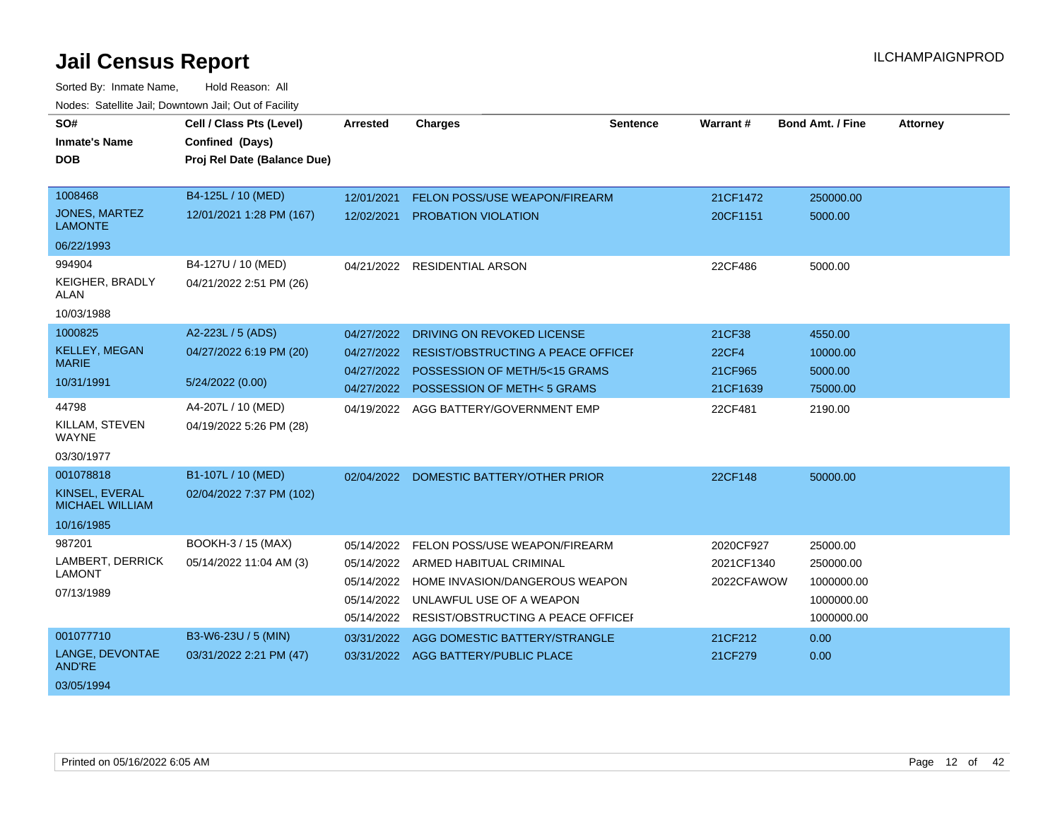| SO#<br><b>Inmate's Name</b><br><b>DOB</b> | Cell / Class Pts (Level)<br>Confined (Days)<br>Proj Rel Date (Balance Due) | <b>Arrested</b> | <b>Charges</b>                            | Sentence | Warrant#     | <b>Bond Amt. / Fine</b> | Attorney |
|-------------------------------------------|----------------------------------------------------------------------------|-----------------|-------------------------------------------|----------|--------------|-------------------------|----------|
| 1008468                                   | B4-125L / 10 (MED)                                                         | 12/01/2021      | <b>FELON POSS/USE WEAPON/FIREARM</b>      |          | 21CF1472     | 250000.00               |          |
| <b>JONES, MARTEZ</b><br><b>LAMONTE</b>    | 12/01/2021 1:28 PM (167)                                                   | 12/02/2021      | PROBATION VIOLATION                       |          | 20CF1151     | 5000.00                 |          |
| 06/22/1993                                |                                                                            |                 |                                           |          |              |                         |          |
| 994904                                    | B4-127U / 10 (MED)                                                         | 04/21/2022      | <b>RESIDENTIAL ARSON</b>                  |          | 22CF486      | 5000.00                 |          |
| KEIGHER, BRADLY<br>ALAN                   | 04/21/2022 2:51 PM (26)                                                    |                 |                                           |          |              |                         |          |
| 10/03/1988                                |                                                                            |                 |                                           |          |              |                         |          |
| 1000825                                   | A2-223L / 5 (ADS)                                                          | 04/27/2022      | DRIVING ON REVOKED LICENSE                |          | 21CF38       | 4550.00                 |          |
| <b>KELLEY, MEGAN</b><br><b>MARIE</b>      | 04/27/2022 6:19 PM (20)                                                    | 04/27/2022      | <b>RESIST/OBSTRUCTING A PEACE OFFICEF</b> |          | <b>22CF4</b> | 10000.00                |          |
|                                           |                                                                            | 04/27/2022      | POSSESSION OF METH/5<15 GRAMS             |          | 21CF965      | 5000.00                 |          |
| 10/31/1991                                | 5/24/2022 (0.00)                                                           | 04/27/2022      | POSSESSION OF METH<5 GRAMS                |          | 21CF1639     | 75000.00                |          |
| 44798                                     | A4-207L / 10 (MED)                                                         | 04/19/2022      | AGG BATTERY/GOVERNMENT EMP                |          | 22CF481      | 2190.00                 |          |
| KILLAM, STEVEN<br><b>WAYNE</b>            | 04/19/2022 5:26 PM (28)                                                    |                 |                                           |          |              |                         |          |
| 03/30/1977                                |                                                                            |                 |                                           |          |              |                         |          |
| 001078818                                 | B1-107L / 10 (MED)                                                         | 02/04/2022      | DOMESTIC BATTERY/OTHER PRIOR              |          | 22CF148      | 50000.00                |          |
| KINSEL, EVERAL<br><b>MICHAEL WILLIAM</b>  | 02/04/2022 7:37 PM (102)                                                   |                 |                                           |          |              |                         |          |
| 10/16/1985                                |                                                                            |                 |                                           |          |              |                         |          |
| 987201                                    | BOOKH-3 / 15 (MAX)                                                         | 05/14/2022      | FELON POSS/USE WEAPON/FIREARM             |          | 2020CF927    | 25000.00                |          |
| LAMBERT, DERRICK                          | 05/14/2022 11:04 AM (3)                                                    | 05/14/2022      | ARMED HABITUAL CRIMINAL                   |          | 2021CF1340   | 250000.00               |          |
| <b>LAMONT</b>                             |                                                                            | 05/14/2022      | HOME INVASION/DANGEROUS WEAPON            |          | 2022CFAWOW   | 1000000.00              |          |
| 07/13/1989                                |                                                                            | 05/14/2022      | UNLAWFUL USE OF A WEAPON                  |          |              | 1000000.00              |          |
|                                           |                                                                            | 05/14/2022      | RESIST/OBSTRUCTING A PEACE OFFICEL        |          |              | 1000000.00              |          |
| 001077710                                 | B3-W6-23U / 5 (MIN)                                                        | 03/31/2022      | AGG DOMESTIC BATTERY/STRANGLE             |          | 21CF212      | 0.00                    |          |
| LANGE, DEVONTAE<br><b>AND'RE</b>          | 03/31/2022 2:21 PM (47)                                                    | 03/31/2022      | AGG BATTERY/PUBLIC PLACE                  |          | 21CF279      | 0.00                    |          |
| 03/05/1994                                |                                                                            |                 |                                           |          |              |                         |          |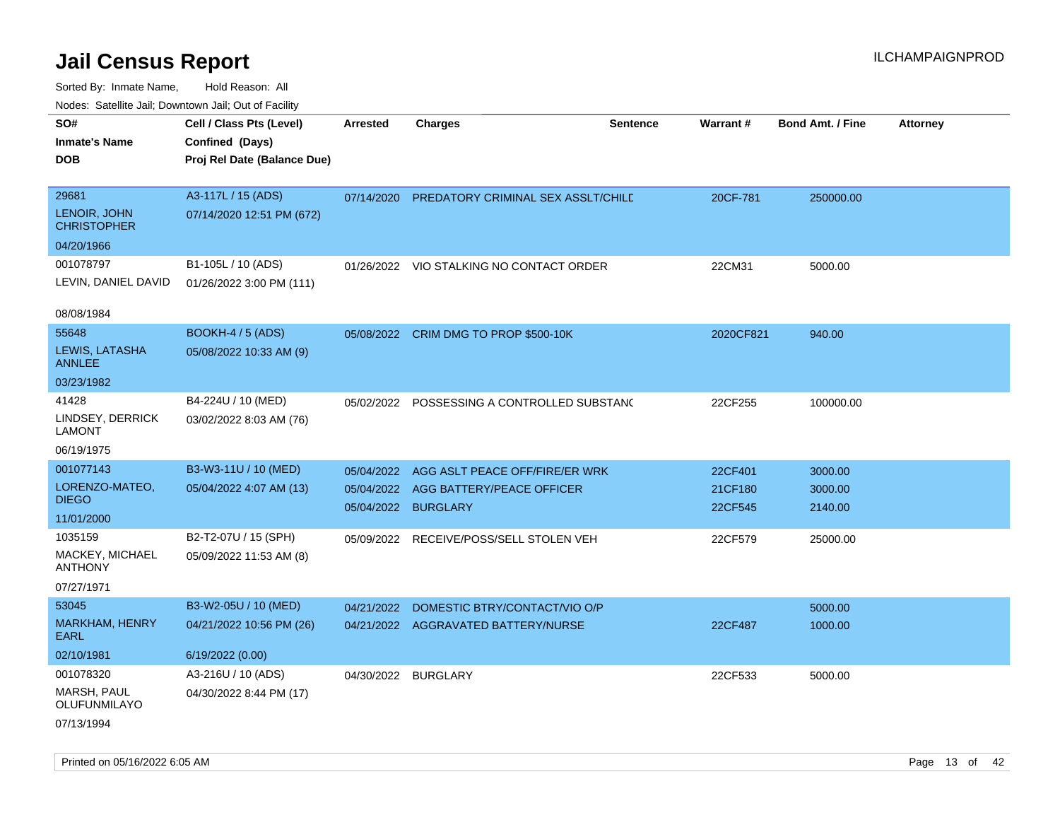| rougs. Calcing Jan, Downtown Jan, Out of Facility |                                                                            |                 |                                             |                 |           |                         |                 |
|---------------------------------------------------|----------------------------------------------------------------------------|-----------------|---------------------------------------------|-----------------|-----------|-------------------------|-----------------|
| SO#<br><b>Inmate's Name</b><br><b>DOB</b>         | Cell / Class Pts (Level)<br>Confined (Days)<br>Proj Rel Date (Balance Due) | <b>Arrested</b> | <b>Charges</b>                              | <b>Sentence</b> | Warrant#  | <b>Bond Amt. / Fine</b> | <b>Attorney</b> |
|                                                   |                                                                            |                 |                                             |                 |           |                         |                 |
| 29681                                             | A3-117L / 15 (ADS)                                                         | 07/14/2020      | PREDATORY CRIMINAL SEX ASSLT/CHILE          |                 | 20CF-781  | 250000.00               |                 |
| LENOIR, JOHN<br><b>CHRISTOPHER</b>                | 07/14/2020 12:51 PM (672)                                                  |                 |                                             |                 |           |                         |                 |
| 04/20/1966                                        |                                                                            |                 |                                             |                 |           |                         |                 |
| 001078797                                         | B1-105L / 10 (ADS)                                                         |                 | 01/26/2022 VIO STALKING NO CONTACT ORDER    |                 | 22CM31    | 5000.00                 |                 |
| LEVIN, DANIEL DAVID                               | 01/26/2022 3:00 PM (111)                                                   |                 |                                             |                 |           |                         |                 |
| 08/08/1984                                        |                                                                            |                 |                                             |                 |           |                         |                 |
| 55648                                             | BOOKH-4 / 5 (ADS)                                                          |                 | 05/08/2022 CRIM DMG TO PROP \$500-10K       |                 | 2020CF821 | 940.00                  |                 |
| LEWIS, LATASHA<br><b>ANNLEE</b>                   | 05/08/2022 10:33 AM (9)                                                    |                 |                                             |                 |           |                         |                 |
| 03/23/1982                                        |                                                                            |                 |                                             |                 |           |                         |                 |
| 41428                                             | B4-224U / 10 (MED)                                                         |                 | 05/02/2022 POSSESSING A CONTROLLED SUBSTANG |                 | 22CF255   | 100000.00               |                 |
| LINDSEY, DERRICK<br>LAMONT                        | 03/02/2022 8:03 AM (76)                                                    |                 |                                             |                 |           |                         |                 |
| 06/19/1975                                        |                                                                            |                 |                                             |                 |           |                         |                 |
| 001077143                                         | B3-W3-11U / 10 (MED)                                                       | 05/04/2022      | AGG ASLT PEACE OFF/FIRE/ER WRK              |                 | 22CF401   | 3000.00                 |                 |
| LORENZO-MATEO,                                    | 05/04/2022 4:07 AM (13)                                                    |                 | 05/04/2022 AGG BATTERY/PEACE OFFICER        |                 | 21CF180   | 3000.00                 |                 |
| <b>DIEGO</b>                                      |                                                                            |                 | 05/04/2022 BURGLARY                         |                 | 22CF545   | 2140.00                 |                 |
| 11/01/2000                                        |                                                                            |                 |                                             |                 |           |                         |                 |
| 1035159<br>MACKEY, MICHAEL                        | B2-T2-07U / 15 (SPH)                                                       |                 | 05/09/2022 RECEIVE/POSS/SELL STOLEN VEH     |                 | 22CF579   | 25000.00                |                 |
| <b>ANTHONY</b>                                    | 05/09/2022 11:53 AM (8)                                                    |                 |                                             |                 |           |                         |                 |
| 07/27/1971                                        |                                                                            |                 |                                             |                 |           |                         |                 |
| 53045                                             | B3-W2-05U / 10 (MED)                                                       | 04/21/2022      | DOMESTIC BTRY/CONTACT/VIO O/P               |                 |           | 5000.00                 |                 |
| <b>MARKHAM, HENRY</b><br>EARL                     | 04/21/2022 10:56 PM (26)                                                   |                 | 04/21/2022 AGGRAVATED BATTERY/NURSE         |                 | 22CF487   | 1000.00                 |                 |
| 02/10/1981                                        | 6/19/2022 (0.00)                                                           |                 |                                             |                 |           |                         |                 |
| 001078320                                         | A3-216U / 10 (ADS)                                                         |                 | 04/30/2022 BURGLARY                         |                 | 22CF533   | 5000.00                 |                 |
| MARSH, PAUL<br>OLUFUNMILAYO                       | 04/30/2022 8:44 PM (17)                                                    |                 |                                             |                 |           |                         |                 |
| 07/13/1994                                        |                                                                            |                 |                                             |                 |           |                         |                 |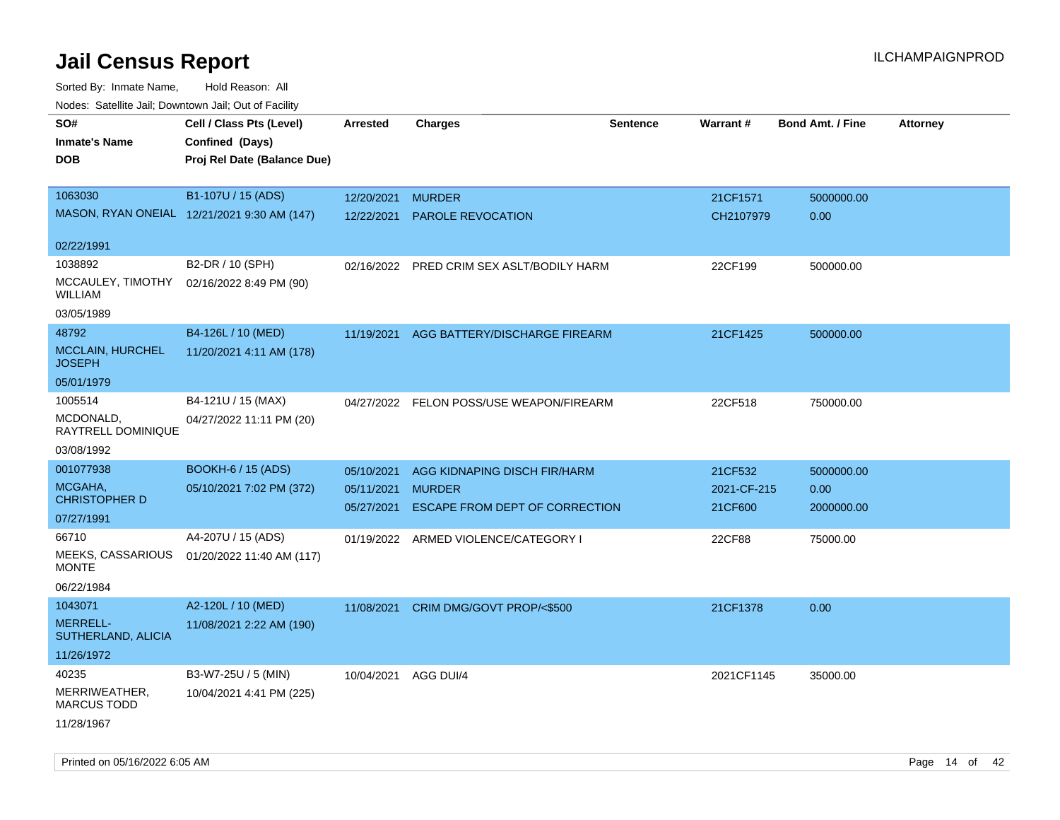Sorted By: Inmate Name, Hold Reason: All Nodes: Satellite Jail; Downtown Jail; Out of Facility

| rouco. Calcinic Jan, Downtown Jan, Out of Facility |                                             |                      |                                           |                 |             |                         |                 |
|----------------------------------------------------|---------------------------------------------|----------------------|-------------------------------------------|-----------------|-------------|-------------------------|-----------------|
| SO#                                                | Cell / Class Pts (Level)                    | <b>Arrested</b>      | <b>Charges</b>                            | <b>Sentence</b> | Warrant#    | <b>Bond Amt. / Fine</b> | <b>Attorney</b> |
| <b>Inmate's Name</b>                               | Confined (Days)                             |                      |                                           |                 |             |                         |                 |
| <b>DOB</b>                                         | Proj Rel Date (Balance Due)                 |                      |                                           |                 |             |                         |                 |
|                                                    |                                             |                      |                                           |                 |             |                         |                 |
| 1063030                                            | B1-107U / 15 (ADS)                          | 12/20/2021           | <b>MURDER</b>                             |                 | 21CF1571    | 5000000.00              |                 |
|                                                    | MASON, RYAN ONEIAL 12/21/2021 9:30 AM (147) |                      | 12/22/2021 PAROLE REVOCATION              |                 | CH2107979   | 0.00                    |                 |
|                                                    |                                             |                      |                                           |                 |             |                         |                 |
| 02/22/1991                                         |                                             |                      |                                           |                 |             |                         |                 |
| 1038892                                            | B2-DR / 10 (SPH)                            |                      | 02/16/2022 PRED CRIM SEX ASLT/BODILY HARM |                 | 22CF199     | 500000.00               |                 |
| MCCAULEY, TIMOTHY<br><b>WILLIAM</b>                | 02/16/2022 8:49 PM (90)                     |                      |                                           |                 |             |                         |                 |
| 03/05/1989                                         |                                             |                      |                                           |                 |             |                         |                 |
| 48792                                              | B4-126L / 10 (MED)                          | 11/19/2021           | AGG BATTERY/DISCHARGE FIREARM             |                 | 21CF1425    | 500000.00               |                 |
| <b>MCCLAIN, HURCHEL</b><br><b>JOSEPH</b>           | 11/20/2021 4:11 AM (178)                    |                      |                                           |                 |             |                         |                 |
| 05/01/1979                                         |                                             |                      |                                           |                 |             |                         |                 |
| 1005514                                            | B4-121U / 15 (MAX)                          |                      | 04/27/2022 FELON POSS/USE WEAPON/FIREARM  |                 | 22CF518     | 750000.00               |                 |
| MCDONALD,<br>RAYTRELL DOMINIQUE                    | 04/27/2022 11:11 PM (20)                    |                      |                                           |                 |             |                         |                 |
| 03/08/1992                                         |                                             |                      |                                           |                 |             |                         |                 |
| 001077938                                          | <b>BOOKH-6 / 15 (ADS)</b>                   | 05/10/2021           | AGG KIDNAPING DISCH FIR/HARM              |                 | 21CF532     | 5000000.00              |                 |
| MCGAHA,                                            | 05/10/2021 7:02 PM (372)                    | 05/11/2021           | <b>MURDER</b>                             |                 | 2021-CF-215 | 0.00                    |                 |
| <b>CHRISTOPHER D</b>                               |                                             | 05/27/2021           | ESCAPE FROM DEPT OF CORRECTION            |                 | 21CF600     | 2000000.00              |                 |
| 07/27/1991                                         |                                             |                      |                                           |                 |             |                         |                 |
| 66710                                              | A4-207U / 15 (ADS)                          |                      | 01/19/2022 ARMED VIOLENCE/CATEGORY I      |                 | 22CF88      | 75000.00                |                 |
| MEEKS, CASSARIOUS<br><b>MONTE</b>                  | 01/20/2022 11:40 AM (117)                   |                      |                                           |                 |             |                         |                 |
| 06/22/1984                                         |                                             |                      |                                           |                 |             |                         |                 |
| 1043071                                            | A2-120L / 10 (MED)                          | 11/08/2021           | CRIM DMG/GOVT PROP/<\$500                 |                 | 21CF1378    | 0.00                    |                 |
| <b>MERRELL-</b><br>SUTHERLAND, ALICIA              | 11/08/2021 2:22 AM (190)                    |                      |                                           |                 |             |                         |                 |
| 11/26/1972                                         |                                             |                      |                                           |                 |             |                         |                 |
| 40235                                              | B3-W7-25U / 5 (MIN)                         | 10/04/2021 AGG DUI/4 |                                           |                 | 2021CF1145  | 35000.00                |                 |
| MERRIWEATHER,<br><b>MARCUS TODD</b>                | 10/04/2021 4:41 PM (225)                    |                      |                                           |                 |             |                         |                 |
| 11/28/1967                                         |                                             |                      |                                           |                 |             |                         |                 |

Printed on 05/16/2022 6:05 AM **Page 14** of 42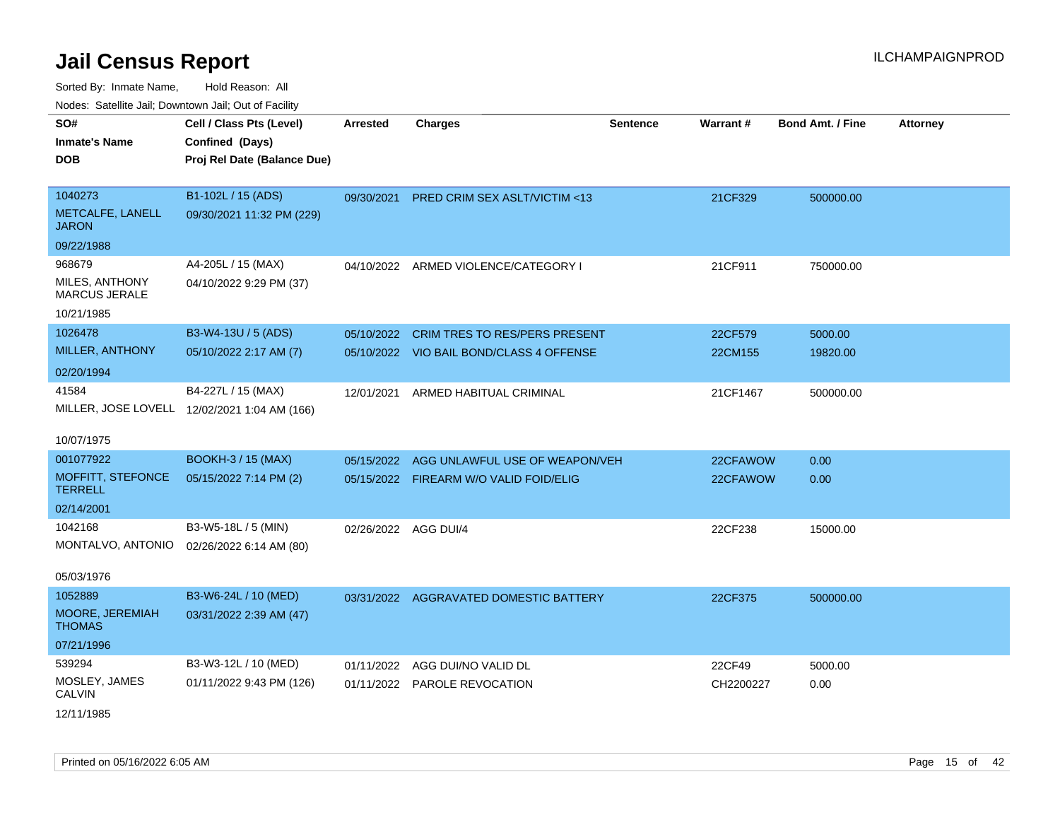| rouco. Calcillo Jali, Downtown Jali, Out of Facility |                                              |                      |                                          |                 |                 |                         |                 |
|------------------------------------------------------|----------------------------------------------|----------------------|------------------------------------------|-----------------|-----------------|-------------------------|-----------------|
| SO#                                                  | Cell / Class Pts (Level)                     | Arrested             | <b>Charges</b>                           | <b>Sentence</b> | <b>Warrant#</b> | <b>Bond Amt. / Fine</b> | <b>Attorney</b> |
| Inmate's Name                                        | Confined (Days)                              |                      |                                          |                 |                 |                         |                 |
| DOB                                                  | Proj Rel Date (Balance Due)                  |                      |                                          |                 |                 |                         |                 |
|                                                      |                                              |                      |                                          |                 |                 |                         |                 |
| 1040273                                              | B1-102L / 15 (ADS)                           |                      | 09/30/2021 PRED CRIM SEX ASLT/VICTIM <13 |                 | 21CF329         | 500000.00               |                 |
| METCALFE, LANELL<br>JARON                            | 09/30/2021 11:32 PM (229)                    |                      |                                          |                 |                 |                         |                 |
| 09/22/1988                                           |                                              |                      |                                          |                 |                 |                         |                 |
| 968679                                               | A4-205L / 15 (MAX)                           |                      | 04/10/2022 ARMED VIOLENCE/CATEGORY I     |                 | 21CF911         | 750000.00               |                 |
| MILES, ANTHONY<br>MARCUS JERALE                      | 04/10/2022 9:29 PM (37)                      |                      |                                          |                 |                 |                         |                 |
| 10/21/1985                                           |                                              |                      |                                          |                 |                 |                         |                 |
| 1026478                                              | B3-W4-13U / 5 (ADS)                          | 05/10/2022           | <b>CRIM TRES TO RES/PERS PRESENT</b>     |                 | 22CF579         | 5000.00                 |                 |
| MILLER, ANTHONY                                      | 05/10/2022 2:17 AM (7)                       |                      | 05/10/2022 VIO BAIL BOND/CLASS 4 OFFENSE |                 | 22CM155         | 19820.00                |                 |
| 02/20/1994                                           |                                              |                      |                                          |                 |                 |                         |                 |
| 41584                                                | B4-227L / 15 (MAX)                           | 12/01/2021           | ARMED HABITUAL CRIMINAL                  |                 | 21CF1467        | 500000.00               |                 |
|                                                      | MILLER, JOSE LOVELL 12/02/2021 1:04 AM (166) |                      |                                          |                 |                 |                         |                 |
|                                                      |                                              |                      |                                          |                 |                 |                         |                 |
| 10/07/1975                                           |                                              |                      |                                          |                 |                 |                         |                 |
| 001077922                                            | <b>BOOKH-3 / 15 (MAX)</b>                    | 05/15/2022           | AGG UNLAWFUL USE OF WEAPON/VEH           |                 | 22CFAWOW        | 0.00                    |                 |
| <b>MOFFITT, STEFONCE</b><br><b>TERRELL</b>           | 05/15/2022 7:14 PM (2)                       |                      | 05/15/2022 FIREARM W/O VALID FOID/ELIG   |                 | 22CFAWOW        | 0.00                    |                 |
| 02/14/2001                                           |                                              |                      |                                          |                 |                 |                         |                 |
| 1042168                                              | B3-W5-18L / 5 (MIN)                          | 02/26/2022 AGG DUI/4 |                                          |                 | 22CF238         | 15000.00                |                 |
|                                                      | MONTALVO, ANTONIO 02/26/2022 6:14 AM (80)    |                      |                                          |                 |                 |                         |                 |
|                                                      |                                              |                      |                                          |                 |                 |                         |                 |
| 05/03/1976                                           |                                              |                      |                                          |                 |                 |                         |                 |
| 1052889                                              | B3-W6-24L / 10 (MED)                         |                      | 03/31/2022 AGGRAVATED DOMESTIC BATTERY   |                 | 22CF375         | 500000.00               |                 |
| MOORE, JEREMIAH<br>THOMAS                            | 03/31/2022 2:39 AM (47)                      |                      |                                          |                 |                 |                         |                 |
| 07/21/1996                                           |                                              |                      |                                          |                 |                 |                         |                 |
| 539294                                               | B3-W3-12L / 10 (MED)                         | 01/11/2022           | AGG DUI/NO VALID DL                      |                 | 22CF49          | 5000.00                 |                 |
| MOSLEY, JAMES<br>CALVIN                              | 01/11/2022 9:43 PM (126)                     |                      | 01/11/2022 PAROLE REVOCATION             |                 | CH2200227       | 0.00                    |                 |
| 12/11/1985                                           |                                              |                      |                                          |                 |                 |                         |                 |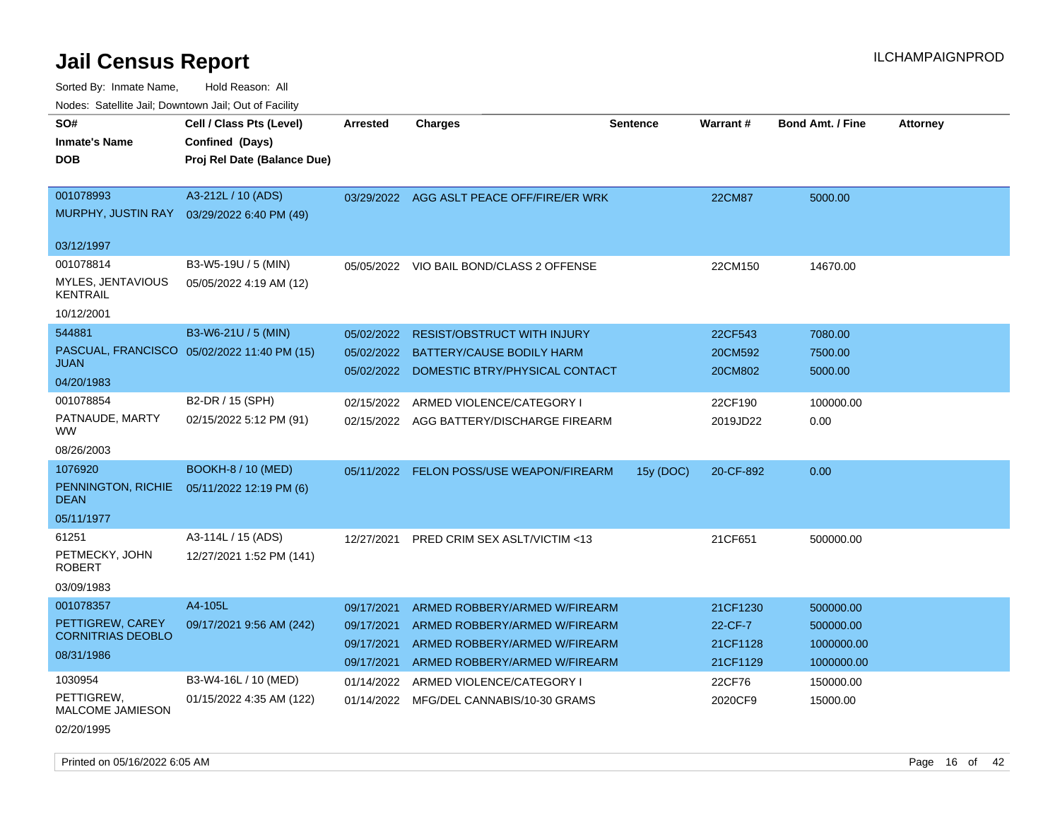Sorted By: Inmate Name, Hold Reason: All Nodes: Satellite Jail; Downtown Jail; Out of Facility

| SO#                                         | Cell / Class Pts (Level)                    | <b>Arrested</b> | <b>Charges</b>                            | <b>Sentence</b> | Warrant#      | <b>Bond Amt. / Fine</b> | <b>Attorney</b> |
|---------------------------------------------|---------------------------------------------|-----------------|-------------------------------------------|-----------------|---------------|-------------------------|-----------------|
| <b>Inmate's Name</b>                        | Confined (Days)                             |                 |                                           |                 |               |                         |                 |
| <b>DOB</b>                                  | Proj Rel Date (Balance Due)                 |                 |                                           |                 |               |                         |                 |
|                                             |                                             |                 |                                           |                 |               |                         |                 |
| 001078993                                   | A3-212L / 10 (ADS)                          |                 | 03/29/2022 AGG ASLT PEACE OFF/FIRE/ER WRK |                 | <b>22CM87</b> | 5000.00                 |                 |
| MURPHY, JUSTIN RAY                          | 03/29/2022 6:40 PM (49)                     |                 |                                           |                 |               |                         |                 |
|                                             |                                             |                 |                                           |                 |               |                         |                 |
| 03/12/1997                                  |                                             |                 |                                           |                 |               |                         |                 |
| 001078814                                   | B3-W5-19U / 5 (MIN)                         |                 | 05/05/2022 VIO BAIL BOND/CLASS 2 OFFENSE  |                 | 22CM150       | 14670.00                |                 |
| <b>MYLES, JENTAVIOUS</b><br><b>KENTRAIL</b> | 05/05/2022 4:19 AM (12)                     |                 |                                           |                 |               |                         |                 |
| 10/12/2001                                  |                                             |                 |                                           |                 |               |                         |                 |
| 544881                                      | B3-W6-21U / 5 (MIN)                         | 05/02/2022      | <b>RESIST/OBSTRUCT WITH INJURY</b>        |                 | 22CF543       | 7080.00                 |                 |
|                                             | PASCUAL, FRANCISCO 05/02/2022 11:40 PM (15) | 05/02/2022      | <b>BATTERY/CAUSE BODILY HARM</b>          |                 | 20CM592       | 7500.00                 |                 |
| <b>JUAN</b>                                 |                                             |                 | 05/02/2022 DOMESTIC BTRY/PHYSICAL CONTACT |                 | 20CM802       | 5000.00                 |                 |
| 04/20/1983                                  |                                             |                 |                                           |                 |               |                         |                 |
| 001078854                                   | B2-DR / 15 (SPH)                            | 02/15/2022      | ARMED VIOLENCE/CATEGORY I                 |                 | 22CF190       | 100000.00               |                 |
| PATNAUDE, MARTY<br><b>WW</b>                | 02/15/2022 5:12 PM (91)                     |                 | 02/15/2022 AGG BATTERY/DISCHARGE FIREARM  |                 | 2019JD22      | 0.00                    |                 |
| 08/26/2003                                  |                                             |                 |                                           |                 |               |                         |                 |
| 1076920                                     | <b>BOOKH-8 / 10 (MED)</b>                   |                 | 05/11/2022 FELON POSS/USE WEAPON/FIREARM  | 15y (DOC)       | 20-CF-892     | 0.00                    |                 |
| PENNINGTON, RICHIE<br><b>DEAN</b>           | 05/11/2022 12:19 PM (6)                     |                 |                                           |                 |               |                         |                 |
| 05/11/1977                                  |                                             |                 |                                           |                 |               |                         |                 |
| 61251                                       | A3-114L / 15 (ADS)                          |                 | 12/27/2021 PRED CRIM SEX ASLT/VICTIM <13  |                 | 21CF651       | 500000.00               |                 |
| PETMECKY, JOHN<br>ROBERT                    | 12/27/2021 1:52 PM (141)                    |                 |                                           |                 |               |                         |                 |
| 03/09/1983                                  |                                             |                 |                                           |                 |               |                         |                 |
| 001078357                                   | A4-105L                                     | 09/17/2021      | ARMED ROBBERY/ARMED W/FIREARM             |                 | 21CF1230      | 500000.00               |                 |
| PETTIGREW, CAREY                            | 09/17/2021 9:56 AM (242)                    | 09/17/2021      | ARMED ROBBERY/ARMED W/FIREARM             |                 | 22-CF-7       | 500000.00               |                 |
| <b>CORNITRIAS DEOBLO</b>                    |                                             | 09/17/2021      | ARMED ROBBERY/ARMED W/FIREARM             |                 | 21CF1128      | 1000000.00              |                 |
| 08/31/1986                                  |                                             | 09/17/2021      | ARMED ROBBERY/ARMED W/FIREARM             |                 | 21CF1129      | 1000000.00              |                 |
| 1030954                                     | B3-W4-16L / 10 (MED)                        | 01/14/2022      | ARMED VIOLENCE/CATEGORY I                 |                 | 22CF76        | 150000.00               |                 |
| PETTIGREW,                                  | 01/15/2022 4:35 AM (122)                    |                 | 01/14/2022 MFG/DEL CANNABIS/10-30 GRAMS   |                 | 2020CF9       | 15000.00                |                 |
| <b>MALCOME JAMIESON</b>                     |                                             |                 |                                           |                 |               |                         |                 |
| 02/20/1995                                  |                                             |                 |                                           |                 |               |                         |                 |

Printed on 05/16/2022 6:05 AM **Page 16** of 42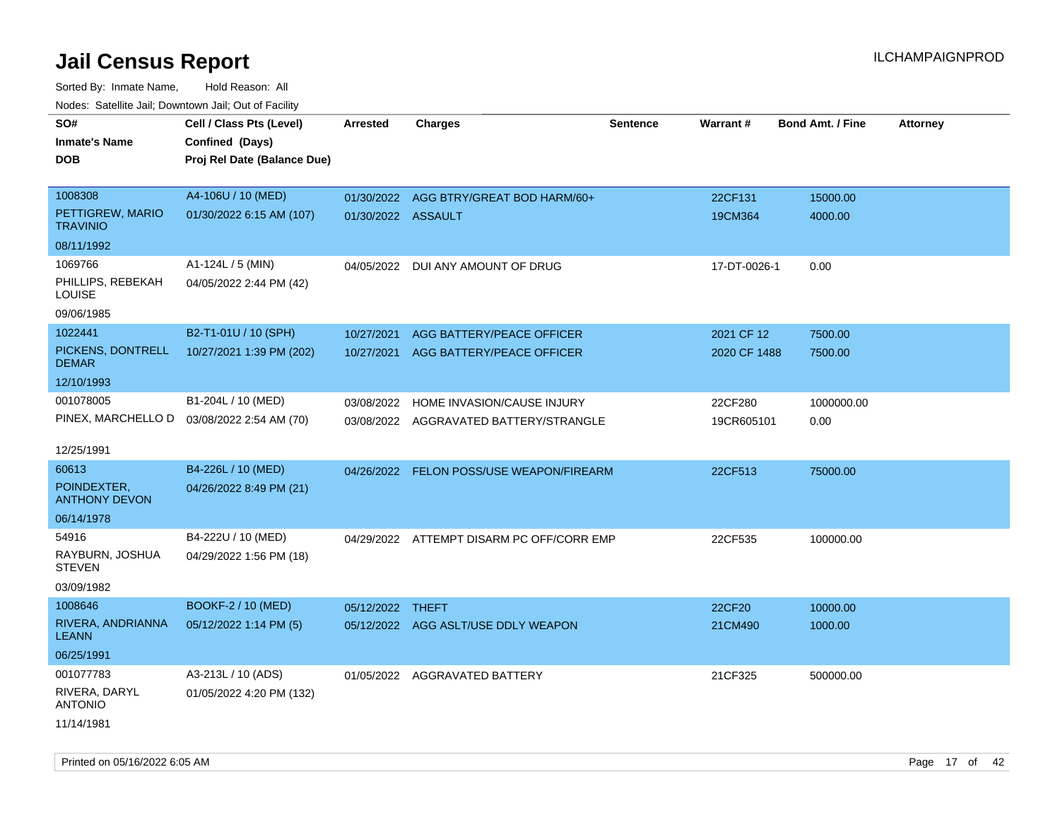| <u>Rodos.</u> Odiolino dali, Downtown dali, Odi of Fabilit |                                             |                    |                                           |                 |              |                         |                 |
|------------------------------------------------------------|---------------------------------------------|--------------------|-------------------------------------------|-----------------|--------------|-------------------------|-----------------|
| SO#                                                        | Cell / Class Pts (Level)                    | Arrested           | <b>Charges</b>                            | <b>Sentence</b> | Warrant#     | <b>Bond Amt. / Fine</b> | <b>Attorney</b> |
| <b>Inmate's Name</b>                                       | Confined (Days)                             |                    |                                           |                 |              |                         |                 |
| <b>DOB</b>                                                 | Proj Rel Date (Balance Due)                 |                    |                                           |                 |              |                         |                 |
|                                                            |                                             |                    |                                           |                 |              |                         |                 |
| 1008308                                                    | A4-106U / 10 (MED)                          |                    | 01/30/2022 AGG BTRY/GREAT BOD HARM/60+    |                 | 22CF131      | 15000.00                |                 |
| PETTIGREW, MARIO<br><b>TRAVINIO</b>                        | 01/30/2022 6:15 AM (107)                    | 01/30/2022 ASSAULT |                                           |                 | 19CM364      | 4000.00                 |                 |
| 08/11/1992                                                 |                                             |                    |                                           |                 |              |                         |                 |
| 1069766                                                    | A1-124L / 5 (MIN)                           | 04/05/2022         | DUI ANY AMOUNT OF DRUG                    |                 | 17-DT-0026-1 | 0.00                    |                 |
| PHILLIPS, REBEKAH<br><b>LOUISE</b>                         | 04/05/2022 2:44 PM (42)                     |                    |                                           |                 |              |                         |                 |
| 09/06/1985                                                 |                                             |                    |                                           |                 |              |                         |                 |
| 1022441                                                    | B2-T1-01U / 10 (SPH)                        | 10/27/2021         | AGG BATTERY/PEACE OFFICER                 |                 | 2021 CF 12   | 7500.00                 |                 |
| PICKENS, DONTRELL<br><b>DEMAR</b>                          | 10/27/2021 1:39 PM (202)                    | 10/27/2021         | AGG BATTERY/PEACE OFFICER                 |                 | 2020 CF 1488 | 7500.00                 |                 |
| 12/10/1993                                                 |                                             |                    |                                           |                 |              |                         |                 |
| 001078005                                                  | B1-204L / 10 (MED)                          | 03/08/2022         | HOME INVASION/CAUSE INJURY                |                 | 22CF280      | 1000000.00              |                 |
|                                                            | PINEX, MARCHELLO D  03/08/2022 2:54 AM (70) |                    | 03/08/2022 AGGRAVATED BATTERY/STRANGLE    |                 | 19CR605101   | 0.00                    |                 |
|                                                            |                                             |                    |                                           |                 |              |                         |                 |
| 12/25/1991                                                 |                                             |                    |                                           |                 |              |                         |                 |
| 60613                                                      | B4-226L / 10 (MED)                          |                    | 04/26/2022 FELON POSS/USE WEAPON/FIREARM  |                 | 22CF513      | 75000.00                |                 |
| POINDEXTER,<br><b>ANTHONY DEVON</b>                        | 04/26/2022 8:49 PM (21)                     |                    |                                           |                 |              |                         |                 |
| 06/14/1978                                                 |                                             |                    |                                           |                 |              |                         |                 |
| 54916                                                      | B4-222U / 10 (MED)                          |                    | 04/29/2022 ATTEMPT DISARM PC OFF/CORR EMP |                 | 22CF535      | 100000.00               |                 |
| RAYBURN, JOSHUA<br><b>STEVEN</b>                           | 04/29/2022 1:56 PM (18)                     |                    |                                           |                 |              |                         |                 |
| 03/09/1982                                                 |                                             |                    |                                           |                 |              |                         |                 |
| 1008646                                                    | BOOKF-2 / 10 (MED)                          | 05/12/2022 THEFT   |                                           |                 | 22CF20       | 10000.00                |                 |
| RIVERA, ANDRIANNA<br><b>LEANN</b>                          | 05/12/2022 1:14 PM (5)                      |                    | 05/12/2022 AGG ASLT/USE DDLY WEAPON       |                 | 21CM490      | 1000.00                 |                 |
| 06/25/1991                                                 |                                             |                    |                                           |                 |              |                         |                 |
| 001077783                                                  | A3-213L / 10 (ADS)                          |                    | 01/05/2022 AGGRAVATED BATTERY             |                 | 21CF325      | 500000.00               |                 |
| RIVERA, DARYL<br><b>ANTONIO</b>                            | 01/05/2022 4:20 PM (132)                    |                    |                                           |                 |              |                         |                 |
| 11/14/1981                                                 |                                             |                    |                                           |                 |              |                         |                 |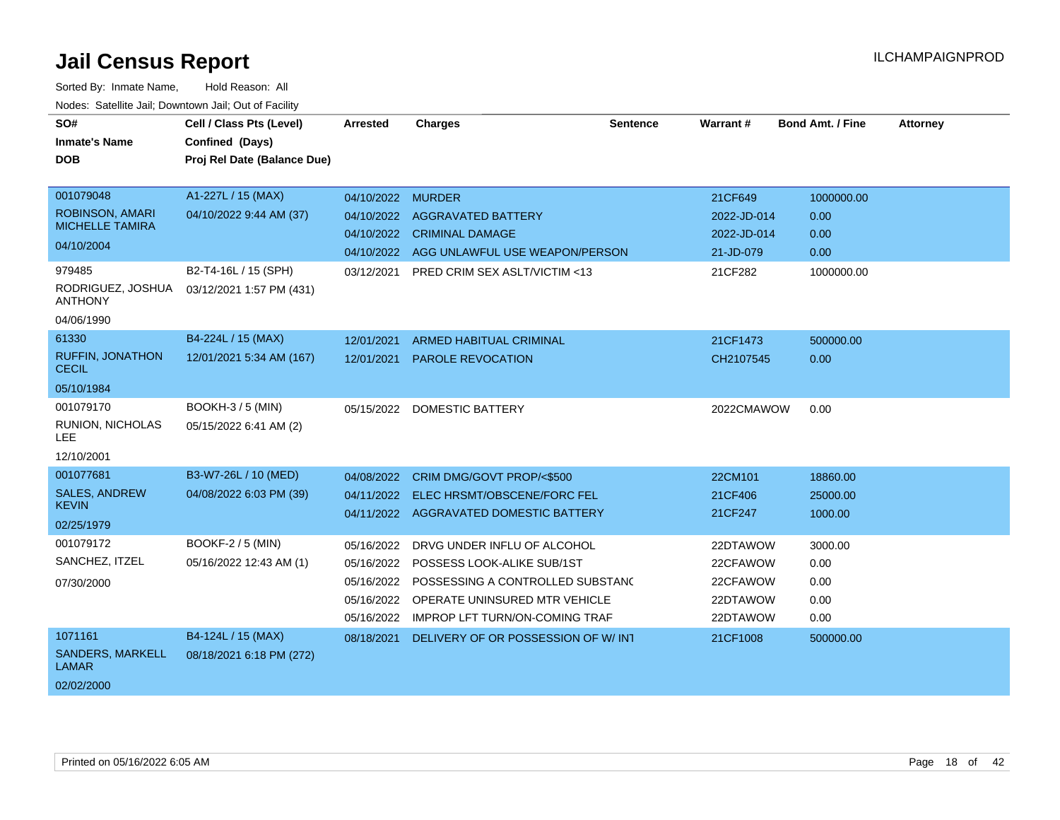| SO#                                         | Cell / Class Pts (Level)                    | Arrested          | <b>Charges</b>                           | <b>Sentence</b> | <b>Warrant#</b> | <b>Bond Amt. / Fine</b> | <b>Attorney</b> |
|---------------------------------------------|---------------------------------------------|-------------------|------------------------------------------|-----------------|-----------------|-------------------------|-----------------|
| <b>Inmate's Name</b>                        | Confined (Days)                             |                   |                                          |                 |                 |                         |                 |
| <b>DOB</b>                                  | Proj Rel Date (Balance Due)                 |                   |                                          |                 |                 |                         |                 |
|                                             |                                             |                   |                                          |                 |                 |                         |                 |
| 001079048                                   | A1-227L / 15 (MAX)                          | 04/10/2022 MURDER |                                          |                 | 21CF649         | 1000000.00              |                 |
| <b>ROBINSON, AMARI</b>                      | 04/10/2022 9:44 AM (37)                     |                   | 04/10/2022 AGGRAVATED BATTERY            |                 | 2022-JD-014     | 0.00                    |                 |
| <b>MICHELLE TAMIRA</b>                      |                                             |                   | 04/10/2022 CRIMINAL DAMAGE               |                 | 2022-JD-014     | 0.00                    |                 |
| 04/10/2004                                  |                                             | 04/10/2022        | AGG UNLAWFUL USE WEAPON/PERSON           |                 | 21-JD-079       | 0.00                    |                 |
| 979485                                      | B2-T4-16L / 15 (SPH)                        | 03/12/2021        | <b>PRED CRIM SEX ASLT/VICTIM &lt;13</b>  |                 | 21CF282         | 1000000.00              |                 |
| RODRIGUEZ, JOSHUA<br><b>ANTHONY</b>         | 03/12/2021 1:57 PM (431)                    |                   |                                          |                 |                 |                         |                 |
| 04/06/1990                                  |                                             |                   |                                          |                 |                 |                         |                 |
| 61330                                       | B4-224L / 15 (MAX)                          | 12/01/2021        | <b>ARMED HABITUAL CRIMINAL</b>           |                 | 21CF1473        | 500000.00               |                 |
| <b>RUFFIN, JONATHON</b><br><b>CECIL</b>     | 12/01/2021 5:34 AM (167)                    | 12/01/2021        | PAROLE REVOCATION                        |                 | CH2107545       | 0.00                    |                 |
| 05/10/1984                                  |                                             |                   |                                          |                 |                 |                         |                 |
| 001079170<br>RUNION, NICHOLAS<br><b>LEE</b> | BOOKH-3 / 5 (MIN)<br>05/15/2022 6:41 AM (2) | 05/15/2022        | <b>DOMESTIC BATTERY</b>                  |                 | 2022CMAWOW      | 0.00                    |                 |
| 12/10/2001                                  |                                             |                   |                                          |                 |                 |                         |                 |
| 001077681                                   | B3-W7-26L / 10 (MED)                        | 04/08/2022        | CRIM DMG/GOVT PROP/<\$500                |                 | 22CM101         | 18860.00                |                 |
| <b>SALES, ANDREW</b>                        | 04/08/2022 6:03 PM (39)                     |                   |                                          |                 |                 |                         |                 |
| <b>KEVIN</b>                                |                                             | 04/11/2022        | ELEC HRSMT/OBSCENE/FORC FEL              |                 | 21CF406         | 25000.00                |                 |
| 02/25/1979                                  |                                             |                   | 04/11/2022 AGGRAVATED DOMESTIC BATTERY   |                 | 21CF247         | 1000.00                 |                 |
| 001079172                                   | <b>BOOKF-2 / 5 (MIN)</b>                    | 05/16/2022        | DRVG UNDER INFLU OF ALCOHOL              |                 | 22DTAWOW        | 3000.00                 |                 |
| SANCHEZ, ITZEL                              | 05/16/2022 12:43 AM (1)                     | 05/16/2022        | POSSESS LOOK-ALIKE SUB/1ST               |                 | 22CFAWOW        | 0.00                    |                 |
| 07/30/2000                                  |                                             | 05/16/2022        | POSSESSING A CONTROLLED SUBSTAND         |                 | 22CFAWOW        | 0.00                    |                 |
|                                             |                                             |                   | 05/16/2022 OPERATE UNINSURED MTR VEHICLE |                 | 22DTAWOW        | 0.00                    |                 |
|                                             |                                             | 05/16/2022        | <b>IMPROP LFT TURN/ON-COMING TRAF</b>    |                 | 22DTAWOW        | 0.00                    |                 |
| 1071161                                     | B4-124L / 15 (MAX)                          | 08/18/2021        | DELIVERY OF OR POSSESSION OF W/INT       |                 | 21CF1008        | 500000.00               |                 |
| <b>SANDERS, MARKELL</b><br><b>LAMAR</b>     | 08/18/2021 6:18 PM (272)                    |                   |                                          |                 |                 |                         |                 |
| 02/02/2000                                  |                                             |                   |                                          |                 |                 |                         |                 |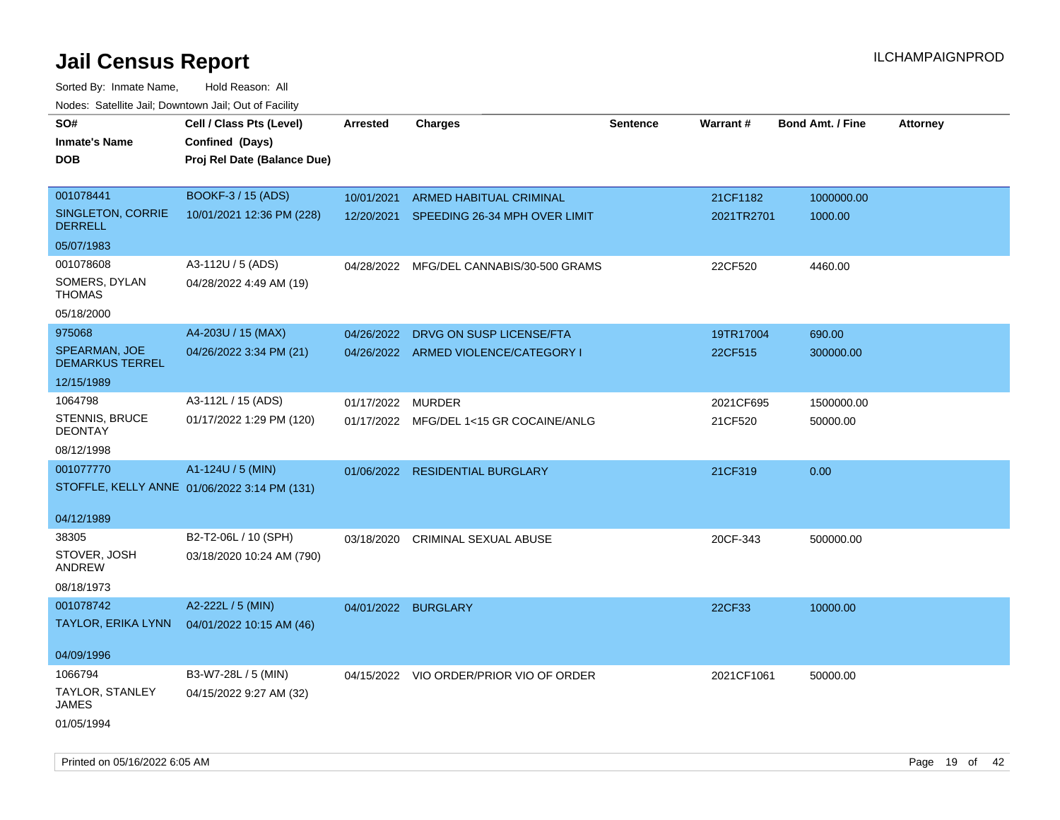Sorted By: Inmate Name, Hold Reason: All Nodes: Satellite Jail; Downtown Jail; Out of Facility

| <b>NOULD:</b> Catoline can, Downtown can, Out of Fability |                                              |                     |                                          |                 |                 |                         |                 |
|-----------------------------------------------------------|----------------------------------------------|---------------------|------------------------------------------|-----------------|-----------------|-------------------------|-----------------|
| SO#                                                       | Cell / Class Pts (Level)                     | Arrested            | <b>Charges</b>                           | <b>Sentence</b> | <b>Warrant#</b> | <b>Bond Amt. / Fine</b> | <b>Attorney</b> |
| <b>Inmate's Name</b>                                      | Confined (Days)                              |                     |                                          |                 |                 |                         |                 |
| <b>DOB</b>                                                | Proj Rel Date (Balance Due)                  |                     |                                          |                 |                 |                         |                 |
|                                                           |                                              |                     |                                          |                 |                 |                         |                 |
| 001078441                                                 | BOOKF-3 / 15 (ADS)                           | 10/01/2021          | ARMED HABITUAL CRIMINAL                  |                 | 21CF1182        | 1000000.00              |                 |
| SINGLETON, CORRIE<br><b>DERRELL</b>                       | 10/01/2021 12:36 PM (228)                    |                     | 12/20/2021 SPEEDING 26-34 MPH OVER LIMIT |                 | 2021TR2701      | 1000.00                 |                 |
| 05/07/1983                                                |                                              |                     |                                          |                 |                 |                         |                 |
| 001078608                                                 | A3-112U / 5 (ADS)                            | 04/28/2022          | MFG/DEL CANNABIS/30-500 GRAMS            |                 | 22CF520         | 4460.00                 |                 |
| SOMERS, DYLAN<br><b>THOMAS</b>                            | 04/28/2022 4:49 AM (19)                      |                     |                                          |                 |                 |                         |                 |
| 05/18/2000                                                |                                              |                     |                                          |                 |                 |                         |                 |
| 975068                                                    | A4-203U / 15 (MAX)                           | 04/26/2022          | DRVG ON SUSP LICENSE/FTA                 |                 | 19TR17004       | 690.00                  |                 |
| <b>SPEARMAN, JOE</b><br><b>DEMARKUS TERREL</b>            | 04/26/2022 3:34 PM (21)                      |                     | 04/26/2022 ARMED VIOLENCE/CATEGORY I     |                 | 22CF515         | 300000.00               |                 |
| 12/15/1989                                                |                                              |                     |                                          |                 |                 |                         |                 |
| 1064798                                                   | A3-112L / 15 (ADS)                           | 01/17/2022          | <b>MURDER</b>                            |                 | 2021CF695       | 1500000.00              |                 |
| STENNIS, BRUCE<br><b>DEONTAY</b>                          | 01/17/2022 1:29 PM (120)                     |                     | 01/17/2022 MFG/DEL 1<15 GR COCAINE/ANLG  |                 | 21CF520         | 50000.00                |                 |
| 08/12/1998                                                |                                              |                     |                                          |                 |                 |                         |                 |
| 001077770                                                 | A1-124U / 5 (MIN)                            |                     | 01/06/2022 RESIDENTIAL BURGLARY          |                 | 21CF319         | 0.00                    |                 |
|                                                           | STOFFLE, KELLY ANNE 01/06/2022 3:14 PM (131) |                     |                                          |                 |                 |                         |                 |
|                                                           |                                              |                     |                                          |                 |                 |                         |                 |
| 04/12/1989                                                |                                              |                     |                                          |                 |                 |                         |                 |
| 38305                                                     | B2-T2-06L / 10 (SPH)                         | 03/18/2020          | <b>CRIMINAL SEXUAL ABUSE</b>             |                 | 20CF-343        | 500000.00               |                 |
| STOVER, JOSH<br>ANDREW                                    | 03/18/2020 10:24 AM (790)                    |                     |                                          |                 |                 |                         |                 |
| 08/18/1973                                                |                                              |                     |                                          |                 |                 |                         |                 |
| 001078742                                                 | A2-222L / 5 (MIN)                            | 04/01/2022 BURGLARY |                                          |                 | 22CF33          | 10000.00                |                 |
| <b>TAYLOR, ERIKA LYNN</b>                                 | 04/01/2022 10:15 AM (46)                     |                     |                                          |                 |                 |                         |                 |
|                                                           |                                              |                     |                                          |                 |                 |                         |                 |
| 04/09/1996                                                |                                              |                     |                                          |                 |                 |                         |                 |
| 1066794                                                   | B3-W7-28L / 5 (MIN)                          |                     | 04/15/2022 VIO ORDER/PRIOR VIO OF ORDER  |                 | 2021CF1061      | 50000.00                |                 |
| TAYLOR, STANLEY<br>JAMES                                  | 04/15/2022 9:27 AM (32)                      |                     |                                          |                 |                 |                         |                 |
| 01/05/1994                                                |                                              |                     |                                          |                 |                 |                         |                 |

Printed on 05/16/2022 6:05 AM **Page 19** of 42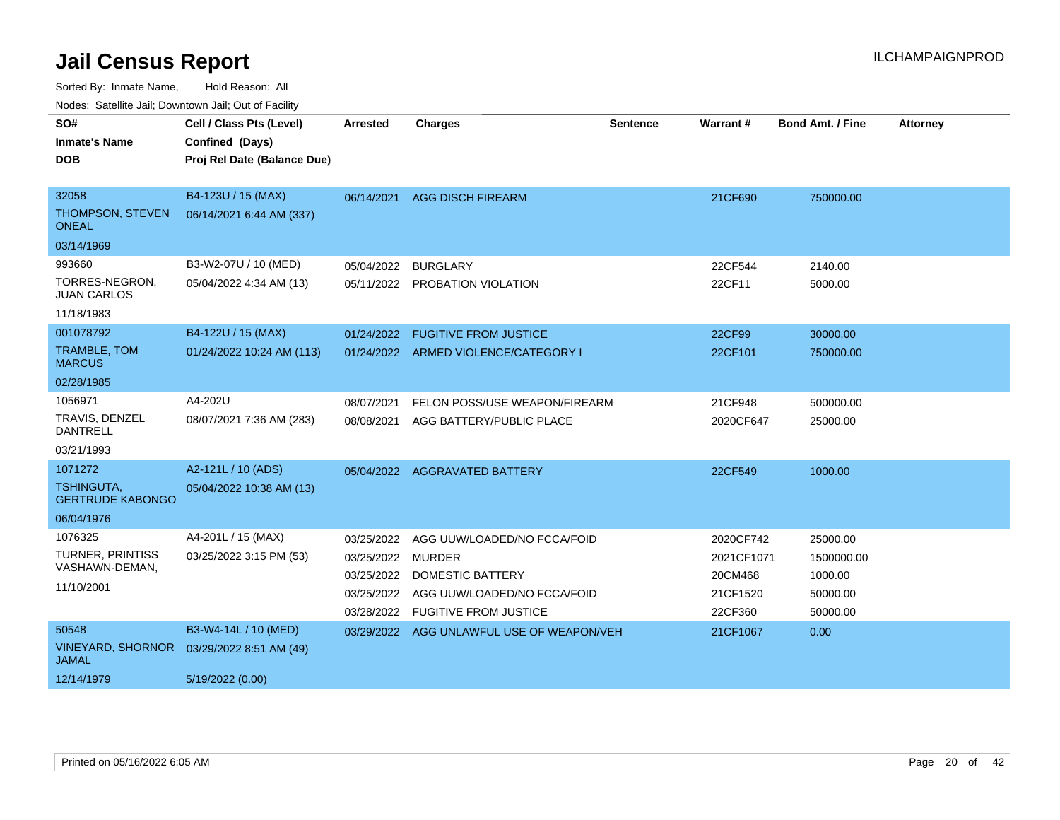| rioucs. Odichite Jah, Downtown Jah, Out of Facility |                             |                   |                                           |                 |            |                         |                 |
|-----------------------------------------------------|-----------------------------|-------------------|-------------------------------------------|-----------------|------------|-------------------------|-----------------|
| SO#                                                 | Cell / Class Pts (Level)    | <b>Arrested</b>   | <b>Charges</b>                            | <b>Sentence</b> | Warrant#   | <b>Bond Amt. / Fine</b> | <b>Attorney</b> |
| <b>Inmate's Name</b>                                | Confined (Days)             |                   |                                           |                 |            |                         |                 |
| <b>DOB</b>                                          | Proj Rel Date (Balance Due) |                   |                                           |                 |            |                         |                 |
|                                                     |                             |                   |                                           |                 |            |                         |                 |
| 32058                                               | B4-123U / 15 (MAX)          |                   | 06/14/2021 AGG DISCH FIREARM              |                 | 21CF690    | 750000.00               |                 |
| THOMPSON, STEVEN<br><b>ONEAL</b>                    | 06/14/2021 6:44 AM (337)    |                   |                                           |                 |            |                         |                 |
| 03/14/1969                                          |                             |                   |                                           |                 |            |                         |                 |
| 993660                                              | B3-W2-07U / 10 (MED)        | 05/04/2022        | <b>BURGLARY</b>                           |                 | 22CF544    | 2140.00                 |                 |
| TORRES-NEGRON,<br><b>JUAN CARLOS</b>                | 05/04/2022 4:34 AM (13)     |                   | 05/11/2022 PROBATION VIOLATION            |                 | 22CF11     | 5000.00                 |                 |
| 11/18/1983                                          |                             |                   |                                           |                 |            |                         |                 |
| 001078792                                           | B4-122U / 15 (MAX)          | 01/24/2022        | <b>FUGITIVE FROM JUSTICE</b>              |                 | 22CF99     | 30000.00                |                 |
| <b>TRAMBLE, TOM</b><br><b>MARCUS</b>                | 01/24/2022 10:24 AM (113)   |                   | 01/24/2022 ARMED VIOLENCE/CATEGORY I      |                 | 22CF101    | 750000.00               |                 |
| 02/28/1985                                          |                             |                   |                                           |                 |            |                         |                 |
| 1056971                                             | A4-202U                     | 08/07/2021        | FELON POSS/USE WEAPON/FIREARM             |                 | 21CF948    | 500000.00               |                 |
| TRAVIS, DENZEL<br><b>DANTRELL</b>                   | 08/07/2021 7:36 AM (283)    | 08/08/2021        | AGG BATTERY/PUBLIC PLACE                  |                 | 2020CF647  | 25000.00                |                 |
| 03/21/1993                                          |                             |                   |                                           |                 |            |                         |                 |
| 1071272                                             | A2-121L / 10 (ADS)          |                   | 05/04/2022 AGGRAVATED BATTERY             |                 | 22CF549    | 1000.00                 |                 |
| <b>TSHINGUTA,</b><br><b>GERTRUDE KABONGO</b>        | 05/04/2022 10:38 AM (13)    |                   |                                           |                 |            |                         |                 |
| 06/04/1976                                          |                             |                   |                                           |                 |            |                         |                 |
| 1076325                                             | A4-201L / 15 (MAX)          | 03/25/2022        | AGG UUW/LOADED/NO FCCA/FOID               |                 | 2020CF742  | 25000.00                |                 |
| <b>TURNER, PRINTISS</b>                             | 03/25/2022 3:15 PM (53)     | 03/25/2022 MURDER |                                           |                 | 2021CF1071 | 1500000.00              |                 |
| VASHAWN-DEMAN,                                      |                             | 03/25/2022        | <b>DOMESTIC BATTERY</b>                   |                 | 20CM468    | 1000.00                 |                 |
| 11/10/2001                                          |                             | 03/25/2022        | AGG UUW/LOADED/NO FCCA/FOID               |                 | 21CF1520   | 50000.00                |                 |
|                                                     |                             |                   | 03/28/2022 FUGITIVE FROM JUSTICE          |                 | 22CF360    | 50000.00                |                 |
| 50548                                               | B3-W4-14L / 10 (MED)        |                   | 03/29/2022 AGG UNLAWFUL USE OF WEAPON/VEH |                 | 21CF1067   | 0.00                    |                 |
| <b>VINEYARD, SHORNOR</b><br><b>JAMAL</b>            | 03/29/2022 8:51 AM (49)     |                   |                                           |                 |            |                         |                 |
| 12/14/1979                                          | 5/19/2022 (0.00)            |                   |                                           |                 |            |                         |                 |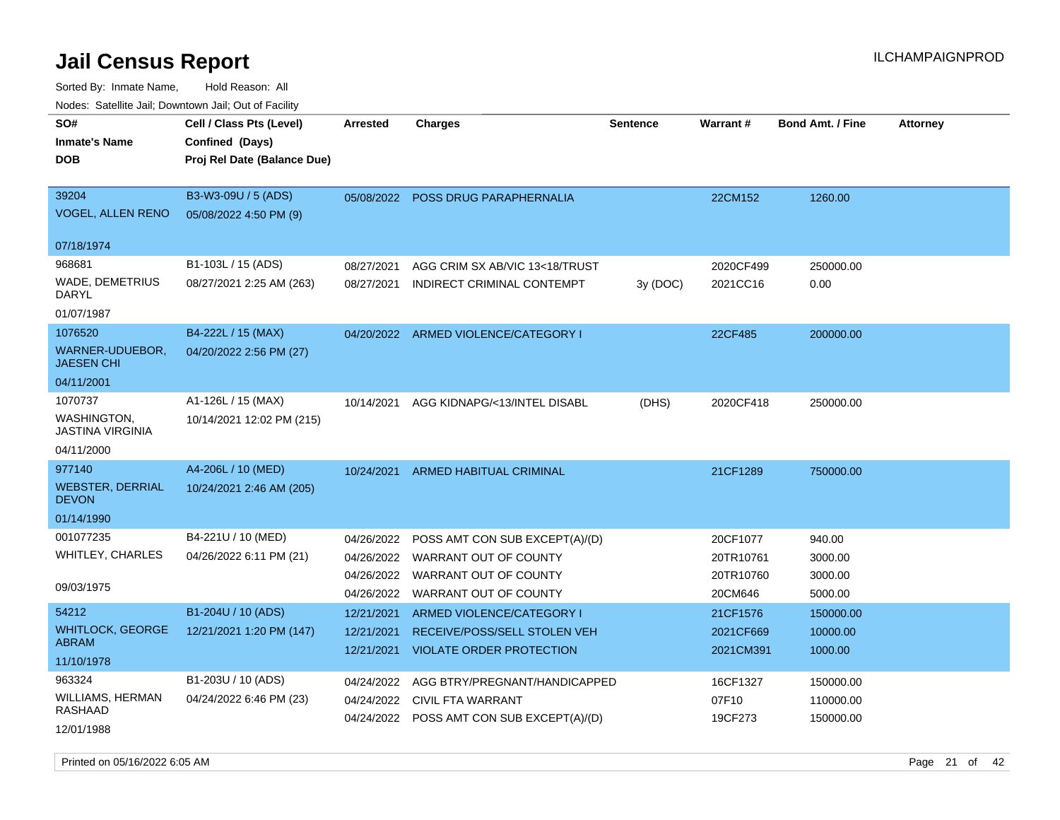| Youes. Sateme Jan, Downtown Jan, Out of Facility |                             |            |                                           |                 |                 |                         |                 |
|--------------------------------------------------|-----------------------------|------------|-------------------------------------------|-----------------|-----------------|-------------------------|-----------------|
| SO#                                              | Cell / Class Pts (Level)    | Arrested   | <b>Charges</b>                            | <b>Sentence</b> | <b>Warrant#</b> | <b>Bond Amt. / Fine</b> | <b>Attorney</b> |
| <b>Inmate's Name</b>                             | Confined (Days)             |            |                                           |                 |                 |                         |                 |
| DOB                                              | Proj Rel Date (Balance Due) |            |                                           |                 |                 |                         |                 |
|                                                  |                             |            |                                           |                 |                 |                         |                 |
| 39204                                            | B3-W3-09U / 5 (ADS)         |            | 05/08/2022 POSS DRUG PARAPHERNALIA        |                 | 22CM152         | 1260.00                 |                 |
| <b>VOGEL, ALLEN RENO</b>                         | 05/08/2022 4:50 PM (9)      |            |                                           |                 |                 |                         |                 |
|                                                  |                             |            |                                           |                 |                 |                         |                 |
| 07/18/1974                                       |                             |            |                                           |                 |                 |                         |                 |
| 968681                                           | B1-103L / 15 (ADS)          | 08/27/2021 | AGG CRIM SX AB/VIC 13<18/TRUST            |                 | 2020CF499       | 250000.00               |                 |
| WADE, DEMETRIUS                                  | 08/27/2021 2:25 AM (263)    | 08/27/2021 | INDIRECT CRIMINAL CONTEMPT                | 3y (DOC)        | 2021CC16        | 0.00                    |                 |
| DARYL                                            |                             |            |                                           |                 |                 |                         |                 |
| 01/07/1987                                       |                             |            |                                           |                 |                 |                         |                 |
| 1076520                                          | B4-222L / 15 (MAX)          |            | 04/20/2022 ARMED VIOLENCE/CATEGORY I      |                 | 22CF485         | 200000.00               |                 |
| WARNER-UDUEBOR,<br><b>JAESEN CHI</b>             | 04/20/2022 2:56 PM (27)     |            |                                           |                 |                 |                         |                 |
| 04/11/2001                                       |                             |            |                                           |                 |                 |                         |                 |
| 1070737                                          | A1-126L / 15 (MAX)          | 10/14/2021 | AGG KIDNAPG/<13/INTEL DISABL              | (DHS)           | 2020CF418       | 250000.00               |                 |
| WASHINGTON,<br>JASTINA VIRGINIA                  | 10/14/2021 12:02 PM (215)   |            |                                           |                 |                 |                         |                 |
| 04/11/2000                                       |                             |            |                                           |                 |                 |                         |                 |
| 977140                                           | A4-206L / 10 (MED)          | 10/24/2021 | ARMED HABITUAL CRIMINAL                   |                 | 21CF1289        | 750000.00               |                 |
| <b>WEBSTER, DERRIAL</b><br><b>DEVON</b>          | 10/24/2021 2:46 AM (205)    |            |                                           |                 |                 |                         |                 |
| 01/14/1990                                       |                             |            |                                           |                 |                 |                         |                 |
| 001077235                                        | B4-221U / 10 (MED)          | 04/26/2022 | POSS AMT CON SUB EXCEPT(A)/(D)            |                 | 20CF1077        | 940.00                  |                 |
| WHITLEY, CHARLES                                 | 04/26/2022 6:11 PM (21)     | 04/26/2022 | WARRANT OUT OF COUNTY                     |                 | 20TR10761       | 3000.00                 |                 |
|                                                  |                             | 04/26/2022 | WARRANT OUT OF COUNTY                     |                 | 20TR10760       | 3000.00                 |                 |
| 09/03/1975                                       |                             | 04/26/2022 | WARRANT OUT OF COUNTY                     |                 | 20CM646         | 5000.00                 |                 |
| 54212                                            | B1-204U / 10 (ADS)          | 12/21/2021 | ARMED VIOLENCE/CATEGORY I                 |                 | 21CF1576        | 150000.00               |                 |
| <b>WHITLOCK, GEORGE</b>                          | 12/21/2021 1:20 PM (147)    | 12/21/2021 | RECEIVE/POSS/SELL STOLEN VEH              |                 | 2021CF669       | 10000.00                |                 |
| <b>ABRAM</b>                                     |                             | 12/21/2021 | <b>VIOLATE ORDER PROTECTION</b>           |                 | 2021CM391       | 1000.00                 |                 |
| 11/10/1978                                       |                             |            |                                           |                 |                 |                         |                 |
| 963324                                           | B1-203U / 10 (ADS)          | 04/24/2022 | AGG BTRY/PREGNANT/HANDICAPPED             |                 | 16CF1327        | 150000.00               |                 |
| WILLIAMS, HERMAN                                 | 04/24/2022 6:46 PM (23)     | 04/24/2022 | <b>CIVIL FTA WARRANT</b>                  |                 | 07F10           | 110000.00               |                 |
| RASHAAD                                          |                             |            | 04/24/2022 POSS AMT CON SUB EXCEPT(A)/(D) |                 | 19CF273         | 150000.00               |                 |
| 12/01/1988                                       |                             |            |                                           |                 |                 |                         |                 |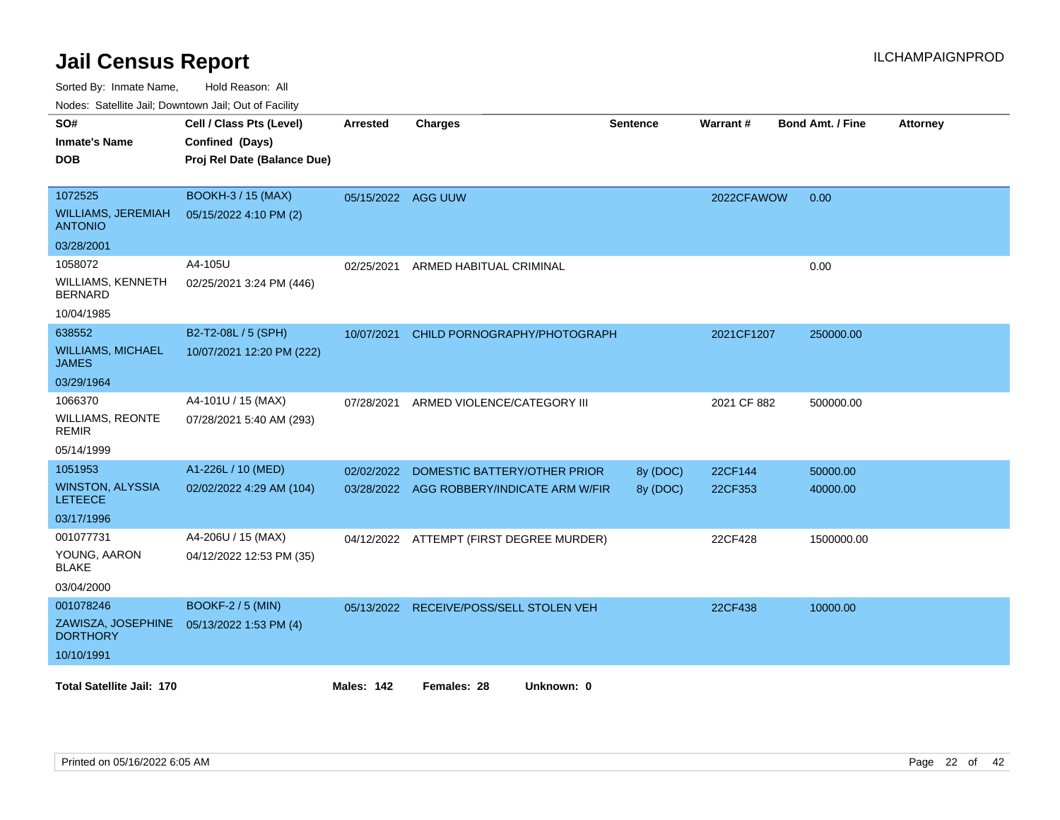| routs. Salting Jan, Downlown Jan, Oul or Facility |                             |                    |                                           |          |                 |                         |                 |
|---------------------------------------------------|-----------------------------|--------------------|-------------------------------------------|----------|-----------------|-------------------------|-----------------|
| SO#                                               | Cell / Class Pts (Level)    | Arrested           | <b>Charges</b>                            | Sentence | <b>Warrant#</b> | <b>Bond Amt. / Fine</b> | <b>Attorney</b> |
| <b>Inmate's Name</b>                              | Confined (Days)             |                    |                                           |          |                 |                         |                 |
| <b>DOB</b>                                        | Proj Rel Date (Balance Due) |                    |                                           |          |                 |                         |                 |
|                                                   |                             |                    |                                           |          |                 |                         |                 |
| 1072525                                           | <b>BOOKH-3 / 15 (MAX)</b>   | 05/15/2022 AGG UUW |                                           |          | 2022CFAWOW      | 0.00                    |                 |
| <b>WILLIAMS, JEREMIAH</b><br><b>ANTONIO</b>       | 05/15/2022 4:10 PM (2)      |                    |                                           |          |                 |                         |                 |
| 03/28/2001                                        |                             |                    |                                           |          |                 |                         |                 |
| 1058072                                           | A4-105U                     | 02/25/2021         | ARMED HABITUAL CRIMINAL                   |          |                 | 0.00                    |                 |
| WILLIAMS, KENNETH<br><b>BERNARD</b>               | 02/25/2021 3:24 PM (446)    |                    |                                           |          |                 |                         |                 |
| 10/04/1985                                        |                             |                    |                                           |          |                 |                         |                 |
| 638552                                            | B2-T2-08L / 5 (SPH)         | 10/07/2021         | CHILD PORNOGRAPHY/PHOTOGRAPH              |          | 2021CF1207      | 250000.00               |                 |
| <b>WILLIAMS, MICHAEL</b><br><b>JAMES</b>          | 10/07/2021 12:20 PM (222)   |                    |                                           |          |                 |                         |                 |
| 03/29/1964                                        |                             |                    |                                           |          |                 |                         |                 |
| 1066370                                           | A4-101U / 15 (MAX)          | 07/28/2021         | ARMED VIOLENCE/CATEGORY III               |          | 2021 CF 882     | 500000.00               |                 |
| <b>WILLIAMS, REONTE</b><br><b>REMIR</b>           | 07/28/2021 5:40 AM (293)    |                    |                                           |          |                 |                         |                 |
| 05/14/1999                                        |                             |                    |                                           |          |                 |                         |                 |
| 1051953                                           | A1-226L / 10 (MED)          | 02/02/2022         | DOMESTIC BATTERY/OTHER PRIOR              | 8y (DOC) | 22CF144         | 50000.00                |                 |
| <b>WINSTON, ALYSSIA</b><br><b>LETEECE</b>         | 02/02/2022 4:29 AM (104)    |                    | 03/28/2022 AGG ROBBERY/INDICATE ARM W/FIR | 8y (DOC) | 22CF353         | 40000.00                |                 |
| 03/17/1996                                        |                             |                    |                                           |          |                 |                         |                 |
| 001077731                                         | A4-206U / 15 (MAX)          |                    | 04/12/2022 ATTEMPT (FIRST DEGREE MURDER)  |          | 22CF428         | 1500000.00              |                 |
| YOUNG, AARON<br><b>BLAKE</b>                      | 04/12/2022 12:53 PM (35)    |                    |                                           |          |                 |                         |                 |
| 03/04/2000                                        |                             |                    |                                           |          |                 |                         |                 |
| 001078246                                         | <b>BOOKF-2 / 5 (MIN)</b>    |                    | 05/13/2022 RECEIVE/POSS/SELL STOLEN VEH   |          | 22CF438         | 10000.00                |                 |
| ZAWISZA, JOSEPHINE<br><b>DORTHORY</b>             | 05/13/2022 1:53 PM (4)      |                    |                                           |          |                 |                         |                 |
| 10/10/1991                                        |                             |                    |                                           |          |                 |                         |                 |
| <b>Total Satellite Jail: 170</b>                  |                             | <b>Males: 142</b>  | Females: 28<br>Unknown: 0                 |          |                 |                         |                 |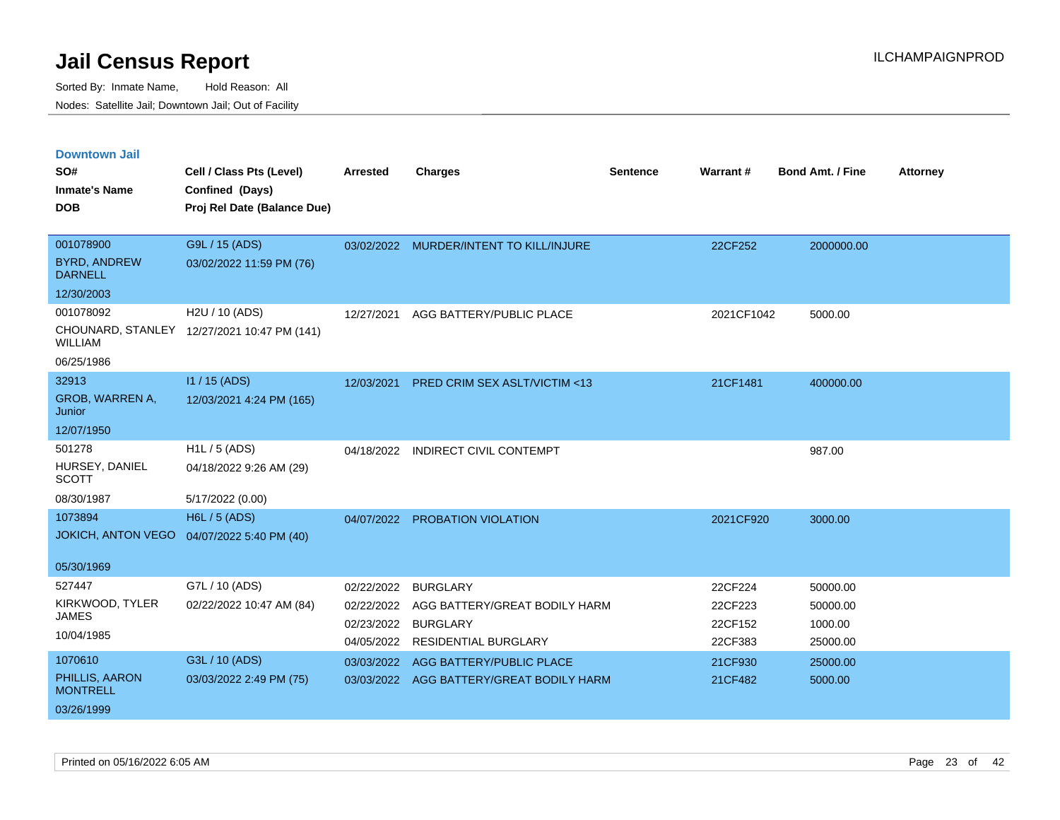| <b>Downtown Jail</b><br>SO#           | Cell / Class Pts (Level)                    | <b>Arrested</b> | <b>Charges</b>                           | <b>Sentence</b> | Warrant#   | <b>Bond Amt. / Fine</b> | <b>Attorney</b> |
|---------------------------------------|---------------------------------------------|-----------------|------------------------------------------|-----------------|------------|-------------------------|-----------------|
| <b>Inmate's Name</b>                  | Confined (Days)                             |                 |                                          |                 |            |                         |                 |
| <b>DOB</b>                            | Proj Rel Date (Balance Due)                 |                 |                                          |                 |            |                         |                 |
| 001078900                             | G9L / 15 (ADS)                              |                 | 03/02/2022 MURDER/INTENT TO KILL/INJURE  |                 | 22CF252    | 2000000.00              |                 |
| <b>BYRD, ANDREW</b><br><b>DARNELL</b> | 03/02/2022 11:59 PM (76)                    |                 |                                          |                 |            |                         |                 |
| 12/30/2003                            |                                             |                 |                                          |                 |            |                         |                 |
| 001078092                             | H2U / 10 (ADS)                              | 12/27/2021      | AGG BATTERY/PUBLIC PLACE                 |                 | 2021CF1042 | 5000.00                 |                 |
| <b>WILLIAM</b>                        | CHOUNARD, STANLEY 12/27/2021 10:47 PM (141) |                 |                                          |                 |            |                         |                 |
| 06/25/1986                            |                                             |                 |                                          |                 |            |                         |                 |
| 32913                                 | $11/15$ (ADS)                               | 12/03/2021      | PRED CRIM SEX ASLT/VICTIM <13            |                 | 21CF1481   | 400000.00               |                 |
| GROB, WARREN A,<br>Junior             | 12/03/2021 4:24 PM (165)                    |                 |                                          |                 |            |                         |                 |
| 12/07/1950                            |                                             |                 |                                          |                 |            |                         |                 |
| 501278                                | $H1L / 5$ (ADS)                             | 04/18/2022      | <b>INDIRECT CIVIL CONTEMPT</b>           |                 |            | 987.00                  |                 |
| HURSEY, DANIEL<br><b>SCOTT</b>        | 04/18/2022 9:26 AM (29)                     |                 |                                          |                 |            |                         |                 |
| 08/30/1987                            | 5/17/2022 (0.00)                            |                 |                                          |                 |            |                         |                 |
| 1073894                               | <b>H6L / 5 (ADS)</b>                        |                 | 04/07/2022 PROBATION VIOLATION           |                 | 2021CF920  | 3000.00                 |                 |
| <b>JOKICH, ANTON VEGO</b>             | 04/07/2022 5:40 PM (40)                     |                 |                                          |                 |            |                         |                 |
| 05/30/1969                            |                                             |                 |                                          |                 |            |                         |                 |
| 527447                                | G7L / 10 (ADS)                              | 02/22/2022      | <b>BURGLARY</b>                          |                 | 22CF224    | 50000.00                |                 |
| KIRKWOOD, TYLER                       | 02/22/2022 10:47 AM (84)                    | 02/22/2022      | AGG BATTERY/GREAT BODILY HARM            |                 | 22CF223    | 50000.00                |                 |
| <b>JAMES</b>                          |                                             | 02/23/2022      | <b>BURGLARY</b>                          |                 | 22CF152    | 1000.00                 |                 |
| 10/04/1985                            |                                             | 04/05/2022      | <b>RESIDENTIAL BURGLARY</b>              |                 | 22CF383    | 25000.00                |                 |
| 1070610                               | G3L / 10 (ADS)                              | 03/03/2022      | AGG BATTERY/PUBLIC PLACE                 |                 | 21CF930    | 25000.00                |                 |
| PHILLIS, AARON<br><b>MONTRELL</b>     | 03/03/2022 2:49 PM (75)                     |                 | 03/03/2022 AGG BATTERY/GREAT BODILY HARM |                 | 21CF482    | 5000.00                 |                 |
| 03/26/1999                            |                                             |                 |                                          |                 |            |                         |                 |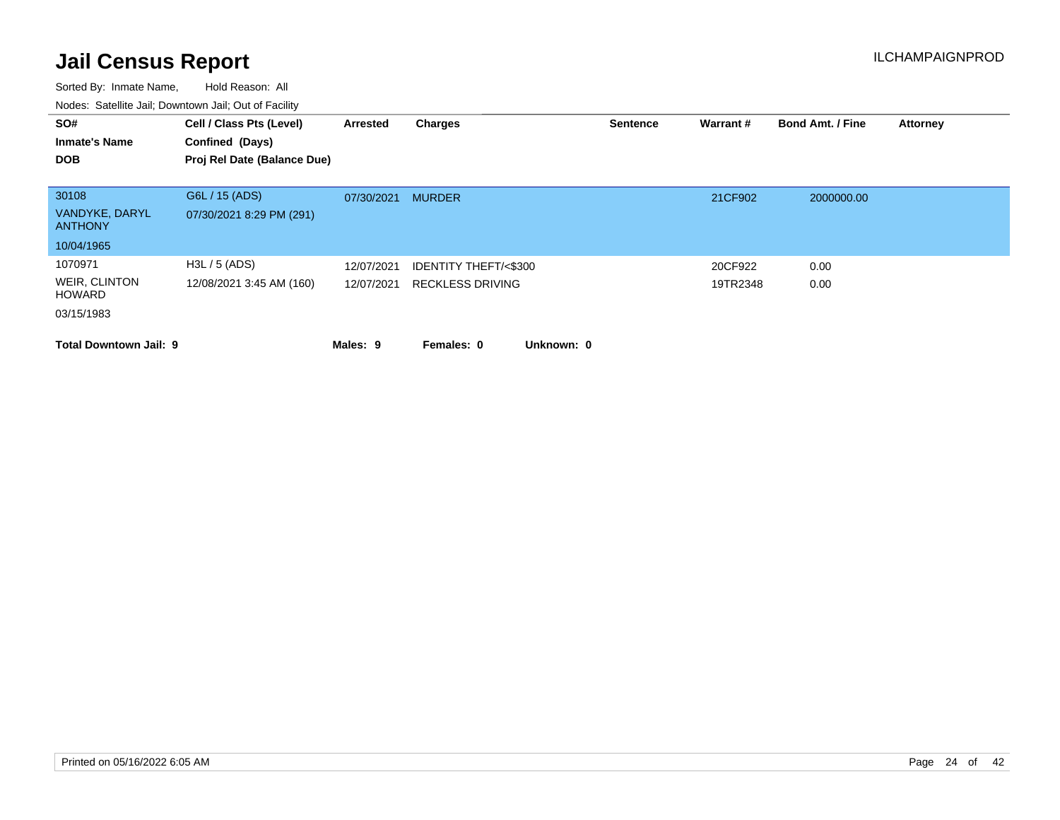| SO#<br><b>Inmate's Name</b>                             | Cell / Class Pts (Level)<br>Confined (Days) | Arrested                 | Charges                                                    |            | <b>Sentence</b> | Warrant#            | <b>Bond Amt. / Fine</b> | <b>Attorney</b> |
|---------------------------------------------------------|---------------------------------------------|--------------------------|------------------------------------------------------------|------------|-----------------|---------------------|-------------------------|-----------------|
| <b>DOB</b>                                              | Proj Rel Date (Balance Due)                 |                          |                                                            |            |                 |                     |                         |                 |
| 30108<br>VANDYKE, DARYL<br><b>ANTHONY</b>               | G6L / 15 (ADS)<br>07/30/2021 8:29 PM (291)  | 07/30/2021               | <b>MURDER</b>                                              |            |                 | 21CF902             | 2000000.00              |                 |
| 10/04/1965                                              |                                             |                          |                                                            |            |                 |                     |                         |                 |
| 1070971<br>WEIR, CLINTON<br><b>HOWARD</b><br>03/15/1983 | H3L / 5 (ADS)<br>12/08/2021 3:45 AM (160)   | 12/07/2021<br>12/07/2021 | <b>IDENTITY THEFT/&lt;\$300</b><br><b>RECKLESS DRIVING</b> |            |                 | 20CF922<br>19TR2348 | 0.00<br>0.00            |                 |
| <b>Total Downtown Jail: 9</b>                           |                                             | Males: 9                 | Females: 0                                                 | Unknown: 0 |                 |                     |                         |                 |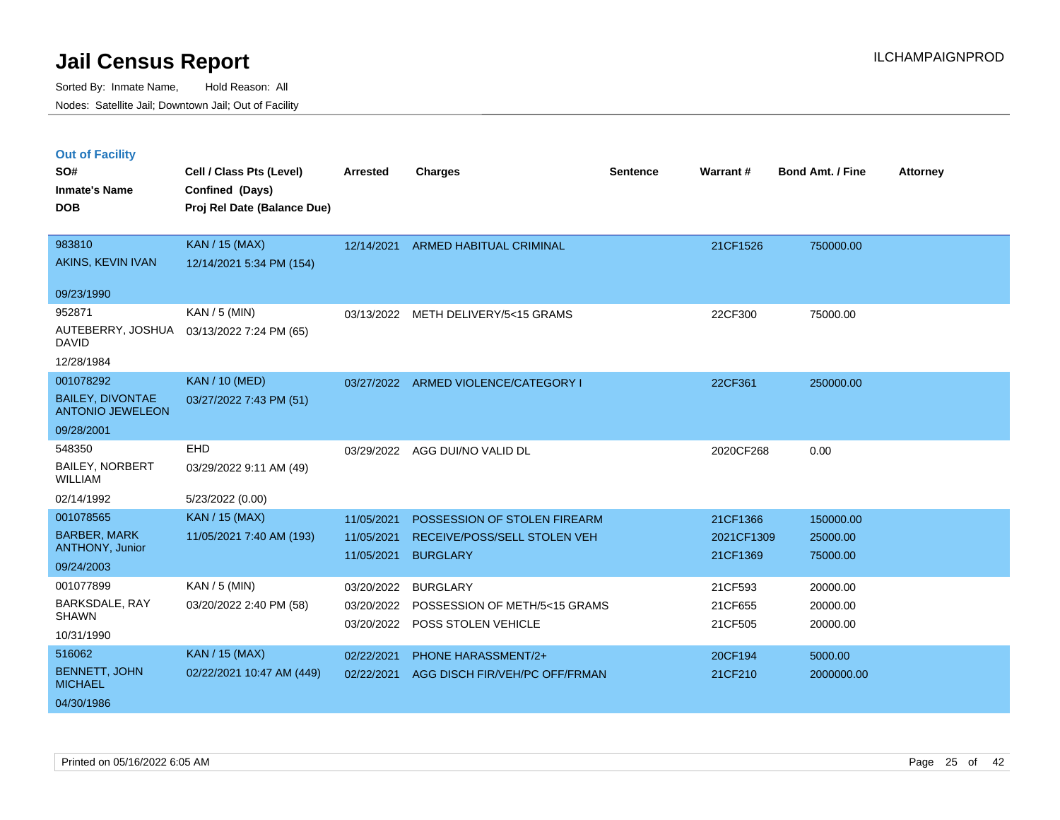Sorted By: Inmate Name, Hold Reason: All Nodes: Satellite Jail; Downtown Jail; Out of Facility

### **Out of Facility**

| SO#<br><b>Inmate's Name</b>                                              | Cell / Class Pts (Level)<br>Confined (Days)        | <b>Arrested</b>                        | <b>Charges</b>                                                                  | <b>Sentence</b> | Warrant#                           | <b>Bond Amt. / Fine</b>           | <b>Attorney</b> |
|--------------------------------------------------------------------------|----------------------------------------------------|----------------------------------------|---------------------------------------------------------------------------------|-----------------|------------------------------------|-----------------------------------|-----------------|
| <b>DOB</b>                                                               | Proj Rel Date (Balance Due)                        |                                        |                                                                                 |                 |                                    |                                   |                 |
| 983810<br>AKINS, KEVIN IVAN                                              | <b>KAN / 15 (MAX)</b><br>12/14/2021 5:34 PM (154)  |                                        | 12/14/2021 ARMED HABITUAL CRIMINAL                                              |                 | 21CF1526                           | 750000.00                         |                 |
| 09/23/1990<br>952871<br>AUTEBERRY, JOSHUA                                | KAN / 5 (MIN)<br>03/13/2022 7:24 PM (65)           | 03/13/2022                             | METH DELIVERY/5<15 GRAMS                                                        |                 | 22CF300                            | 75000.00                          |                 |
| <b>DAVID</b><br>12/28/1984                                               |                                                    |                                        |                                                                                 |                 |                                    |                                   |                 |
| 001078292<br><b>BAILEY, DIVONTAE</b><br><b>ANTONIO JEWELEON</b>          | <b>KAN / 10 (MED)</b><br>03/27/2022 7:43 PM (51)   |                                        | 03/27/2022 ARMED VIOLENCE/CATEGORY I                                            |                 | 22CF361                            | 250000.00                         |                 |
| 09/28/2001                                                               |                                                    |                                        |                                                                                 |                 |                                    |                                   |                 |
| 548350<br><b>BAILEY, NORBERT</b><br><b>WILLIAM</b>                       | EHD<br>03/29/2022 9:11 AM (49)                     |                                        | 03/29/2022 AGG DUI/NO VALID DL                                                  |                 | 2020CF268                          | 0.00                              |                 |
| 02/14/1992                                                               | 5/23/2022 (0.00)                                   |                                        |                                                                                 |                 |                                    |                                   |                 |
| 001078565<br><b>BARBER, MARK</b><br><b>ANTHONY, Junior</b><br>09/24/2003 | <b>KAN / 15 (MAX)</b><br>11/05/2021 7:40 AM (193)  | 11/05/2021<br>11/05/2021<br>11/05/2021 | POSSESSION OF STOLEN FIREARM<br>RECEIVE/POSS/SELL STOLEN VEH<br><b>BURGLARY</b> |                 | 21CF1366<br>2021CF1309<br>21CF1369 | 150000.00<br>25000.00<br>75000.00 |                 |
| 001077899<br>BARKSDALE, RAY<br><b>SHAWN</b><br>10/31/1990                | $KAN / 5$ (MIN)<br>03/20/2022 2:40 PM (58)         | 03/20/2022<br>03/20/2022<br>03/20/2022 | <b>BURGLARY</b><br>POSSESSION OF METH/5<15 GRAMS<br>POSS STOLEN VEHICLE         |                 | 21CF593<br>21CF655<br>21CF505      | 20000.00<br>20000.00<br>20000.00  |                 |
| 516062<br><b>BENNETT, JOHN</b><br><b>MICHAEL</b><br>04/30/1986           | <b>KAN / 15 (MAX)</b><br>02/22/2021 10:47 AM (449) | 02/22/2021<br>02/22/2021               | <b>PHONE HARASSMENT/2+</b><br>AGG DISCH FIR/VEH/PC OFF/FRMAN                    |                 | 20CF194<br>21CF210                 | 5000.00<br>2000000.00             |                 |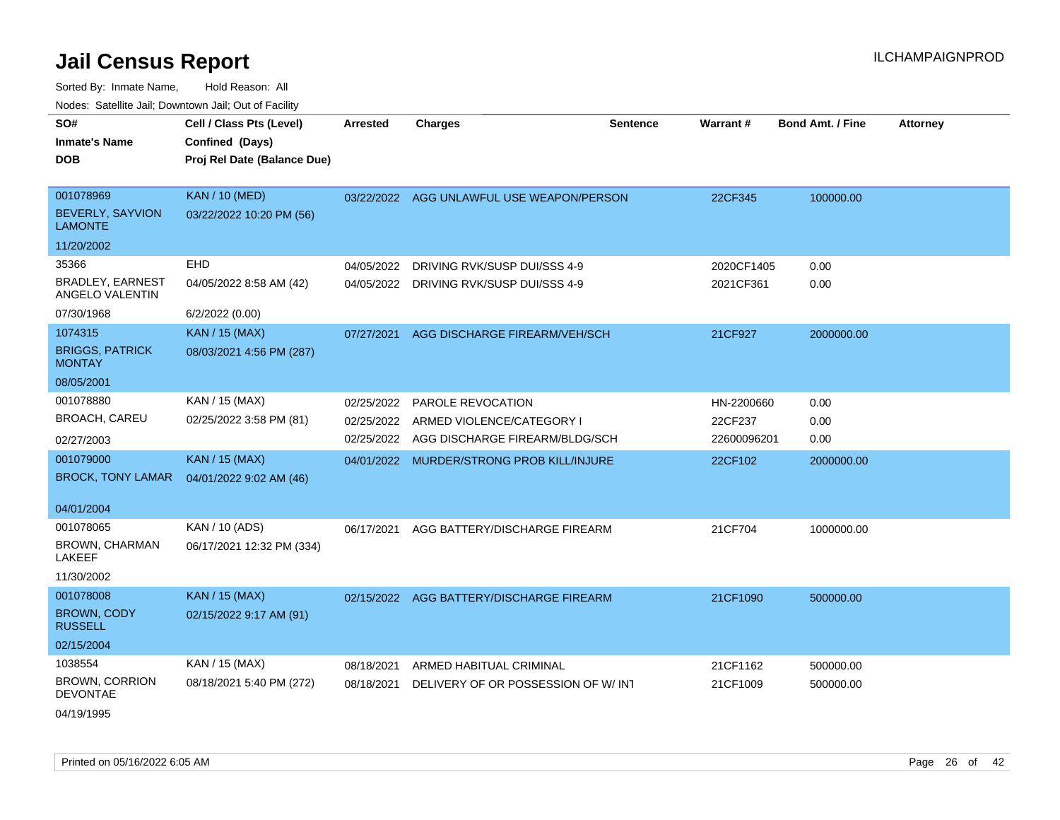| SO#                                        | Cell / Class Pts (Level)    | <b>Arrested</b> | <b>Charges</b>                            | <b>Sentence</b> | Warrant#    | <b>Bond Amt. / Fine</b> | <b>Attorney</b> |
|--------------------------------------------|-----------------------------|-----------------|-------------------------------------------|-----------------|-------------|-------------------------|-----------------|
| <b>Inmate's Name</b>                       | Confined (Days)             |                 |                                           |                 |             |                         |                 |
| <b>DOB</b>                                 | Proj Rel Date (Balance Due) |                 |                                           |                 |             |                         |                 |
|                                            |                             |                 |                                           |                 |             |                         |                 |
| 001078969                                  | <b>KAN / 10 (MED)</b>       |                 | 03/22/2022 AGG UNLAWFUL USE WEAPON/PERSON |                 | 22CF345     | 100000.00               |                 |
| <b>BEVERLY, SAYVION</b><br><b>LAMONTE</b>  | 03/22/2022 10:20 PM (56)    |                 |                                           |                 |             |                         |                 |
| 11/20/2002                                 |                             |                 |                                           |                 |             |                         |                 |
| 35366                                      | <b>EHD</b>                  | 04/05/2022      | DRIVING RVK/SUSP DUI/SSS 4-9              |                 | 2020CF1405  | 0.00                    |                 |
| <b>BRADLEY, EARNEST</b><br>ANGELO VALENTIN | 04/05/2022 8:58 AM (42)     | 04/05/2022      | DRIVING RVK/SUSP DUI/SSS 4-9              |                 | 2021CF361   | 0.00                    |                 |
| 07/30/1968                                 | 6/2/2022 (0.00)             |                 |                                           |                 |             |                         |                 |
| 1074315                                    | <b>KAN / 15 (MAX)</b>       | 07/27/2021      | AGG DISCHARGE FIREARM/VEH/SCH             |                 | 21CF927     | 2000000.00              |                 |
| <b>BRIGGS, PATRICK</b><br><b>MONTAY</b>    | 08/03/2021 4:56 PM (287)    |                 |                                           |                 |             |                         |                 |
| 08/05/2001                                 |                             |                 |                                           |                 |             |                         |                 |
| 001078880                                  | KAN / 15 (MAX)              | 02/25/2022      | <b>PAROLE REVOCATION</b>                  |                 | HN-2200660  | 0.00                    |                 |
| <b>BROACH, CAREU</b>                       | 02/25/2022 3:58 PM (81)     | 02/25/2022      | ARMED VIOLENCE/CATEGORY I                 |                 | 22CF237     | 0.00                    |                 |
| 02/27/2003                                 |                             | 02/25/2022      | AGG DISCHARGE FIREARM/BLDG/SCH            |                 | 22600096201 | 0.00                    |                 |
| 001079000                                  | <b>KAN / 15 (MAX)</b>       |                 | 04/01/2022 MURDER/STRONG PROB KILL/INJURE |                 | 22CF102     | 2000000.00              |                 |
| <b>BROCK, TONY LAMAR</b>                   | 04/01/2022 9:02 AM (46)     |                 |                                           |                 |             |                         |                 |
| 04/01/2004                                 |                             |                 |                                           |                 |             |                         |                 |
| 001078065                                  | KAN / 10 (ADS)              |                 |                                           |                 | 21CF704     |                         |                 |
| <b>BROWN, CHARMAN</b>                      | 06/17/2021 12:32 PM (334)   | 06/17/2021      | AGG BATTERY/DISCHARGE FIREARM             |                 |             | 1000000.00              |                 |
| <b>LAKEEF</b>                              |                             |                 |                                           |                 |             |                         |                 |
| 11/30/2002                                 |                             |                 |                                           |                 |             |                         |                 |
| 001078008                                  | <b>KAN / 15 (MAX)</b>       |                 | 02/15/2022 AGG BATTERY/DISCHARGE FIREARM  |                 | 21CF1090    | 500000.00               |                 |
| <b>BROWN, CODY</b><br><b>RUSSELL</b>       | 02/15/2022 9:17 AM (91)     |                 |                                           |                 |             |                         |                 |
| 02/15/2004                                 |                             |                 |                                           |                 |             |                         |                 |
| 1038554                                    | KAN / 15 (MAX)              | 08/18/2021      | ARMED HABITUAL CRIMINAL                   |                 | 21CF1162    | 500000.00               |                 |
| <b>BROWN, CORRION</b><br><b>DEVONTAE</b>   | 08/18/2021 5:40 PM (272)    | 08/18/2021      | DELIVERY OF OR POSSESSION OF W/INT        |                 | 21CF1009    | 500000.00               |                 |
| 04/19/1995                                 |                             |                 |                                           |                 |             |                         |                 |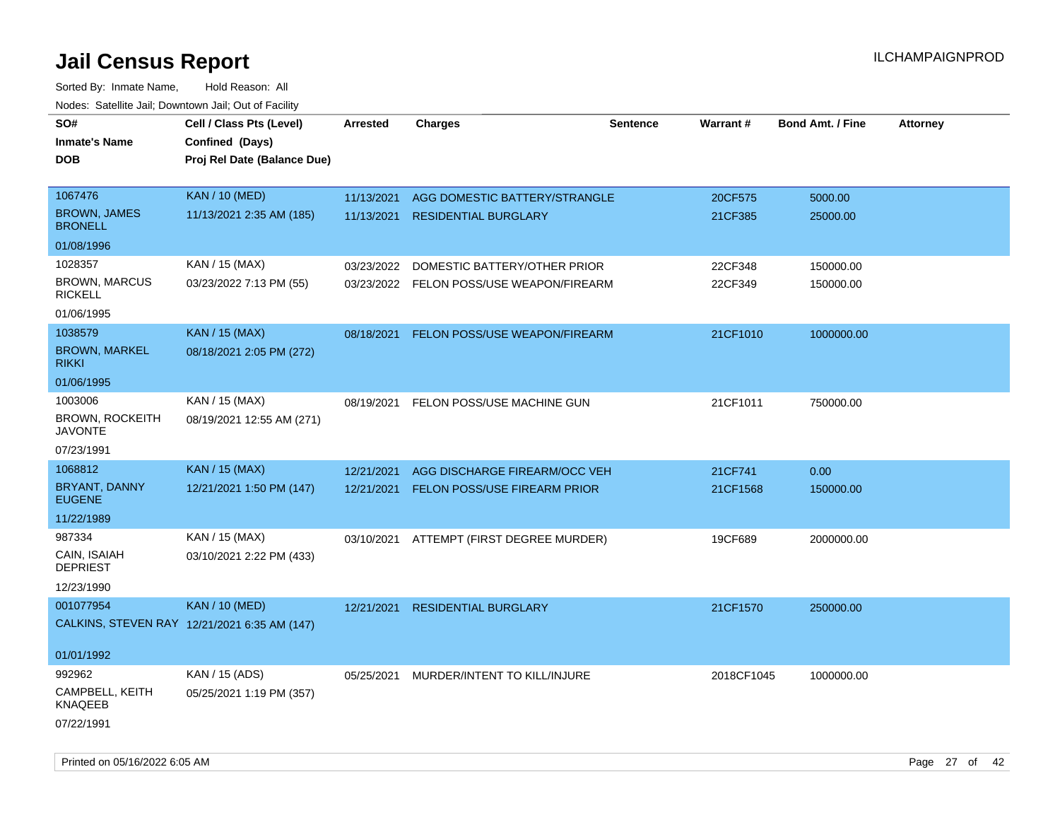| SO#                                      | Cell / Class Pts (Level)                     | Arrested   | <b>Charges</b>                           | Sentence | <b>Warrant#</b> | <b>Bond Amt. / Fine</b> | <b>Attorney</b> |
|------------------------------------------|----------------------------------------------|------------|------------------------------------------|----------|-----------------|-------------------------|-----------------|
| <b>Inmate's Name</b>                     | Confined (Days)                              |            |                                          |          |                 |                         |                 |
| <b>DOB</b>                               | Proj Rel Date (Balance Due)                  |            |                                          |          |                 |                         |                 |
|                                          |                                              |            |                                          |          |                 |                         |                 |
| 1067476                                  | <b>KAN / 10 (MED)</b>                        | 11/13/2021 | AGG DOMESTIC BATTERY/STRANGLE            |          | 20CF575         | 5000.00                 |                 |
| <b>BROWN, JAMES</b><br><b>BRONELL</b>    | 11/13/2021 2:35 AM (185)                     | 11/13/2021 | <b>RESIDENTIAL BURGLARY</b>              |          | 21CF385         | 25000.00                |                 |
| 01/08/1996                               |                                              |            |                                          |          |                 |                         |                 |
| 1028357                                  | KAN / 15 (MAX)                               | 03/23/2022 | DOMESTIC BATTERY/OTHER PRIOR             |          | 22CF348         | 150000.00               |                 |
| <b>BROWN, MARCUS</b><br><b>RICKELL</b>   | 03/23/2022 7:13 PM (55)                      |            | 03/23/2022 FELON POSS/USE WEAPON/FIREARM |          | 22CF349         | 150000.00               |                 |
| 01/06/1995                               |                                              |            |                                          |          |                 |                         |                 |
| 1038579                                  | <b>KAN / 15 (MAX)</b>                        | 08/18/2021 | FELON POSS/USE WEAPON/FIREARM            |          | 21CF1010        | 1000000.00              |                 |
| <b>BROWN, MARKEL</b><br><b>RIKKI</b>     | 08/18/2021 2:05 PM (272)                     |            |                                          |          |                 |                         |                 |
| 01/06/1995                               |                                              |            |                                          |          |                 |                         |                 |
| 1003006                                  | KAN / 15 (MAX)                               | 08/19/2021 | FELON POSS/USE MACHINE GUN               |          | 21CF1011        | 750000.00               |                 |
| <b>BROWN, ROCKEITH</b><br><b>JAVONTE</b> | 08/19/2021 12:55 AM (271)                    |            |                                          |          |                 |                         |                 |
| 07/23/1991                               |                                              |            |                                          |          |                 |                         |                 |
| 1068812                                  | <b>KAN / 15 (MAX)</b>                        | 12/21/2021 | AGG DISCHARGE FIREARM/OCC VEH            |          | 21CF741         | 0.00                    |                 |
| BRYANT, DANNY<br><b>EUGENE</b>           | 12/21/2021 1:50 PM (147)                     | 12/21/2021 | FELON POSS/USE FIREARM PRIOR             |          | 21CF1568        | 150000.00               |                 |
| 11/22/1989                               |                                              |            |                                          |          |                 |                         |                 |
| 987334                                   | KAN / 15 (MAX)                               |            | 03/10/2021 ATTEMPT (FIRST DEGREE MURDER) |          | 19CF689         | 2000000.00              |                 |
| CAIN, ISAIAH<br><b>DEPRIEST</b>          | 03/10/2021 2:22 PM (433)                     |            |                                          |          |                 |                         |                 |
| 12/23/1990                               |                                              |            |                                          |          |                 |                         |                 |
| 001077954                                | <b>KAN / 10 (MED)</b>                        | 12/21/2021 | <b>RESIDENTIAL BURGLARY</b>              |          | 21CF1570        | 250000.00               |                 |
|                                          | CALKINS, STEVEN RAY 12/21/2021 6:35 AM (147) |            |                                          |          |                 |                         |                 |
| 01/01/1992                               |                                              |            |                                          |          |                 |                         |                 |
| 992962                                   | KAN / 15 (ADS)                               | 05/25/2021 | MURDER/INTENT TO KILL/INJURE             |          | 2018CF1045      | 1000000.00              |                 |
| CAMPBELL, KEITH<br><b>KNAQEEB</b>        | 05/25/2021 1:19 PM (357)                     |            |                                          |          |                 |                         |                 |
| 07/22/1991                               |                                              |            |                                          |          |                 |                         |                 |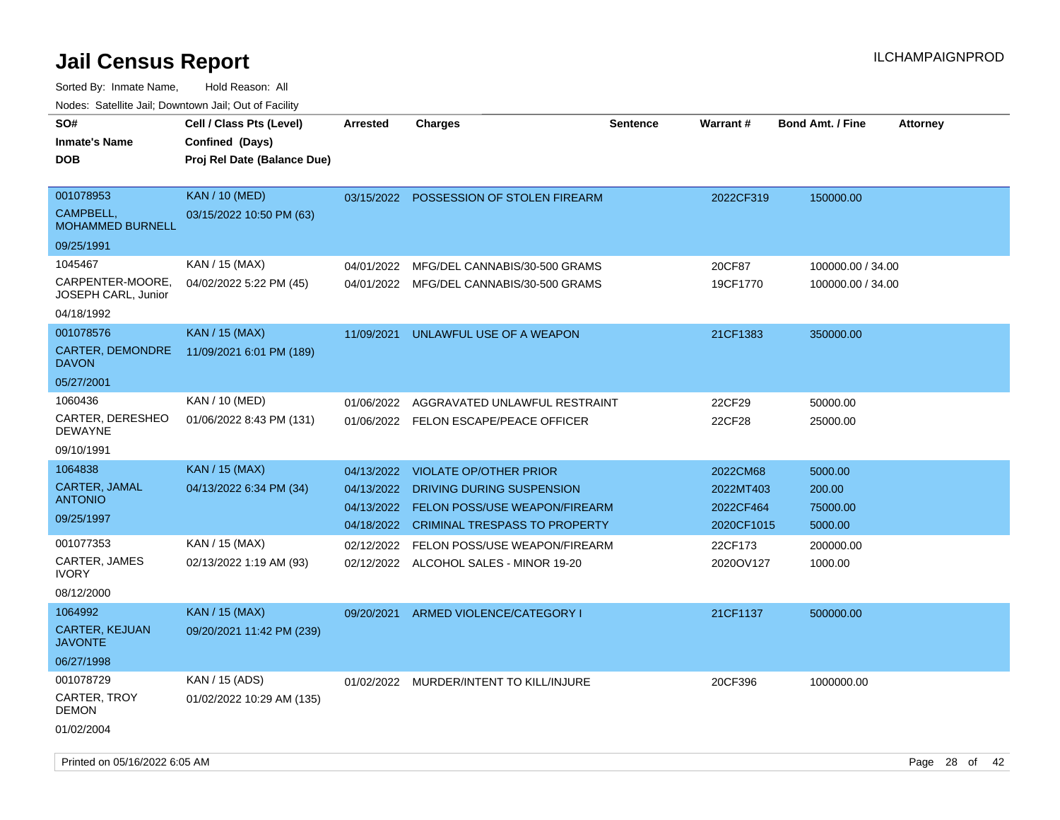Sorted By: Inmate Name, Hold Reason: All Nodes: Satellite Jail; Downtown Jail; Out of Facility

| SO#                                     | Cell / Class Pts (Level)    | <b>Arrested</b> | <b>Charges</b>                          | <b>Sentence</b> | Warrant#   | <b>Bond Amt. / Fine</b> | <b>Attorney</b> |
|-----------------------------------------|-----------------------------|-----------------|-----------------------------------------|-----------------|------------|-------------------------|-----------------|
| <b>Inmate's Name</b>                    | Confined (Days)             |                 |                                         |                 |            |                         |                 |
| <b>DOB</b>                              | Proj Rel Date (Balance Due) |                 |                                         |                 |            |                         |                 |
|                                         |                             |                 |                                         |                 |            |                         |                 |
| 001078953                               | <b>KAN / 10 (MED)</b>       | 03/15/2022      | POSSESSION OF STOLEN FIREARM            |                 | 2022CF319  | 150000.00               |                 |
| CAMPBELL,<br>MOHAMMED BURNELL           | 03/15/2022 10:50 PM (63)    |                 |                                         |                 |            |                         |                 |
| 09/25/1991                              |                             |                 |                                         |                 |            |                         |                 |
| 1045467                                 | KAN / 15 (MAX)              | 04/01/2022      | MFG/DEL CANNABIS/30-500 GRAMS           |                 | 20CF87     | 100000.00 / 34.00       |                 |
| CARPENTER-MOORE.<br>JOSEPH CARL, Junior | 04/02/2022 5:22 PM (45)     | 04/01/2022      | MFG/DEL CANNABIS/30-500 GRAMS           |                 | 19CF1770   | 100000.00 / 34.00       |                 |
| 04/18/1992                              |                             |                 |                                         |                 |            |                         |                 |
| 001078576                               | <b>KAN / 15 (MAX)</b>       | 11/09/2021      | UNLAWFUL USE OF A WEAPON                |                 | 21CF1383   | 350000.00               |                 |
| <b>CARTER, DEMONDRE</b><br><b>DAVON</b> | 11/09/2021 6:01 PM (189)    |                 |                                         |                 |            |                         |                 |
| 05/27/2001                              |                             |                 |                                         |                 |            |                         |                 |
| 1060436                                 | KAN / 10 (MED)              | 01/06/2022      | AGGRAVATED UNLAWFUL RESTRAINT           |                 | 22CF29     | 50000.00                |                 |
| CARTER, DERESHEO<br><b>DEWAYNE</b>      | 01/06/2022 8:43 PM (131)    | 01/06/2022      | FELON ESCAPE/PEACE OFFICER              |                 | 22CF28     | 25000.00                |                 |
| 09/10/1991                              |                             |                 |                                         |                 |            |                         |                 |
| 1064838                                 | <b>KAN / 15 (MAX)</b>       | 04/13/2022      | <b>VIOLATE OP/OTHER PRIOR</b>           |                 | 2022CM68   | 5000.00                 |                 |
| CARTER, JAMAL                           | 04/13/2022 6:34 PM (34)     | 04/13/2022      | DRIVING DURING SUSPENSION               |                 | 2022MT403  | 200.00                  |                 |
| <b>ANTONIO</b>                          |                             | 04/13/2022      | <b>FELON POSS/USE WEAPON/FIREARM</b>    |                 | 2022CF464  | 75000.00                |                 |
| 09/25/1997                              |                             | 04/18/2022      | <b>CRIMINAL TRESPASS TO PROPERTY</b>    |                 | 2020CF1015 | 5000.00                 |                 |
| 001077353                               | KAN / 15 (MAX)              | 02/12/2022      | FELON POSS/USE WEAPON/FIREARM           |                 | 22CF173    | 200000.00               |                 |
| CARTER, JAMES<br><b>IVORY</b>           | 02/13/2022 1:19 AM (93)     |                 | 02/12/2022 ALCOHOL SALES - MINOR 19-20  |                 | 2020OV127  | 1000.00                 |                 |
| 08/12/2000                              |                             |                 |                                         |                 |            |                         |                 |
| 1064992                                 | KAN / 15 (MAX)              | 09/20/2021      | ARMED VIOLENCE/CATEGORY I               |                 | 21CF1137   | 500000.00               |                 |
| <b>CARTER, KEJUAN</b><br><b>JAVONTE</b> | 09/20/2021 11:42 PM (239)   |                 |                                         |                 |            |                         |                 |
| 06/27/1998                              |                             |                 |                                         |                 |            |                         |                 |
| 001078729                               | KAN / 15 (ADS)              |                 | 01/02/2022 MURDER/INTENT TO KILL/INJURE |                 | 20CF396    | 1000000.00              |                 |
| CARTER, TROY<br><b>DEMON</b>            | 01/02/2022 10:29 AM (135)   |                 |                                         |                 |            |                         |                 |
| 01/02/2004                              |                             |                 |                                         |                 |            |                         |                 |

Printed on 05/16/2022 6:05 AM Page 28 of 42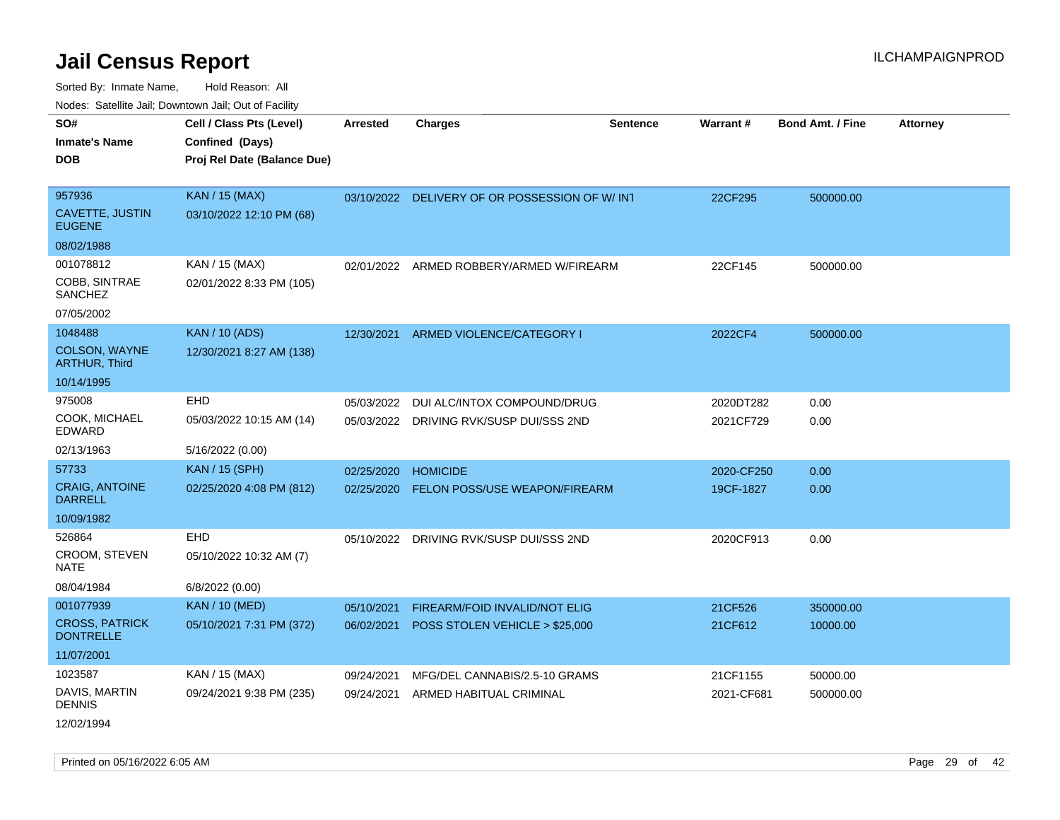Sorted By: Inmate Name, Hold Reason: All Nodes: Satellite Jail; Downtown Jail; Out of Facility

| rougs. Calcing Jan, Downtown Jan, Out of Facility |                                             |            |                                                |                 |            |                         |                 |
|---------------------------------------------------|---------------------------------------------|------------|------------------------------------------------|-----------------|------------|-------------------------|-----------------|
| SO#<br><b>Inmate's Name</b>                       | Cell / Class Pts (Level)<br>Confined (Days) | Arrested   | <b>Charges</b>                                 | <b>Sentence</b> | Warrant#   | <b>Bond Amt. / Fine</b> | <b>Attorney</b> |
| <b>DOB</b>                                        | Proj Rel Date (Balance Due)                 |            |                                                |                 |            |                         |                 |
| 957936                                            | <b>KAN / 15 (MAX)</b>                       |            | 03/10/2022 DELIVERY OF OR POSSESSION OF W/ INT |                 | 22CF295    | 500000.00               |                 |
| <b>CAVETTE, JUSTIN</b><br><b>EUGENE</b>           | 03/10/2022 12:10 PM (68)                    |            |                                                |                 |            |                         |                 |
| 08/02/1988                                        |                                             |            |                                                |                 |            |                         |                 |
| 001078812                                         | KAN / 15 (MAX)                              |            | 02/01/2022 ARMED ROBBERY/ARMED W/FIREARM       |                 | 22CF145    | 500000.00               |                 |
| COBB, SINTRAE<br><b>SANCHEZ</b>                   | 02/01/2022 8:33 PM (105)                    |            |                                                |                 |            |                         |                 |
| 07/05/2002                                        |                                             |            |                                                |                 |            |                         |                 |
| 1048488                                           | <b>KAN / 10 (ADS)</b>                       |            | 12/30/2021 ARMED VIOLENCE/CATEGORY I           |                 | 2022CF4    | 500000.00               |                 |
| <b>COLSON, WAYNE</b><br><b>ARTHUR, Third</b>      | 12/30/2021 8:27 AM (138)                    |            |                                                |                 |            |                         |                 |
| 10/14/1995                                        |                                             |            |                                                |                 |            |                         |                 |
| 975008                                            | EHD                                         | 05/03/2022 | DUI ALC/INTOX COMPOUND/DRUG                    |                 | 2020DT282  | 0.00                    |                 |
| COOK, MICHAEL<br>EDWARD                           | 05/03/2022 10:15 AM (14)                    |            | 05/03/2022 DRIVING RVK/SUSP DUI/SSS 2ND        |                 | 2021CF729  | 0.00                    |                 |
| 02/13/1963                                        | 5/16/2022 (0.00)                            |            |                                                |                 |            |                         |                 |
| 57733                                             | <b>KAN / 15 (SPH)</b>                       | 02/25/2020 | <b>HOMICIDE</b>                                |                 | 2020-CF250 | 0.00                    |                 |
| <b>CRAIG, ANTOINE</b><br><b>DARRELL</b>           | 02/25/2020 4:08 PM (812)                    | 02/25/2020 | FELON POSS/USE WEAPON/FIREARM                  |                 | 19CF-1827  | 0.00                    |                 |
| 10/09/1982                                        |                                             |            |                                                |                 |            |                         |                 |
| 526864                                            | EHD                                         | 05/10/2022 | DRIVING RVK/SUSP DUI/SSS 2ND                   |                 | 2020CF913  | 0.00                    |                 |
| CROOM, STEVEN<br>NATE                             | 05/10/2022 10:32 AM (7)                     |            |                                                |                 |            |                         |                 |
| 08/04/1984                                        | 6/8/2022 (0.00)                             |            |                                                |                 |            |                         |                 |
| 001077939                                         | <b>KAN / 10 (MED)</b>                       | 05/10/2021 | FIREARM/FOID INVALID/NOT ELIG                  |                 | 21CF526    | 350000.00               |                 |
| <b>CROSS, PATRICK</b><br><b>DONTRELLE</b>         | 05/10/2021 7:31 PM (372)                    | 06/02/2021 | POSS STOLEN VEHICLE > \$25,000                 |                 | 21CF612    | 10000.00                |                 |
| 11/07/2001                                        |                                             |            |                                                |                 |            |                         |                 |
| 1023587                                           | KAN / 15 (MAX)                              | 09/24/2021 | MFG/DEL CANNABIS/2.5-10 GRAMS                  |                 | 21CF1155   | 50000.00                |                 |
| DAVIS, MARTIN<br><b>DENNIS</b>                    | 09/24/2021 9:38 PM (235)                    | 09/24/2021 | ARMED HABITUAL CRIMINAL                        |                 | 2021-CF681 | 500000.00               |                 |
|                                                   |                                             |            |                                                |                 |            |                         |                 |

12/02/1994

Printed on 05/16/2022 6:05 AM Page 29 of 42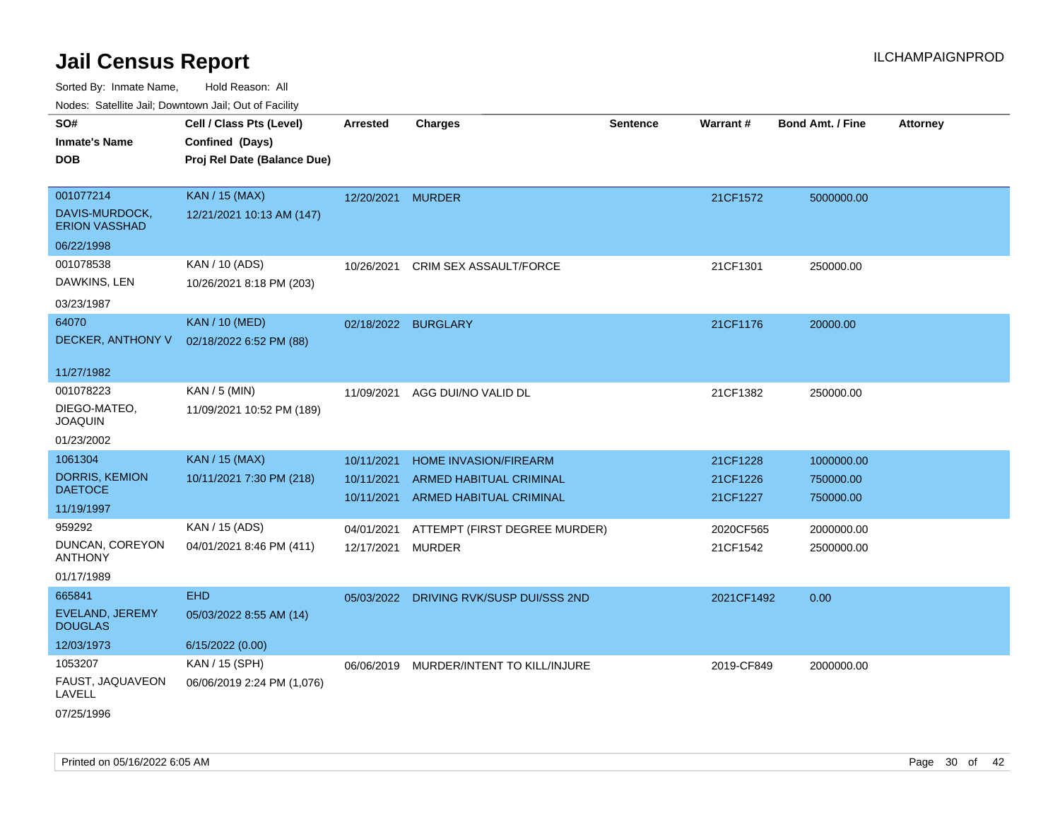| SO#<br><b>Inmate's Name</b>                 | Cell / Class Pts (Level)<br>Confined (Days)      | Arrested          | <b>Charges</b>                          | <b>Sentence</b> | <b>Warrant#</b> | <b>Bond Amt. / Fine</b> | <b>Attorney</b> |
|---------------------------------------------|--------------------------------------------------|-------------------|-----------------------------------------|-----------------|-----------------|-------------------------|-----------------|
| <b>DOB</b>                                  | Proj Rel Date (Balance Due)                      |                   |                                         |                 |                 |                         |                 |
| 001077214                                   | <b>KAN / 15 (MAX)</b>                            |                   |                                         |                 |                 |                         |                 |
| DAVIS-MURDOCK,<br><b>ERION VASSHAD</b>      | 12/21/2021 10:13 AM (147)                        | 12/20/2021 MURDER |                                         |                 | 21CF1572        | 5000000.00              |                 |
| 06/22/1998                                  |                                                  |                   |                                         |                 |                 |                         |                 |
| 001078538<br>DAWKINS, LEN                   | KAN / 10 (ADS)<br>10/26/2021 8:18 PM (203)       | 10/26/2021        | <b>CRIM SEX ASSAULT/FORCE</b>           |                 | 21CF1301        | 250000.00               |                 |
| 03/23/1987                                  |                                                  |                   |                                         |                 |                 |                         |                 |
| 64070<br>DECKER, ANTHONY V                  | <b>KAN / 10 (MED)</b><br>02/18/2022 6:52 PM (88) |                   | 02/18/2022 BURGLARY                     |                 | 21CF1176        | 20000.00                |                 |
| 11/27/1982                                  |                                                  |                   |                                         |                 |                 |                         |                 |
| 001078223<br>DIEGO-MATEO,<br><b>JOAQUIN</b> | KAN / 5 (MIN)<br>11/09/2021 10:52 PM (189)       | 11/09/2021        | AGG DUI/NO VALID DL                     |                 | 21CF1382        | 250000.00               |                 |
| 01/23/2002                                  |                                                  |                   |                                         |                 |                 |                         |                 |
| 1061304                                     | <b>KAN / 15 (MAX)</b>                            | 10/11/2021        | <b>HOME INVASION/FIREARM</b>            |                 | 21CF1228        | 1000000.00              |                 |
| <b>DORRIS, KEMION</b><br><b>DAETOCE</b>     | 10/11/2021 7:30 PM (218)                         | 10/11/2021        | ARMED HABITUAL CRIMINAL                 |                 | 21CF1226        | 750000.00               |                 |
| 11/19/1997                                  |                                                  | 10/11/2021        | ARMED HABITUAL CRIMINAL                 |                 | 21CF1227        | 750000.00               |                 |
| 959292                                      | KAN / 15 (ADS)                                   | 04/01/2021        | ATTEMPT (FIRST DEGREE MURDER)           |                 | 2020CF565       | 2000000.00              |                 |
| DUNCAN, COREYON<br><b>ANTHONY</b>           | 04/01/2021 8:46 PM (411)                         | 12/17/2021        | <b>MURDER</b>                           |                 | 21CF1542        | 2500000.00              |                 |
| 01/17/1989                                  |                                                  |                   |                                         |                 |                 |                         |                 |
| 665841<br>EVELAND, JEREMY<br><b>DOUGLAS</b> | <b>EHD</b><br>05/03/2022 8:55 AM (14)            |                   | 05/03/2022 DRIVING RVK/SUSP DUI/SSS 2ND |                 | 2021CF1492      | 0.00                    |                 |
| 12/03/1973                                  | 6/15/2022 (0.00)                                 |                   |                                         |                 |                 |                         |                 |
| 1053207                                     | KAN / 15 (SPH)                                   | 06/06/2019        | MURDER/INTENT TO KILL/INJURE            |                 | 2019-CF849      | 2000000.00              |                 |
| FAUST, JAQUAVEON<br>LAVELL                  | 06/06/2019 2:24 PM (1,076)                       |                   |                                         |                 |                 |                         |                 |
| 07/25/1996                                  |                                                  |                   |                                         |                 |                 |                         |                 |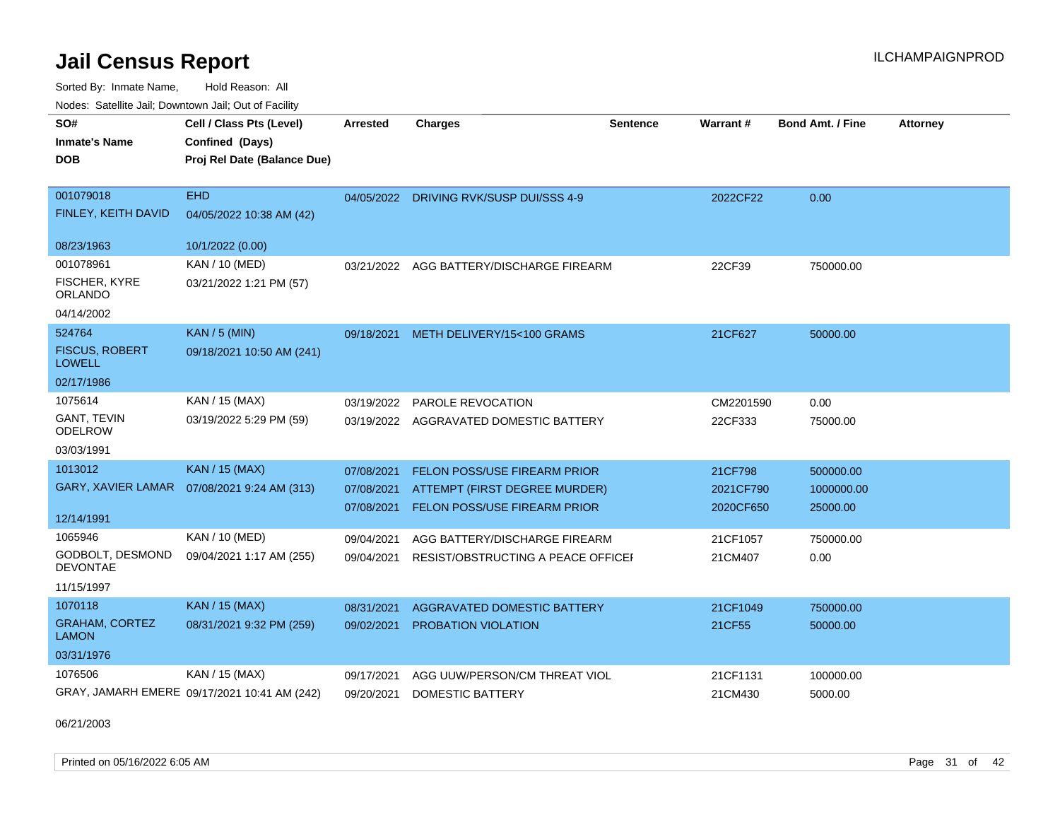Sorted By: Inmate Name, Hold Reason: All

Nodes: Satellite Jail; Downtown Jail; Out of Facility

| SO#<br><b>Inmate's Name</b><br><b>DOB</b>                      | Cell / Class Pts (Level)<br>Confined (Days)<br>Proj Rel Date (Balance Due) | Arrested                 | <b>Charges</b>                                                                                           | <b>Sentence</b> | <b>Warrant#</b>                   | <b>Bond Amt. / Fine</b>             | <b>Attorney</b> |
|----------------------------------------------------------------|----------------------------------------------------------------------------|--------------------------|----------------------------------------------------------------------------------------------------------|-----------------|-----------------------------------|-------------------------------------|-----------------|
| 001079018<br>FINLEY, KEITH DAVID                               | <b>EHD</b><br>04/05/2022 10:38 AM (42)                                     |                          | 04/05/2022 DRIVING RVK/SUSP DUI/SSS 4-9                                                                  |                 | 2022CF22                          | 0.00                                |                 |
| 08/23/1963                                                     | 10/1/2022 (0.00)                                                           |                          |                                                                                                          |                 |                                   |                                     |                 |
| 001078961<br>FISCHER, KYRE<br><b>ORLANDO</b><br>04/14/2002     | KAN / 10 (MED)<br>03/21/2022 1:21 PM (57)                                  | 03/21/2022               | AGG BATTERY/DISCHARGE FIREARM                                                                            |                 | 22CF39                            | 750000.00                           |                 |
| 524764<br><b>FISCUS, ROBERT</b><br><b>LOWELL</b><br>02/17/1986 | $KAN / 5$ (MIN)<br>09/18/2021 10:50 AM (241)                               |                          | 09/18/2021 METH DELIVERY/15<100 GRAMS                                                                    |                 | 21CF627                           | 50000.00                            |                 |
| 1075614<br><b>GANT, TEVIN</b><br><b>ODELROW</b><br>03/03/1991  | KAN / 15 (MAX)<br>03/19/2022 5:29 PM (59)                                  | 03/19/2022               | PAROLE REVOCATION<br>03/19/2022 AGGRAVATED DOMESTIC BATTERY                                              |                 | CM2201590<br>22CF333              | 0.00<br>75000.00                    |                 |
| 1013012<br><b>GARY, XAVIER LAMAR</b><br>12/14/1991             | <b>KAN / 15 (MAX)</b><br>07/08/2021 9:24 AM (313)                          | 07/08/2021<br>07/08/2021 | FELON POSS/USE FIREARM PRIOR<br>ATTEMPT (FIRST DEGREE MURDER)<br>07/08/2021 FELON POSS/USE FIREARM PRIOR |                 | 21CF798<br>2021CF790<br>2020CF650 | 500000.00<br>1000000.00<br>25000.00 |                 |
| 1065946<br>GODBOLT, DESMOND<br><b>DEVONTAE</b><br>11/15/1997   | KAN / 10 (MED)<br>09/04/2021 1:17 AM (255)                                 | 09/04/2021<br>09/04/2021 | AGG BATTERY/DISCHARGE FIREARM<br>RESIST/OBSTRUCTING A PEACE OFFICEF                                      |                 | 21CF1057<br>21CM407               | 750000.00<br>0.00                   |                 |
| 1070118<br><b>GRAHAM, CORTEZ</b><br><b>LAMON</b>               | <b>KAN / 15 (MAX)</b><br>08/31/2021 9:32 PM (259)                          | 08/31/2021<br>09/02/2021 | AGGRAVATED DOMESTIC BATTERY<br>PROBATION VIOLATION                                                       |                 | 21CF1049<br>21CF55                | 750000.00<br>50000.00               |                 |
| 03/31/1976<br>1076506                                          | KAN / 15 (MAX)<br>GRAY, JAMARH EMERE 09/17/2021 10:41 AM (242)             | 09/17/2021<br>09/20/2021 | AGG UUW/PERSON/CM THREAT VIOL<br><b>DOMESTIC BATTERY</b>                                                 |                 | 21CF1131<br>21CM430               | 100000.00<br>5000.00                |                 |

06/21/2003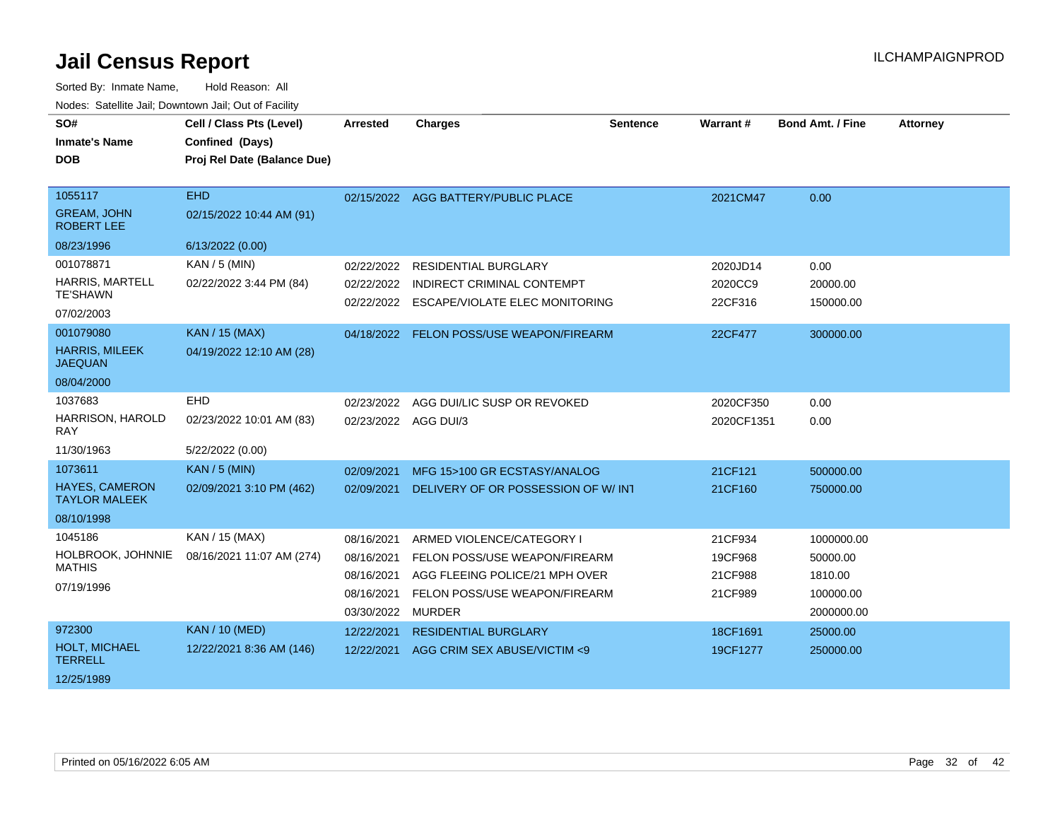| SO#<br><b>Inmate's Name</b><br><b>DOB</b>          | Cell / Class Pts (Level)<br>Confined (Days)<br>Proj Rel Date (Balance Due) | <b>Arrested</b>      | <b>Charges</b>                            | <b>Sentence</b> | Warrant#   | <b>Bond Amt. / Fine</b> | <b>Attorney</b> |
|----------------------------------------------------|----------------------------------------------------------------------------|----------------------|-------------------------------------------|-----------------|------------|-------------------------|-----------------|
| 1055117<br><b>GREAM, JOHN</b><br><b>ROBERT LEE</b> | <b>EHD</b><br>02/15/2022 10:44 AM (91)                                     |                      | 02/15/2022 AGG BATTERY/PUBLIC PLACE       |                 | 2021CM47   | 0.00                    |                 |
| 08/23/1996                                         | 6/13/2022 (0.00)                                                           |                      |                                           |                 |            |                         |                 |
| 001078871                                          | $KAN / 5$ (MIN)                                                            | 02/22/2022           | <b>RESIDENTIAL BURGLARY</b>               |                 | 2020JD14   | 0.00                    |                 |
| <b>HARRIS, MARTELL</b>                             | 02/22/2022 3:44 PM (84)                                                    | 02/22/2022           | <b>INDIRECT CRIMINAL CONTEMPT</b>         |                 | 2020CC9    | 20000.00                |                 |
| <b>TE'SHAWN</b><br>07/02/2003                      |                                                                            |                      | 02/22/2022 ESCAPE/VIOLATE ELEC MONITORING |                 | 22CF316    | 150000.00               |                 |
| 001079080                                          | <b>KAN / 15 (MAX)</b>                                                      |                      | 04/18/2022 FELON POSS/USE WEAPON/FIREARM  |                 | 22CF477    | 300000.00               |                 |
| <b>HARRIS, MILEEK</b><br><b>JAEQUAN</b>            | 04/19/2022 12:10 AM (28)                                                   |                      |                                           |                 |            |                         |                 |
| 08/04/2000                                         |                                                                            |                      |                                           |                 |            |                         |                 |
| 1037683                                            | EHD                                                                        | 02/23/2022           | AGG DUI/LIC SUSP OR REVOKED               |                 | 2020CF350  | 0.00                    |                 |
| HARRISON, HAROLD<br><b>RAY</b>                     | 02/23/2022 10:01 AM (83)                                                   | 02/23/2022 AGG DUI/3 |                                           |                 | 2020CF1351 | 0.00                    |                 |
| 11/30/1963                                         | 5/22/2022 (0.00)                                                           |                      |                                           |                 |            |                         |                 |
| 1073611                                            | <b>KAN / 5 (MIN)</b>                                                       | 02/09/2021           | MFG 15>100 GR ECSTASY/ANALOG              |                 | 21CF121    | 500000.00               |                 |
| <b>HAYES, CAMERON</b><br><b>TAYLOR MALEEK</b>      | 02/09/2021 3:10 PM (462)                                                   | 02/09/2021           | DELIVERY OF OR POSSESSION OF W/INT        |                 | 21CF160    | 750000.00               |                 |
| 08/10/1998                                         |                                                                            |                      |                                           |                 |            |                         |                 |
| 1045186                                            | KAN / 15 (MAX)                                                             | 08/16/2021           | ARMED VIOLENCE/CATEGORY I                 |                 | 21CF934    | 1000000.00              |                 |
| HOLBROOK, JOHNNIE                                  | 08/16/2021 11:07 AM (274)                                                  | 08/16/2021           | FELON POSS/USE WEAPON/FIREARM             |                 | 19CF968    | 50000.00                |                 |
| <b>MATHIS</b>                                      |                                                                            | 08/16/2021           | AGG FLEEING POLICE/21 MPH OVER            |                 | 21CF988    | 1810.00                 |                 |
| 07/19/1996                                         |                                                                            | 08/16/2021           | FELON POSS/USE WEAPON/FIREARM             |                 | 21CF989    | 100000.00               |                 |
|                                                    |                                                                            | 03/30/2022 MURDER    |                                           |                 |            | 2000000.00              |                 |
| 972300                                             | <b>KAN / 10 (MED)</b>                                                      | 12/22/2021           | <b>RESIDENTIAL BURGLARY</b>               |                 | 18CF1691   | 25000.00                |                 |
| <b>HOLT, MICHAEL</b><br><b>TERRELL</b>             | 12/22/2021 8:36 AM (146)                                                   | 12/22/2021           | AGG CRIM SEX ABUSE/VICTIM <9              |                 | 19CF1277   | 250000.00               |                 |
| 12/25/1989                                         |                                                                            |                      |                                           |                 |            |                         |                 |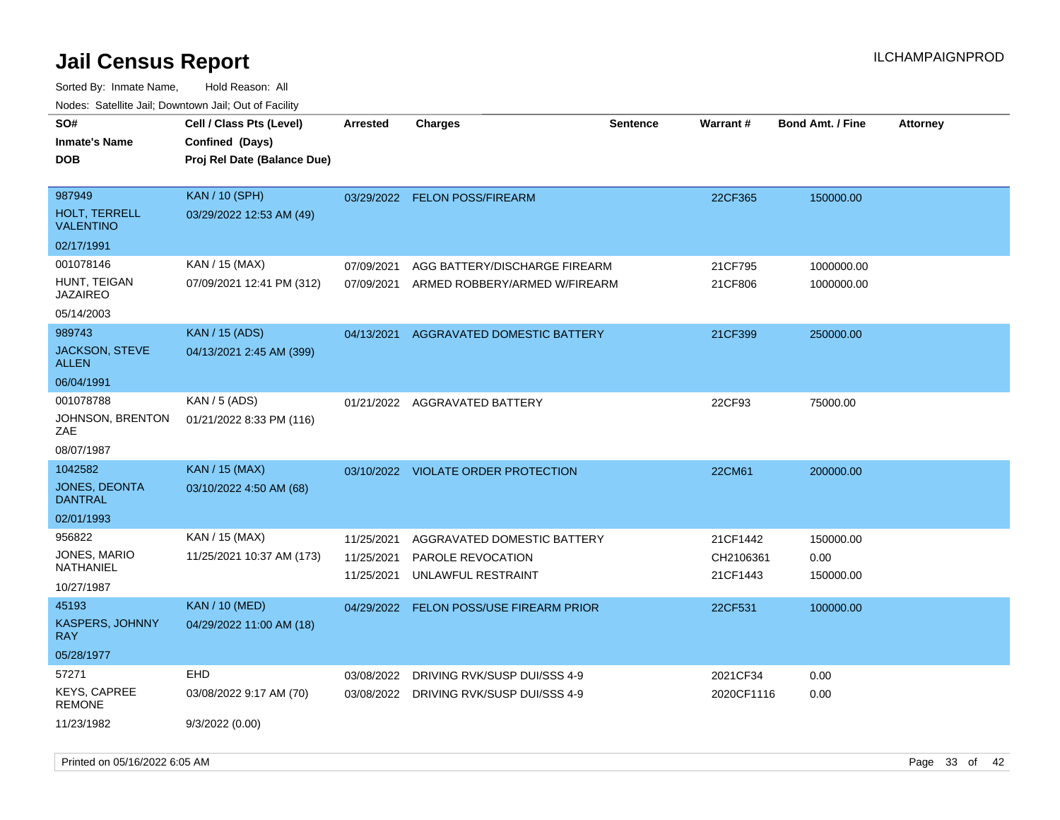| <u>Rudos. Catolino dali, Downtown dali, Odi or Fability</u> |                                             |                 |                                         |                 |                 |                         |                 |
|-------------------------------------------------------------|---------------------------------------------|-----------------|-----------------------------------------|-----------------|-----------------|-------------------------|-----------------|
| SO#<br><b>Inmate's Name</b>                                 | Cell / Class Pts (Level)<br>Confined (Days) | <b>Arrested</b> | <b>Charges</b>                          | <b>Sentence</b> | <b>Warrant#</b> | <b>Bond Amt. / Fine</b> | <b>Attorney</b> |
| DOB                                                         | Proj Rel Date (Balance Due)                 |                 |                                         |                 |                 |                         |                 |
| 987949                                                      | <b>KAN / 10 (SPH)</b>                       |                 | 03/29/2022 FELON POSS/FIREARM           |                 | 22CF365         | 150000.00               |                 |
| <b>HOLT, TERRELL</b><br><b>VALENTINO</b>                    | 03/29/2022 12:53 AM (49)                    |                 |                                         |                 |                 |                         |                 |
| 02/17/1991                                                  |                                             |                 |                                         |                 |                 |                         |                 |
| 001078146                                                   | KAN / 15 (MAX)                              | 07/09/2021      | AGG BATTERY/DISCHARGE FIREARM           |                 | 21CF795         | 1000000.00              |                 |
| HUNT, TEIGAN<br>JAZAIREO                                    | 07/09/2021 12:41 PM (312)                   | 07/09/2021      | ARMED ROBBERY/ARMED W/FIREARM           |                 | 21CF806         | 1000000.00              |                 |
| 05/14/2003                                                  |                                             |                 |                                         |                 |                 |                         |                 |
| 989743                                                      | <b>KAN / 15 (ADS)</b>                       | 04/13/2021      | AGGRAVATED DOMESTIC BATTERY             |                 | 21CF399         | 250000.00               |                 |
| <b>JACKSON, STEVE</b><br>ALLEN                              | 04/13/2021 2:45 AM (399)                    |                 |                                         |                 |                 |                         |                 |
| 06/04/1991                                                  |                                             |                 |                                         |                 |                 |                         |                 |
| 001078788                                                   | KAN / 5 (ADS)                               |                 | 01/21/2022 AGGRAVATED BATTERY           |                 | 22CF93          | 75000.00                |                 |
| JOHNSON, BRENTON<br>ZAE                                     | 01/21/2022 8:33 PM (116)                    |                 |                                         |                 |                 |                         |                 |
| 08/07/1987                                                  |                                             |                 |                                         |                 |                 |                         |                 |
| 1042582                                                     | <b>KAN / 15 (MAX)</b>                       |                 | 03/10/2022 VIOLATE ORDER PROTECTION     |                 | 22CM61          | 200000.00               |                 |
| JONES, DEONTA<br>DANTRAL                                    | 03/10/2022 4:50 AM (68)                     |                 |                                         |                 |                 |                         |                 |
| 02/01/1993                                                  |                                             |                 |                                         |                 |                 |                         |                 |
| 956822                                                      | KAN / 15 (MAX)                              | 11/25/2021      | AGGRAVATED DOMESTIC BATTERY             |                 | 21CF1442        | 150000.00               |                 |
| JONES, MARIO<br>NATHANIEL                                   | 11/25/2021 10:37 AM (173)                   | 11/25/2021      | PAROLE REVOCATION                       |                 | CH2106361       | 0.00                    |                 |
| 10/27/1987                                                  |                                             | 11/25/2021      | UNLAWFUL RESTRAINT                      |                 | 21CF1443        | 150000.00               |                 |
| 45193                                                       | KAN / 10 (MED)                              |                 | 04/29/2022 FELON POSS/USE FIREARM PRIOR |                 | 22CF531         | 100000.00               |                 |
| KASPERS, JOHNNY<br>RAY.                                     | 04/29/2022 11:00 AM (18)                    |                 |                                         |                 |                 |                         |                 |
| 05/28/1977                                                  |                                             |                 |                                         |                 |                 |                         |                 |
| 57271                                                       | EHD                                         | 03/08/2022      | DRIVING RVK/SUSP DUI/SSS 4-9            |                 | 2021CF34        | 0.00                    |                 |
| <b>KEYS, CAPREE</b><br>REMONE                               | 03/08/2022 9:17 AM (70)                     |                 | 03/08/2022 DRIVING RVK/SUSP DUI/SSS 4-9 |                 | 2020CF1116      | 0.00                    |                 |
| 11/23/1982                                                  | 9/3/2022(0.00)                              |                 |                                         |                 |                 |                         |                 |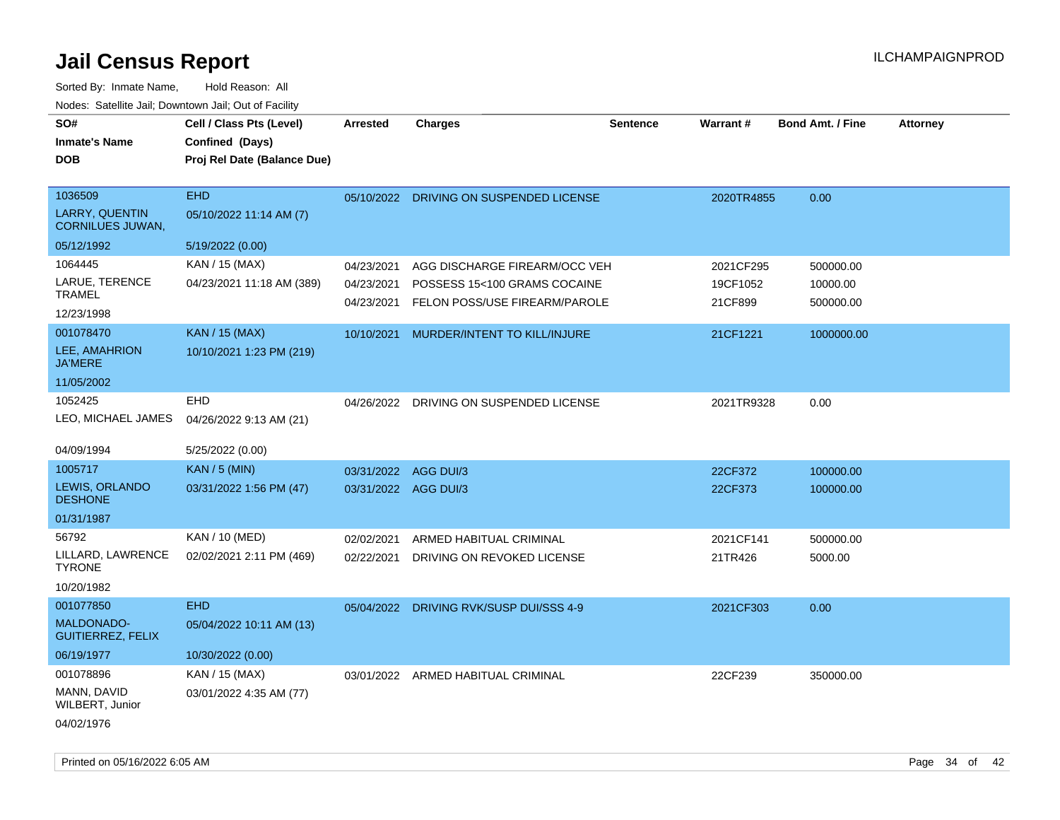| SO#<br><b>Inmate's Name</b>                      | Cell / Class Pts (Level)<br>Confined (Days) | <b>Arrested</b>      | <b>Charges</b>                          | <b>Sentence</b> | <b>Warrant#</b> | <b>Bond Amt. / Fine</b> | <b>Attorney</b> |
|--------------------------------------------------|---------------------------------------------|----------------------|-----------------------------------------|-----------------|-----------------|-------------------------|-----------------|
| <b>DOB</b>                                       | Proj Rel Date (Balance Due)                 |                      |                                         |                 |                 |                         |                 |
| 1036509                                          | <b>EHD</b>                                  | 05/10/2022           | DRIVING ON SUSPENDED LICENSE            |                 | 2020TR4855      | 0.00                    |                 |
| <b>LARRY, QUENTIN</b><br><b>CORNILUES JUWAN,</b> | 05/10/2022 11:14 AM (7)                     |                      |                                         |                 |                 |                         |                 |
| 05/12/1992                                       | 5/19/2022 (0.00)                            |                      |                                         |                 |                 |                         |                 |
| 1064445                                          | KAN / 15 (MAX)                              | 04/23/2021           | AGG DISCHARGE FIREARM/OCC VEH           |                 | 2021CF295       | 500000.00               |                 |
| LARUE, TERENCE<br><b>TRAMEL</b>                  | 04/23/2021 11:18 AM (389)                   | 04/23/2021           | POSSESS 15<100 GRAMS COCAINE            |                 | 19CF1052        | 10000.00                |                 |
| 12/23/1998                                       |                                             | 04/23/2021           | FELON POSS/USE FIREARM/PAROLE           |                 | 21CF899         | 500000.00               |                 |
| 001078470                                        | <b>KAN / 15 (MAX)</b>                       | 10/10/2021           | MURDER/INTENT TO KILL/INJURE            |                 | 21CF1221        | 1000000.00              |                 |
| LEE, AMAHRION<br><b>JA'MERE</b>                  | 10/10/2021 1:23 PM (219)                    |                      |                                         |                 |                 |                         |                 |
| 11/05/2002                                       |                                             |                      |                                         |                 |                 |                         |                 |
| 1052425                                          | <b>EHD</b>                                  |                      | 04/26/2022 DRIVING ON SUSPENDED LICENSE |                 | 2021TR9328      | 0.00                    |                 |
| LEO, MICHAEL JAMES                               | 04/26/2022 9:13 AM (21)                     |                      |                                         |                 |                 |                         |                 |
| 04/09/1994                                       | 5/25/2022 (0.00)                            |                      |                                         |                 |                 |                         |                 |
| 1005717                                          | <b>KAN / 5 (MIN)</b>                        | 03/31/2022 AGG DUI/3 |                                         |                 | 22CF372         | 100000.00               |                 |
| LEWIS, ORLANDO<br><b>DESHONE</b>                 | 03/31/2022 1:56 PM (47)                     | 03/31/2022 AGG DUI/3 |                                         |                 | 22CF373         | 100000.00               |                 |
| 01/31/1987                                       |                                             |                      |                                         |                 |                 |                         |                 |
| 56792                                            | KAN / 10 (MED)                              | 02/02/2021           | ARMED HABITUAL CRIMINAL                 |                 | 2021CF141       | 500000.00               |                 |
| LILLARD, LAWRENCE<br><b>TYRONE</b>               | 02/02/2021 2:11 PM (469)                    | 02/22/2021           | DRIVING ON REVOKED LICENSE              |                 | 21TR426         | 5000.00                 |                 |
| 10/20/1982                                       |                                             |                      |                                         |                 |                 |                         |                 |
| 001077850                                        | <b>EHD</b>                                  |                      | 05/04/2022 DRIVING RVK/SUSP DUI/SSS 4-9 |                 | 2021CF303       | 0.00                    |                 |
| <b>MALDONADO-</b><br><b>GUITIERREZ, FELIX</b>    | 05/04/2022 10:11 AM (13)                    |                      |                                         |                 |                 |                         |                 |
| 06/19/1977                                       | 10/30/2022 (0.00)                           |                      |                                         |                 |                 |                         |                 |
| 001078896                                        | KAN / 15 (MAX)                              |                      | 03/01/2022 ARMED HABITUAL CRIMINAL      |                 | 22CF239         | 350000.00               |                 |
| MANN, DAVID<br>WILBERT, Junior                   | 03/01/2022 4:35 AM (77)                     |                      |                                         |                 |                 |                         |                 |
| 04/02/1976                                       |                                             |                      |                                         |                 |                 |                         |                 |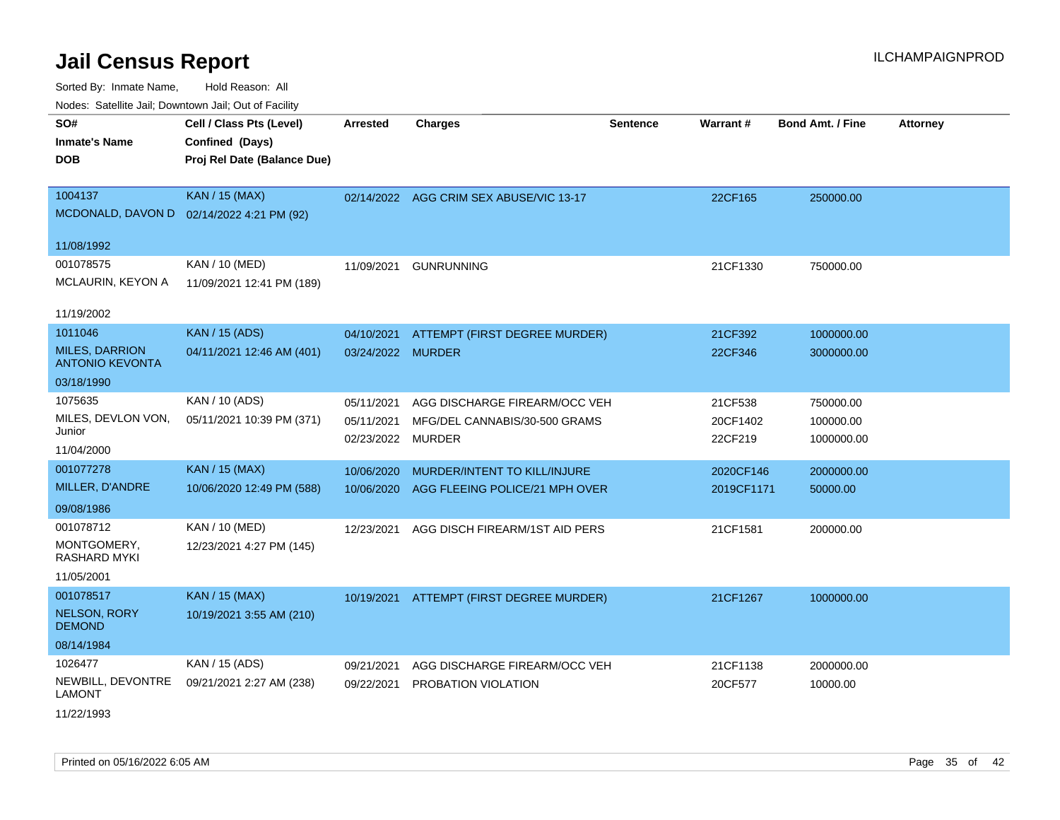| voues. Saleline Jail, Downtown Jail, Out of Facility |                                           |                   |                                         |                 |            |                         |                 |
|------------------------------------------------------|-------------------------------------------|-------------------|-----------------------------------------|-----------------|------------|-------------------------|-----------------|
| SO#                                                  | Cell / Class Pts (Level)                  | <b>Arrested</b>   | <b>Charges</b>                          | <b>Sentence</b> | Warrant#   | <b>Bond Amt. / Fine</b> | <b>Attorney</b> |
| <b>Inmate's Name</b>                                 | Confined (Days)                           |                   |                                         |                 |            |                         |                 |
| <b>DOB</b>                                           | Proj Rel Date (Balance Due)               |                   |                                         |                 |            |                         |                 |
|                                                      |                                           |                   |                                         |                 |            |                         |                 |
| 1004137                                              | <b>KAN / 15 (MAX)</b>                     |                   | 02/14/2022 AGG CRIM SEX ABUSE/VIC 13-17 |                 | 22CF165    | 250000.00               |                 |
|                                                      | MCDONALD, DAVON D 02/14/2022 4:21 PM (92) |                   |                                         |                 |            |                         |                 |
| 11/08/1992                                           |                                           |                   |                                         |                 |            |                         |                 |
| 001078575                                            | KAN / 10 (MED)                            | 11/09/2021        | <b>GUNRUNNING</b>                       |                 | 21CF1330   | 750000.00               |                 |
| MCLAURIN, KEYON A                                    | 11/09/2021 12:41 PM (189)                 |                   |                                         |                 |            |                         |                 |
|                                                      |                                           |                   |                                         |                 |            |                         |                 |
| 11/19/2002                                           |                                           |                   |                                         |                 |            |                         |                 |
| 1011046                                              | <b>KAN / 15 (ADS)</b>                     | 04/10/2021        | ATTEMPT (FIRST DEGREE MURDER)           |                 | 21CF392    | 1000000.00              |                 |
| <b>MILES, DARRION</b><br><b>ANTONIO KEVONTA</b>      | 04/11/2021 12:46 AM (401)                 | 03/24/2022 MURDER |                                         |                 | 22CF346    | 3000000.00              |                 |
| 03/18/1990                                           |                                           |                   |                                         |                 |            |                         |                 |
| 1075635                                              | KAN / 10 (ADS)                            | 05/11/2021        | AGG DISCHARGE FIREARM/OCC VEH           |                 | 21CF538    | 750000.00               |                 |
| MILES, DEVLON VON,                                   | 05/11/2021 10:39 PM (371)                 | 05/11/2021        | MFG/DEL CANNABIS/30-500 GRAMS           |                 | 20CF1402   | 100000.00               |                 |
| Junior                                               |                                           | 02/23/2022        | <b>MURDER</b>                           |                 | 22CF219    | 1000000.00              |                 |
| 11/04/2000                                           |                                           |                   |                                         |                 |            |                         |                 |
| 001077278                                            | <b>KAN / 15 (MAX)</b>                     | 10/06/2020        | MURDER/INTENT TO KILL/INJURE            |                 | 2020CF146  | 2000000.00              |                 |
| MILLER, D'ANDRE                                      | 10/06/2020 12:49 PM (588)                 | 10/06/2020        | AGG FLEEING POLICE/21 MPH OVER          |                 | 2019CF1171 | 50000.00                |                 |
| 09/08/1986                                           |                                           |                   |                                         |                 |            |                         |                 |
| 001078712                                            | <b>KAN / 10 (MED)</b>                     | 12/23/2021        | AGG DISCH FIREARM/1ST AID PERS          |                 | 21CF1581   | 200000.00               |                 |
| MONTGOMERY,<br>RASHARD MYKI                          | 12/23/2021 4:27 PM (145)                  |                   |                                         |                 |            |                         |                 |
| 11/05/2001                                           |                                           |                   |                                         |                 |            |                         |                 |
| 001078517                                            | <b>KAN / 15 (MAX)</b>                     | 10/19/2021        | ATTEMPT (FIRST DEGREE MURDER)           |                 | 21CF1267   | 1000000.00              |                 |
| <b>NELSON, RORY</b><br><b>DEMOND</b>                 | 10/19/2021 3:55 AM (210)                  |                   |                                         |                 |            |                         |                 |
| 08/14/1984                                           |                                           |                   |                                         |                 |            |                         |                 |
| 1026477                                              | KAN / 15 (ADS)                            | 09/21/2021        | AGG DISCHARGE FIREARM/OCC VEH           |                 | 21CF1138   | 2000000.00              |                 |
| NEWBILL, DEVONTRE<br>LAMONT                          | 09/21/2021 2:27 AM (238)                  | 09/22/2021        | PROBATION VIOLATION                     |                 | 20CF577    | 10000.00                |                 |
| 11/22/1993                                           |                                           |                   |                                         |                 |            |                         |                 |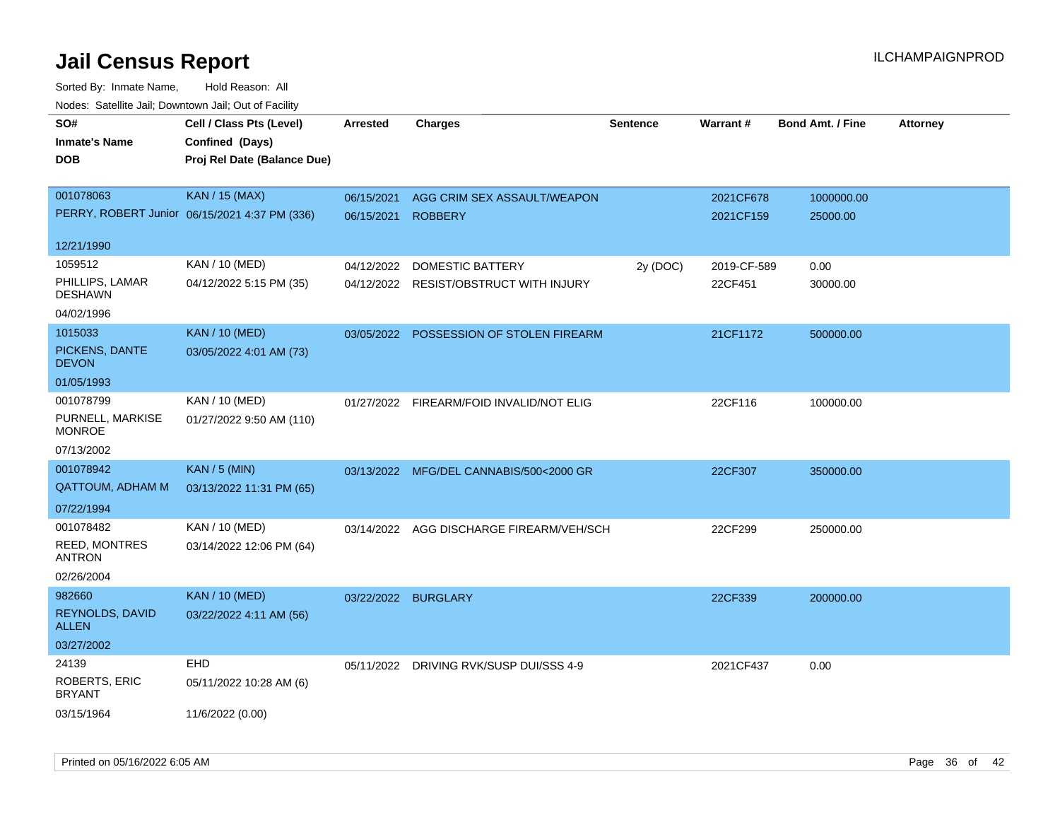| Todoo. Catolino can, Bomnomi can, Cat of Faoint<br>SO# | Cell / Class Pts (Level)                      | <b>Arrested</b> | <b>Charges</b>                           | <b>Sentence</b> | Warrant#    | <b>Bond Amt. / Fine</b> | <b>Attorney</b> |
|--------------------------------------------------------|-----------------------------------------------|-----------------|------------------------------------------|-----------------|-------------|-------------------------|-----------------|
| <b>Inmate's Name</b>                                   | Confined (Days)                               |                 |                                          |                 |             |                         |                 |
| <b>DOB</b>                                             | Proj Rel Date (Balance Due)                   |                 |                                          |                 |             |                         |                 |
|                                                        |                                               |                 |                                          |                 |             |                         |                 |
| 001078063                                              | <b>KAN / 15 (MAX)</b>                         | 06/15/2021      | AGG CRIM SEX ASSAULT/WEAPON              |                 | 2021CF678   | 1000000.00              |                 |
|                                                        | PERRY, ROBERT Junior 06/15/2021 4:37 PM (336) | 06/15/2021      | <b>ROBBERY</b>                           |                 | 2021CF159   | 25000.00                |                 |
| 12/21/1990                                             |                                               |                 |                                          |                 |             |                         |                 |
| 1059512                                                | KAN / 10 (MED)                                | 04/12/2022      | <b>DOMESTIC BATTERY</b>                  | 2y (DOC)        | 2019-CF-589 | 0.00                    |                 |
| PHILLIPS, LAMAR<br><b>DESHAWN</b>                      | 04/12/2022 5:15 PM (35)                       |                 | 04/12/2022 RESIST/OBSTRUCT WITH INJURY   |                 | 22CF451     | 30000.00                |                 |
| 04/02/1996                                             |                                               |                 |                                          |                 |             |                         |                 |
| 1015033                                                | <b>KAN / 10 (MED)</b>                         |                 | 03/05/2022 POSSESSION OF STOLEN FIREARM  |                 | 21CF1172    | 500000.00               |                 |
| PICKENS, DANTE<br><b>DEVON</b>                         | 03/05/2022 4:01 AM (73)                       |                 |                                          |                 |             |                         |                 |
| 01/05/1993                                             |                                               |                 |                                          |                 |             |                         |                 |
| 001078799                                              | KAN / 10 (MED)                                |                 | 01/27/2022 FIREARM/FOID INVALID/NOT ELIG |                 | 22CF116     | 100000.00               |                 |
| PURNELL, MARKISE<br><b>MONROE</b>                      | 01/27/2022 9:50 AM (110)                      |                 |                                          |                 |             |                         |                 |
| 07/13/2002                                             |                                               |                 |                                          |                 |             |                         |                 |
| 001078942                                              | <b>KAN / 5 (MIN)</b>                          |                 | 03/13/2022 MFG/DEL CANNABIS/500<2000 GR  |                 | 22CF307     | 350000.00               |                 |
| <b>QATTOUM, ADHAM M</b>                                | 03/13/2022 11:31 PM (65)                      |                 |                                          |                 |             |                         |                 |
| 07/22/1994                                             |                                               |                 |                                          |                 |             |                         |                 |
| 001078482                                              | KAN / 10 (MED)                                | 03/14/2022      | AGG DISCHARGE FIREARM/VEH/SCH            |                 | 22CF299     | 250000.00               |                 |
| <b>REED, MONTRES</b><br><b>ANTRON</b>                  | 03/14/2022 12:06 PM (64)                      |                 |                                          |                 |             |                         |                 |
| 02/26/2004                                             |                                               |                 |                                          |                 |             |                         |                 |
| 982660                                                 | <b>KAN / 10 (MED)</b>                         |                 | 03/22/2022 BURGLARY                      |                 | 22CF339     | 200000.00               |                 |
| REYNOLDS, DAVID<br><b>ALLEN</b>                        | 03/22/2022 4:11 AM (56)                       |                 |                                          |                 |             |                         |                 |
| 03/27/2002                                             |                                               |                 |                                          |                 |             |                         |                 |
| 24139                                                  | EHD                                           |                 | 05/11/2022 DRIVING RVK/SUSP DUI/SSS 4-9  |                 | 2021CF437   | 0.00                    |                 |
| <b>ROBERTS, ERIC</b><br><b>BRYANT</b>                  | 05/11/2022 10:28 AM (6)                       |                 |                                          |                 |             |                         |                 |
| 03/15/1964                                             | 11/6/2022 (0.00)                              |                 |                                          |                 |             |                         |                 |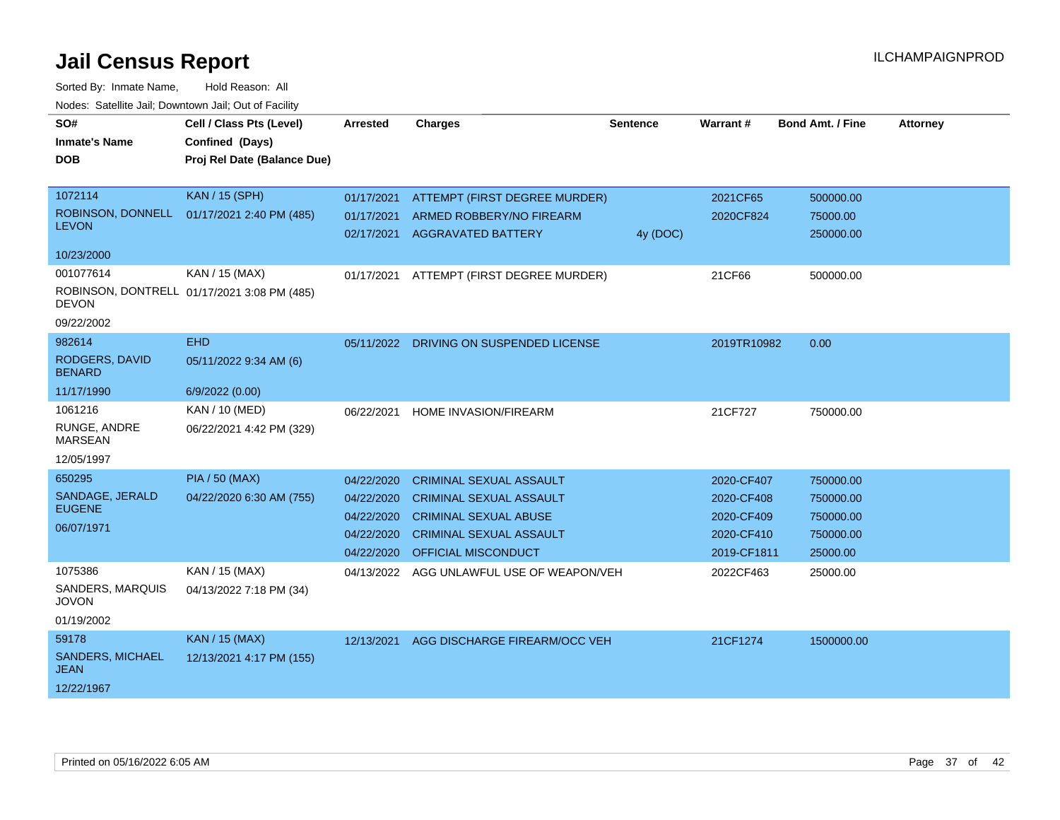| SO#<br><b>Inmate's Name</b><br><b>DOB</b>                             | Cell / Class Pts (Level)<br>Confined (Days)<br>Proj Rel Date (Balance Due) | <b>Arrested</b>                                                    | <b>Charges</b>                                                                                                                                            | <b>Sentence</b> | Warrant#                                                            | <b>Bond Amt. / Fine</b>                                      | <b>Attorney</b> |
|-----------------------------------------------------------------------|----------------------------------------------------------------------------|--------------------------------------------------------------------|-----------------------------------------------------------------------------------------------------------------------------------------------------------|-----------------|---------------------------------------------------------------------|--------------------------------------------------------------|-----------------|
| 1072114<br><b>LEVON</b><br>10/23/2000                                 | <b>KAN / 15 (SPH)</b><br>ROBINSON, DONNELL 01/17/2021 2:40 PM (485)        | 01/17/2021<br>01/17/2021<br>02/17/2021                             | ATTEMPT (FIRST DEGREE MURDER)<br>ARMED ROBBERY/NO FIREARM<br><b>AGGRAVATED BATTERY</b>                                                                    | 4y (DOC)        | 2021CF65<br>2020CF824                                               | 500000.00<br>75000.00<br>250000.00                           |                 |
| 001077614<br><b>DEVON</b><br>09/22/2002                               | KAN / 15 (MAX)<br>ROBINSON, DONTRELL 01/17/2021 3:08 PM (485)              | 01/17/2021                                                         | ATTEMPT (FIRST DEGREE MURDER)                                                                                                                             |                 | 21CF66                                                              | 500000.00                                                    |                 |
| 982614<br>RODGERS, DAVID<br><b>BENARD</b>                             | <b>EHD</b><br>05/11/2022 9:34 AM (6)                                       | 05/11/2022                                                         | DRIVING ON SUSPENDED LICENSE                                                                                                                              |                 | 2019TR10982                                                         | 0.00                                                         |                 |
| 11/17/1990<br>1061216<br>RUNGE, ANDRE<br><b>MARSEAN</b><br>12/05/1997 | 6/9/2022 (0.00)<br><b>KAN / 10 (MED)</b><br>06/22/2021 4:42 PM (329)       | 06/22/2021                                                         | HOME INVASION/FIREARM                                                                                                                                     |                 | 21CF727                                                             | 750000.00                                                    |                 |
| 650295<br>SANDAGE, JERALD<br><b>EUGENE</b><br>06/07/1971              | <b>PIA / 50 (MAX)</b><br>04/22/2020 6:30 AM (755)                          | 04/22/2020<br>04/22/2020<br>04/22/2020<br>04/22/2020<br>04/22/2020 | <b>CRIMINAL SEXUAL ASSAULT</b><br><b>CRIMINAL SEXUAL ASSAULT</b><br><b>CRIMINAL SEXUAL ABUSE</b><br><b>CRIMINAL SEXUAL ASSAULT</b><br>OFFICIAL MISCONDUCT |                 | 2020-CF407<br>2020-CF408<br>2020-CF409<br>2020-CF410<br>2019-CF1811 | 750000.00<br>750000.00<br>750000.00<br>750000.00<br>25000.00 |                 |
| 1075386<br>SANDERS, MARQUIS<br><b>JOVON</b><br>01/19/2002             | KAN / 15 (MAX)<br>04/13/2022 7:18 PM (34)                                  | 04/13/2022                                                         | AGG UNLAWFUL USE OF WEAPON/VEH                                                                                                                            |                 | 2022CF463                                                           | 25000.00                                                     |                 |
| 59178<br><b>SANDERS, MICHAEL</b><br>JEAN<br>12/22/1967                | <b>KAN / 15 (MAX)</b><br>12/13/2021 4:17 PM (155)                          | 12/13/2021                                                         | AGG DISCHARGE FIREARM/OCC VEH                                                                                                                             |                 | 21CF1274                                                            | 1500000.00                                                   |                 |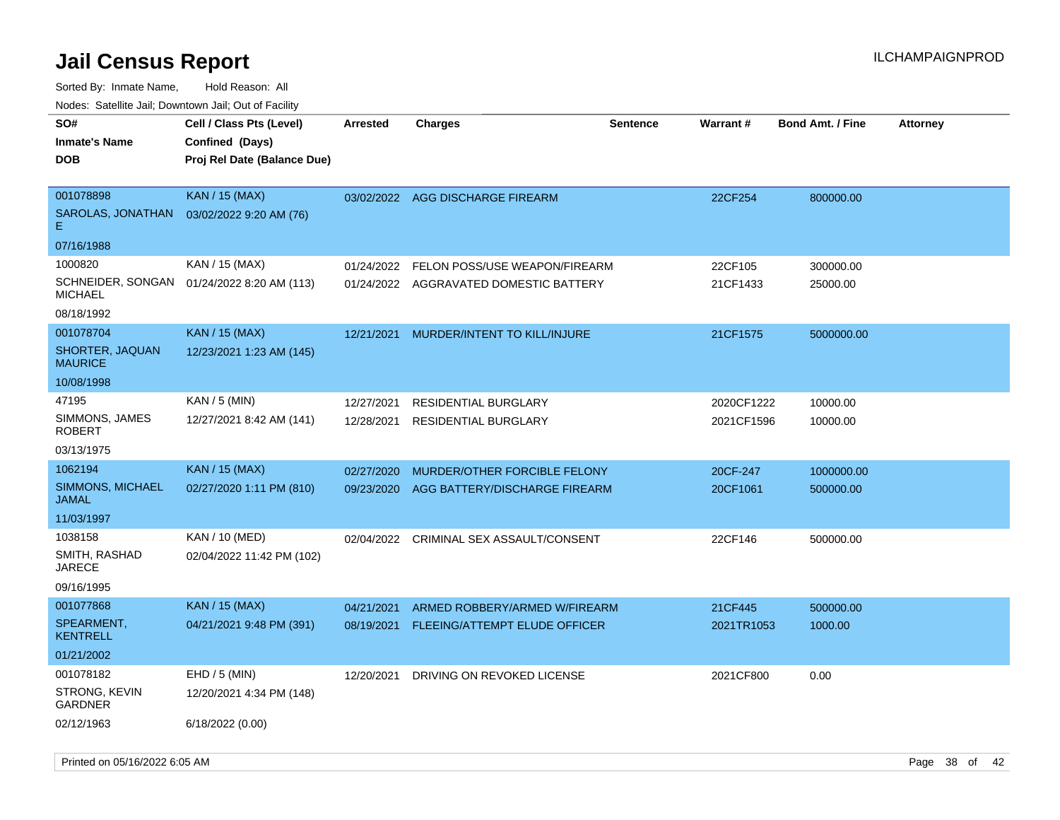| SO#<br><b>Inmate's Name</b><br><b>DOB</b>          | Cell / Class Pts (Level)<br>Confined (Days)<br>Proj Rel Date (Balance Due) | <b>Arrested</b> | <b>Charges</b>                | <b>Sentence</b> | <b>Warrant#</b> | <b>Bond Amt. / Fine</b> | <b>Attorney</b> |
|----------------------------------------------------|----------------------------------------------------------------------------|-----------------|-------------------------------|-----------------|-----------------|-------------------------|-----------------|
| 001078898<br>SAROLAS, JONATHAN<br>Е.<br>07/16/1988 | <b>KAN / 15 (MAX)</b><br>03/02/2022 9:20 AM (76)                           | 03/02/2022      | AGG DISCHARGE FIREARM         |                 | 22CF254         | 800000.00               |                 |
| 1000820                                            | KAN / 15 (MAX)                                                             | 01/24/2022      | FELON POSS/USE WEAPON/FIREARM |                 | 22CF105         | 300000.00               |                 |
| SCHNEIDER, SONGAN<br><b>MICHAEL</b>                | 01/24/2022 8:20 AM (113)                                                   | 01/24/2022      | AGGRAVATED DOMESTIC BATTERY   |                 | 21CF1433        | 25000.00                |                 |
| 08/18/1992                                         |                                                                            |                 |                               |                 |                 |                         |                 |
| 001078704                                          | <b>KAN / 15 (MAX)</b>                                                      | 12/21/2021      | MURDER/INTENT TO KILL/INJURE  |                 | 21CF1575        | 5000000.00              |                 |
| SHORTER, JAQUAN<br><b>MAURICE</b>                  | 12/23/2021 1:23 AM (145)                                                   |                 |                               |                 |                 |                         |                 |
| 10/08/1998                                         |                                                                            |                 |                               |                 |                 |                         |                 |
| 47195                                              | KAN / 5 (MIN)                                                              | 12/27/2021      | <b>RESIDENTIAL BURGLARY</b>   |                 | 2020CF1222      | 10000.00                |                 |
| SIMMONS, JAMES<br>ROBERT                           | 12/27/2021 8:42 AM (141)                                                   | 12/28/2021      | <b>RESIDENTIAL BURGLARY</b>   |                 | 2021CF1596      | 10000.00                |                 |
| 03/13/1975                                         |                                                                            |                 |                               |                 |                 |                         |                 |
| 1062194                                            | <b>KAN / 15 (MAX)</b>                                                      | 02/27/2020      | MURDER/OTHER FORCIBLE FELONY  |                 | 20CF-247        | 1000000.00              |                 |
| SIMMONS, MICHAEL<br>JAMAL                          | 02/27/2020 1:11 PM (810)                                                   | 09/23/2020      | AGG BATTERY/DISCHARGE FIREARM |                 | 20CF1061        | 500000.00               |                 |
| 11/03/1997                                         |                                                                            |                 |                               |                 |                 |                         |                 |
| 1038158                                            | KAN / 10 (MED)                                                             | 02/04/2022      | CRIMINAL SEX ASSAULT/CONSENT  |                 | 22CF146         | 500000.00               |                 |
| SMITH, RASHAD<br>JARECE                            | 02/04/2022 11:42 PM (102)                                                  |                 |                               |                 |                 |                         |                 |
| 09/16/1995                                         |                                                                            |                 |                               |                 |                 |                         |                 |
| 001077868                                          | KAN / 15 (MAX)                                                             | 04/21/2021      | ARMED ROBBERY/ARMED W/FIREARM |                 | 21CF445         | 500000.00               |                 |
| SPEARMENT,<br><b>KENTRELL</b>                      | 04/21/2021 9:48 PM (391)                                                   | 08/19/2021      | FLEEING/ATTEMPT ELUDE OFFICER |                 | 2021TR1053      | 1000.00                 |                 |
| 01/21/2002                                         |                                                                            |                 |                               |                 |                 |                         |                 |
| 001078182                                          | $EHD / 5$ (MIN)                                                            | 12/20/2021      | DRIVING ON REVOKED LICENSE    |                 | 2021CF800       | 0.00                    |                 |
| <b>STRONG, KEVIN</b><br>GARDNER                    | 12/20/2021 4:34 PM (148)                                                   |                 |                               |                 |                 |                         |                 |
| 02/12/1963                                         | 6/18/2022 (0.00)                                                           |                 |                               |                 |                 |                         |                 |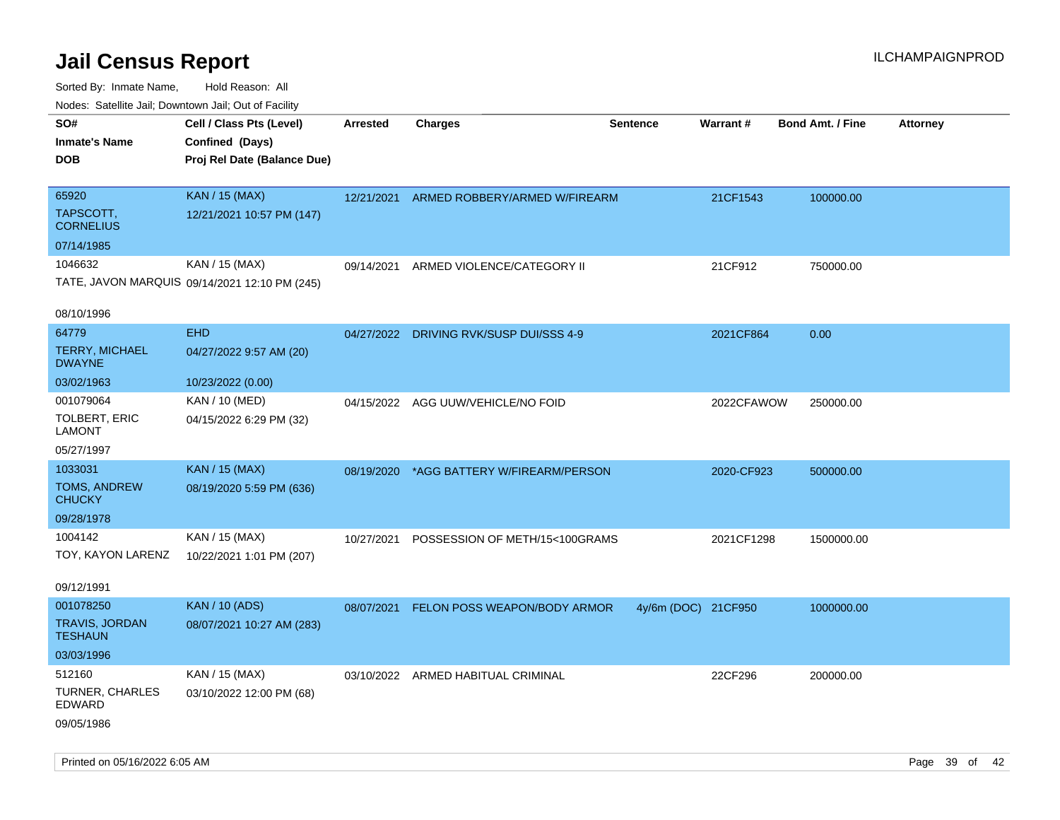| ivous. Saleling Jali, Downtown Jali, Out of Facility |                                               |                 |                                          |                     |            |                         |                 |
|------------------------------------------------------|-----------------------------------------------|-----------------|------------------------------------------|---------------------|------------|-------------------------|-----------------|
| SO#                                                  | Cell / Class Pts (Level)                      | <b>Arrested</b> | <b>Charges</b>                           | <b>Sentence</b>     | Warrant#   | <b>Bond Amt. / Fine</b> | <b>Attorney</b> |
| <b>Inmate's Name</b>                                 | Confined (Days)                               |                 |                                          |                     |            |                         |                 |
| <b>DOB</b>                                           | Proj Rel Date (Balance Due)                   |                 |                                          |                     |            |                         |                 |
|                                                      |                                               |                 |                                          |                     |            |                         |                 |
| 65920                                                | <b>KAN / 15 (MAX)</b>                         |                 | 12/21/2021 ARMED ROBBERY/ARMED W/FIREARM |                     | 21CF1543   | 100000.00               |                 |
| TAPSCOTT,<br><b>CORNELIUS</b>                        | 12/21/2021 10:57 PM (147)                     |                 |                                          |                     |            |                         |                 |
| 07/14/1985                                           |                                               |                 |                                          |                     |            |                         |                 |
| 1046632                                              | KAN / 15 (MAX)                                | 09/14/2021      | ARMED VIOLENCE/CATEGORY II               |                     | 21CF912    | 750000.00               |                 |
|                                                      | TATE, JAVON MARQUIS 09/14/2021 12:10 PM (245) |                 |                                          |                     |            |                         |                 |
|                                                      |                                               |                 |                                          |                     |            |                         |                 |
| 08/10/1996                                           |                                               |                 |                                          |                     |            |                         |                 |
| 64779                                                | <b>EHD</b>                                    |                 | 04/27/2022 DRIVING RVK/SUSP DUI/SSS 4-9  |                     | 2021CF864  | 0.00                    |                 |
| <b>TERRY, MICHAEL</b><br><b>DWAYNE</b>               | 04/27/2022 9:57 AM (20)                       |                 |                                          |                     |            |                         |                 |
| 03/02/1963                                           | 10/23/2022 (0.00)                             |                 |                                          |                     |            |                         |                 |
| 001079064                                            | KAN / 10 (MED)                                |                 | 04/15/2022 AGG UUW/VEHICLE/NO FOID       |                     | 2022CFAWOW | 250000.00               |                 |
| TOLBERT, ERIC<br><b>LAMONT</b>                       | 04/15/2022 6:29 PM (32)                       |                 |                                          |                     |            |                         |                 |
| 05/27/1997                                           |                                               |                 |                                          |                     |            |                         |                 |
| 1033031                                              | <b>KAN / 15 (MAX)</b>                         | 08/19/2020      | *AGG BATTERY W/FIREARM/PERSON            |                     | 2020-CF923 | 500000.00               |                 |
| TOMS, ANDREW<br><b>CHUCKY</b>                        | 08/19/2020 5:59 PM (636)                      |                 |                                          |                     |            |                         |                 |
| 09/28/1978                                           |                                               |                 |                                          |                     |            |                         |                 |
| 1004142                                              | KAN / 15 (MAX)                                | 10/27/2021      | POSSESSION OF METH/15<100GRAMS           |                     | 2021CF1298 | 1500000.00              |                 |
| TOY, KAYON LARENZ                                    | 10/22/2021 1:01 PM (207)                      |                 |                                          |                     |            |                         |                 |
|                                                      |                                               |                 |                                          |                     |            |                         |                 |
| 09/12/1991                                           |                                               |                 |                                          |                     |            |                         |                 |
| 001078250                                            | <b>KAN / 10 (ADS)</b>                         | 08/07/2021      | FELON POSS WEAPON/BODY ARMOR             | 4y/6m (DOC) 21CF950 |            | 1000000.00              |                 |
| TRAVIS, JORDAN<br><b>TESHAUN</b>                     | 08/07/2021 10:27 AM (283)                     |                 |                                          |                     |            |                         |                 |
| 03/03/1996                                           |                                               |                 |                                          |                     |            |                         |                 |
| 512160                                               | KAN / 15 (MAX)                                |                 | 03/10/2022 ARMED HABITUAL CRIMINAL       |                     | 22CF296    | 200000.00               |                 |
| <b>TURNER, CHARLES</b><br>EDWARD                     | 03/10/2022 12:00 PM (68)                      |                 |                                          |                     |            |                         |                 |
| 09/05/1986                                           |                                               |                 |                                          |                     |            |                         |                 |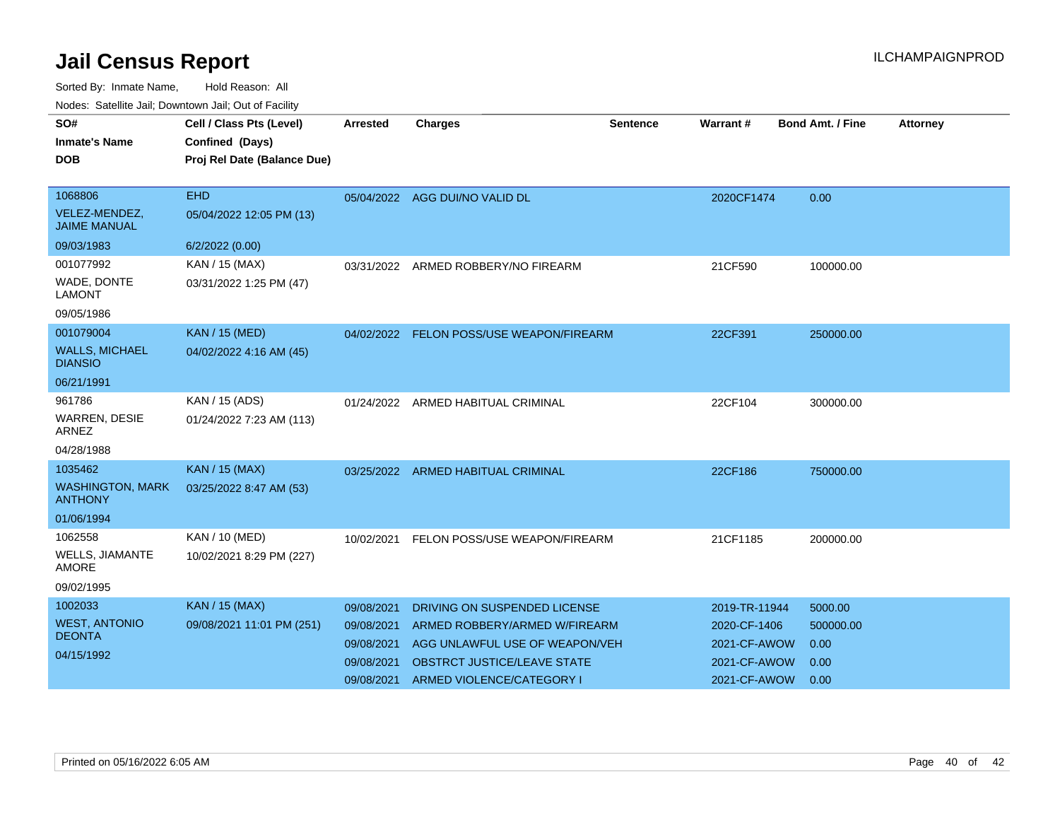| SO#                                       | Cell / Class Pts (Level)    | <b>Arrested</b> | <b>Charges</b>                           | <b>Sentence</b> | Warrant #     | <b>Bond Amt. / Fine</b> | <b>Attorney</b> |
|-------------------------------------------|-----------------------------|-----------------|------------------------------------------|-----------------|---------------|-------------------------|-----------------|
| <b>Inmate's Name</b>                      | Confined (Days)             |                 |                                          |                 |               |                         |                 |
| <b>DOB</b>                                | Proj Rel Date (Balance Due) |                 |                                          |                 |               |                         |                 |
|                                           |                             |                 |                                          |                 |               |                         |                 |
| 1068806                                   | <b>EHD</b>                  |                 | 05/04/2022 AGG DUI/NO VALID DL           |                 | 2020CF1474    | 0.00                    |                 |
| VELEZ-MENDEZ,<br><b>JAIME MANUAL</b>      | 05/04/2022 12:05 PM (13)    |                 |                                          |                 |               |                         |                 |
| 09/03/1983                                | 6/2/2022 (0.00)             |                 |                                          |                 |               |                         |                 |
| 001077992                                 | KAN / 15 (MAX)              |                 | 03/31/2022 ARMED ROBBERY/NO FIREARM      |                 | 21CF590       | 100000.00               |                 |
| WADE, DONTE<br><b>LAMONT</b>              | 03/31/2022 1:25 PM (47)     |                 |                                          |                 |               |                         |                 |
| 09/05/1986                                |                             |                 |                                          |                 |               |                         |                 |
| 001079004                                 | <b>KAN / 15 (MED)</b>       |                 | 04/02/2022 FELON POSS/USE WEAPON/FIREARM |                 | 22CF391       | 250000.00               |                 |
| <b>WALLS, MICHAEL</b><br><b>DIANSIO</b>   | 04/02/2022 4:16 AM (45)     |                 |                                          |                 |               |                         |                 |
| 06/21/1991                                |                             |                 |                                          |                 |               |                         |                 |
| 961786                                    | KAN / 15 (ADS)              |                 | 01/24/2022 ARMED HABITUAL CRIMINAL       |                 | 22CF104       | 300000.00               |                 |
| WARREN, DESIE<br><b>ARNEZ</b>             | 01/24/2022 7:23 AM (113)    |                 |                                          |                 |               |                         |                 |
| 04/28/1988                                |                             |                 |                                          |                 |               |                         |                 |
| 1035462                                   | <b>KAN / 15 (MAX)</b>       |                 | 03/25/2022 ARMED HABITUAL CRIMINAL       |                 | 22CF186       | 750000.00               |                 |
| <b>WASHINGTON, MARK</b><br><b>ANTHONY</b> | 03/25/2022 8:47 AM (53)     |                 |                                          |                 |               |                         |                 |
| 01/06/1994                                |                             |                 |                                          |                 |               |                         |                 |
| 1062558                                   | KAN / 10 (MED)              | 10/02/2021      | FELON POSS/USE WEAPON/FIREARM            |                 | 21CF1185      | 200000.00               |                 |
| <b>WELLS, JIAMANTE</b><br><b>AMORE</b>    | 10/02/2021 8:29 PM (227)    |                 |                                          |                 |               |                         |                 |
| 09/02/1995                                |                             |                 |                                          |                 |               |                         |                 |
| 1002033                                   | <b>KAN / 15 (MAX)</b>       | 09/08/2021      | DRIVING ON SUSPENDED LICENSE             |                 | 2019-TR-11944 | 5000.00                 |                 |
| <b>WEST, ANTONIO</b>                      | 09/08/2021 11:01 PM (251)   | 09/08/2021      | ARMED ROBBERY/ARMED W/FIREARM            |                 | 2020-CF-1406  | 500000.00               |                 |
| <b>DEONTA</b>                             |                             | 09/08/2021      | AGG UNLAWFUL USE OF WEAPON/VEH           |                 | 2021-CF-AWOW  | 0.00                    |                 |
| 04/15/1992                                |                             | 09/08/2021      | OBSTRCT JUSTICE/LEAVE STATE              |                 | 2021-CF-AWOW  | 0.00                    |                 |
|                                           |                             | 09/08/2021      | ARMED VIOLENCE/CATEGORY I                |                 | 2021-CF-AWOW  | 0.00                    |                 |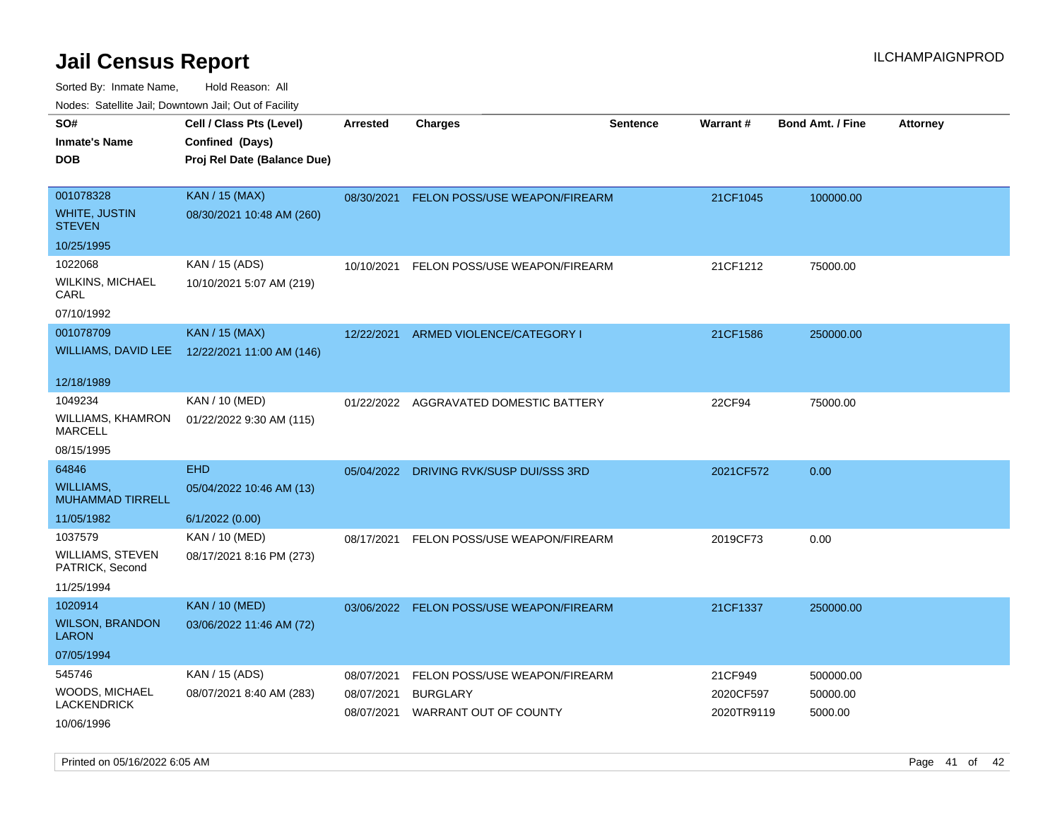| Todoo. Catolino can, Bottittottii can, Odt on Taoliit, |                                                                            |                          |                                          |                 |                         |                         |                 |
|--------------------------------------------------------|----------------------------------------------------------------------------|--------------------------|------------------------------------------|-----------------|-------------------------|-------------------------|-----------------|
| SO#<br><b>Inmate's Name</b><br>DOB                     | Cell / Class Pts (Level)<br>Confined (Days)<br>Proj Rel Date (Balance Due) | <b>Arrested</b>          | <b>Charges</b>                           | <b>Sentence</b> | <b>Warrant#</b>         | <b>Bond Amt. / Fine</b> | <b>Attorney</b> |
| 001078328<br>WHITE, JUSTIN<br><b>STEVEN</b>            | <b>KAN / 15 (MAX)</b><br>08/30/2021 10:48 AM (260)                         |                          | 08/30/2021 FELON POSS/USE WEAPON/FIREARM |                 | 21CF1045                | 100000.00               |                 |
| 10/25/1995                                             |                                                                            |                          |                                          |                 |                         |                         |                 |
| 1022068<br>WILKINS, MICHAEL<br>CARL<br>07/10/1992      | KAN / 15 (ADS)<br>10/10/2021 5:07 AM (219)                                 | 10/10/2021               | FELON POSS/USE WEAPON/FIREARM            |                 | 21CF1212                | 75000.00                |                 |
| 001078709                                              | <b>KAN / 15 (MAX)</b>                                                      | 12/22/2021               |                                          |                 | 21CF1586                |                         |                 |
|                                                        | WILLIAMS, DAVID LEE 12/22/2021 11:00 AM (146)                              |                          | ARMED VIOLENCE/CATEGORY I                |                 |                         | 250000.00               |                 |
| 12/18/1989                                             |                                                                            |                          |                                          |                 |                         |                         |                 |
| 1049234<br>WILLIAMS, KHAMRON<br>MARCELL                | KAN / 10 (MED)<br>01/22/2022 9:30 AM (115)                                 | 01/22/2022               | AGGRAVATED DOMESTIC BATTERY              |                 | 22CF94                  | 75000.00                |                 |
| 08/15/1995                                             |                                                                            |                          |                                          |                 |                         |                         |                 |
| 64846                                                  | <b>EHD</b>                                                                 | 05/04/2022               | DRIVING RVK/SUSP DUI/SSS 3RD             |                 | 2021CF572               | 0.00                    |                 |
| WILLIAMS.<br><b>MUHAMMAD TIRRELL</b>                   | 05/04/2022 10:46 AM (13)                                                   |                          |                                          |                 |                         |                         |                 |
| 11/05/1982                                             | 6/1/2022 (0.00)                                                            |                          |                                          |                 |                         |                         |                 |
| 1037579                                                | KAN / 10 (MED)                                                             | 08/17/2021               | FELON POSS/USE WEAPON/FIREARM            |                 | 2019CF73                | 0.00                    |                 |
| WILLIAMS, STEVEN<br>PATRICK, Second                    | 08/17/2021 8:16 PM (273)                                                   |                          |                                          |                 |                         |                         |                 |
| 11/25/1994                                             |                                                                            |                          |                                          |                 |                         |                         |                 |
| 1020914                                                | <b>KAN / 10 (MED)</b>                                                      |                          | 03/06/2022 FELON POSS/USE WEAPON/FIREARM |                 | 21CF1337                | 250000.00               |                 |
| <b>WILSON, BRANDON</b><br>LARON                        | 03/06/2022 11:46 AM (72)                                                   |                          |                                          |                 |                         |                         |                 |
| 07/05/1994                                             |                                                                            |                          |                                          |                 |                         |                         |                 |
| 545746                                                 | KAN / 15 (ADS)                                                             | 08/07/2021               | FELON POSS/USE WEAPON/FIREARM            |                 | 21CF949                 | 500000.00               |                 |
| WOODS, MICHAEL<br>LACKENDRICK                          | 08/07/2021 8:40 AM (283)                                                   | 08/07/2021<br>08/07/2021 | <b>BURGLARY</b><br>WARRANT OUT OF COUNTY |                 | 2020CF597<br>2020TR9119 | 50000.00<br>5000.00     |                 |
| 10/06/1996                                             |                                                                            |                          |                                          |                 |                         |                         |                 |